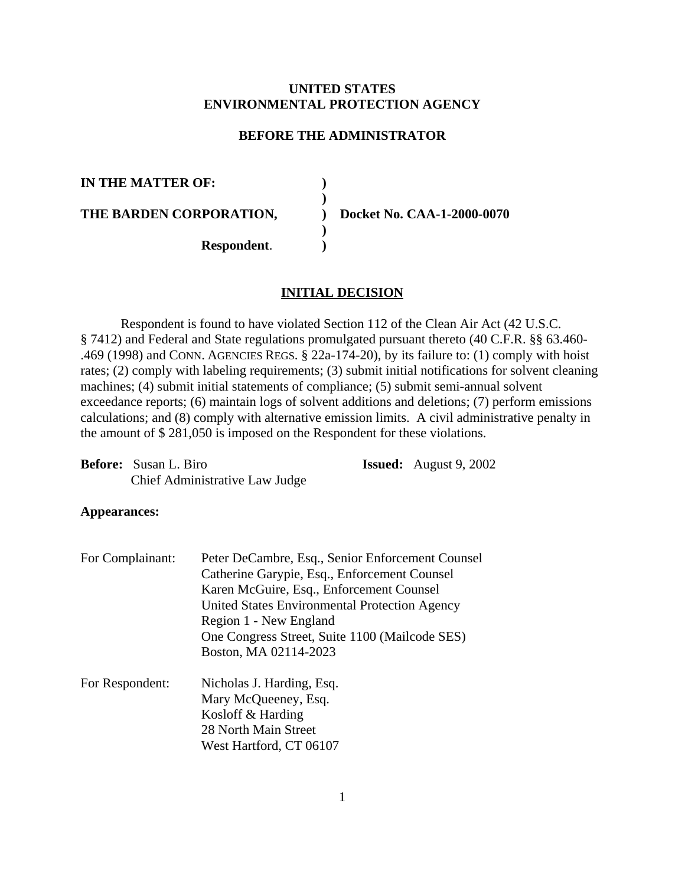# **UNITED STATES ENVIRONMENTAL PROTECTION AGENCY**

### **BEFORE THE ADMINISTRATOR**

**) )**

**) )**

**IN THE MATTER OF:** 

**THE BARDEN CORPORATION,** 

**) Docket No. CAA-1-2000-0070**

**Respondent**.

### **INITIAL DECISION**

Respondent is found to have violated Section 112 of the Clean Air Act (42 U.S.C. § 7412) and Federal and State regulations promulgated pursuant thereto (40 C.F.R. §§ 63.460- .469 (1998) and CONN. AGENCIES REGS. § 22a-174-20), by its failure to: (1) comply with hoist rates; (2) comply with labeling requirements; (3) submit initial notifications for solvent cleaning machines; (4) submit initial statements of compliance; (5) submit semi-annual solvent exceedance reports; (6) maintain logs of solvent additions and deletions; (7) perform emissions calculations; and (8) comply with alternative emission limits. A civil administrative penalty in the amount of \$ 281,050 is imposed on the Respondent for these violations.

| <b>Before:</b> Susan L. Biro   | <b>Issued:</b> August $9, 2002$ |
|--------------------------------|---------------------------------|
| Chief Administrative Law Judge |                                 |

#### **Appearances:**

| For Complainant: | Peter DeCambre, Esq., Senior Enforcement Counsel |  |  |  |
|------------------|--------------------------------------------------|--|--|--|
|                  | Catherine Garypie, Esq., Enforcement Counsel     |  |  |  |
|                  | Karen McGuire, Esq., Enforcement Counsel         |  |  |  |
|                  | United States Environmental Protection Agency    |  |  |  |
|                  | Region 1 - New England                           |  |  |  |
|                  | One Congress Street, Suite 1100 (Mailcode SES)   |  |  |  |
|                  | Boston, MA 02114-2023                            |  |  |  |
| For Respondent:  | Nicholas J. Harding, Esq.                        |  |  |  |
|                  | Mary McQueeney, Esq.                             |  |  |  |
|                  | Kosloff & Harding                                |  |  |  |
|                  |                                                  |  |  |  |

28 North Main Street West Hartford, CT 06107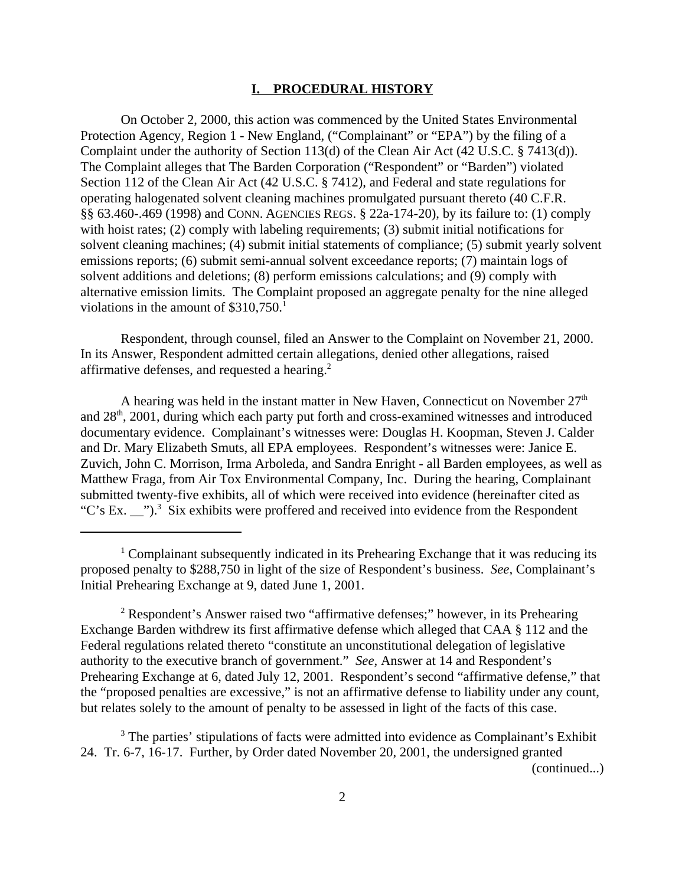#### **I. PROCEDURAL HISTORY**

On October 2, 2000, this action was commenced by the United States Environmental Protection Agency, Region 1 - New England, ("Complainant" or "EPA") by the filing of a Complaint under the authority of Section 113(d) of the Clean Air Act (42 U.S.C. § 7413(d)). The Complaint alleges that The Barden Corporation ("Respondent" or "Barden") violated Section 112 of the Clean Air Act (42 U.S.C. § 7412), and Federal and state regulations for operating halogenated solvent cleaning machines promulgated pursuant thereto (40 C.F.R. §§ 63.460-.469 (1998) and CONN. AGENCIES REGS. § 22a-174-20), by its failure to: (1) comply with hoist rates; (2) comply with labeling requirements; (3) submit initial notifications for solvent cleaning machines; (4) submit initial statements of compliance; (5) submit yearly solvent emissions reports; (6) submit semi-annual solvent exceedance reports; (7) maintain logs of solvent additions and deletions; (8) perform emissions calculations; and (9) comply with alternative emission limits. The Complaint proposed an aggregate penalty for the nine alleged violations in the amount of  $$310,750$ <sup>1</sup>

Respondent, through counsel, filed an Answer to the Complaint on November 21, 2000. In its Answer, Respondent admitted certain allegations, denied other allegations, raised affirmative defenses, and requested a hearing.2

A hearing was held in the instant matter in New Haven, Connecticut on November  $27<sup>th</sup>$ and 28<sup>th</sup>, 2001, during which each party put forth and cross-examined witnesses and introduced documentary evidence. Complainant's witnesses were: Douglas H. Koopman, Steven J. Calder and Dr. Mary Elizabeth Smuts, all EPA employees. Respondent's witnesses were: Janice E. Zuvich, John C. Morrison, Irma Arboleda, and Sandra Enright - all Barden employees, as well as Matthew Fraga, from Air Tox Environmental Company, Inc. During the hearing, Complainant submitted twenty-five exhibits, all of which were received into evidence (hereinafter cited as "C's Ex. \_\_").<sup>3</sup> Six exhibits were proffered and received into evidence from the Respondent

<sup>2</sup> Respondent's Answer raised two "affirmative defenses;" however, in its Prehearing Exchange Barden withdrew its first affirmative defense which alleged that CAA § 112 and the Federal regulations related thereto "constitute an unconstitutional delegation of legislative authority to the executive branch of government." *See,* Answer at 14 and Respondent's Prehearing Exchange at 6, dated July 12, 2001. Respondent's second "affirmative defense," that the "proposed penalties are excessive," is not an affirmative defense to liability under any count, but relates solely to the amount of penalty to be assessed in light of the facts of this case.

<sup>3</sup> The parties' stipulations of facts were admitted into evidence as Complainant's Exhibit 24. Tr. 6-7, 16-17. Further, by Order dated November 20, 2001, the undersigned granted (continued...)

<sup>&</sup>lt;sup>1</sup> Complainant subsequently indicated in its Prehearing Exchange that it was reducing its proposed penalty to \$288,750 in light of the size of Respondent's business. *See,* Complainant's Initial Prehearing Exchange at 9, dated June 1, 2001.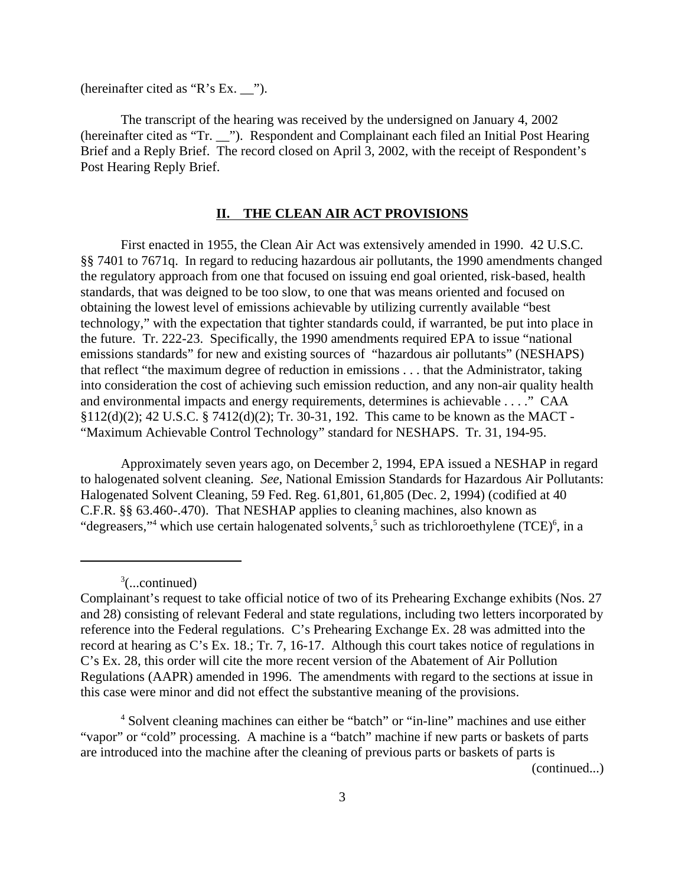(hereinafter cited as "R's Ex. \_\_").

The transcript of the hearing was received by the undersigned on January 4, 2002 (hereinafter cited as "Tr. \_\_"). Respondent and Complainant each filed an Initial Post Hearing Brief and a Reply Brief. The record closed on April 3, 2002, with the receipt of Respondent's Post Hearing Reply Brief.

### **II. THE CLEAN AIR ACT PROVISIONS**

First enacted in 1955, the Clean Air Act was extensively amended in 1990. 42 U.S.C. §§ 7401 to 7671q. In regard to reducing hazardous air pollutants, the 1990 amendments changed the regulatory approach from one that focused on issuing end goal oriented, risk-based, health standards, that was deigned to be too slow, to one that was means oriented and focused on obtaining the lowest level of emissions achievable by utilizing currently available "best technology," with the expectation that tighter standards could, if warranted, be put into place in the future. Tr. 222-23. Specifically, the 1990 amendments required EPA to issue "national emissions standards" for new and existing sources of "hazardous air pollutants" (NESHAPS) that reflect "the maximum degree of reduction in emissions . . . that the Administrator, taking into consideration the cost of achieving such emission reduction, and any non-air quality health and environmental impacts and energy requirements, determines is achievable . . . ." CAA §112(d)(2); 42 U.S.C. § 7412(d)(2); Tr. 30-31, 192. This came to be known as the MACT - "Maximum Achievable Control Technology" standard for NESHAPS. Tr. 31, 194-95.

Approximately seven years ago, on December 2, 1994, EPA issued a NESHAP in regard to halogenated solvent cleaning. *See*, National Emission Standards for Hazardous Air Pollutants: Halogenated Solvent Cleaning, 59 Fed. Reg. 61,801, 61,805 (Dec. 2, 1994) (codified at 40 C.F.R. §§ 63.460-.470). That NESHAP applies to cleaning machines, also known as "degreasers,"<sup>4</sup> which use certain halogenated solvents,<sup>5</sup> such as trichloroethylene (TCE)<sup>6</sup>, in a

3 (...continued)

(continued...)

Complainant's request to take official notice of two of its Prehearing Exchange exhibits (Nos. 27 and 28) consisting of relevant Federal and state regulations, including two letters incorporated by reference into the Federal regulations. C's Prehearing Exchange Ex. 28 was admitted into the record at hearing as C's Ex. 18.; Tr. 7, 16-17. Although this court takes notice of regulations in C's Ex. 28, this order will cite the more recent version of the Abatement of Air Pollution Regulations (AAPR) amended in 1996. The amendments with regard to the sections at issue in this case were minor and did not effect the substantive meaning of the provisions.

<sup>&</sup>lt;sup>4</sup> Solvent cleaning machines can either be "batch" or "in-line" machines and use either "vapor" or "cold" processing. A machine is a "batch" machine if new parts or baskets of parts are introduced into the machine after the cleaning of previous parts or baskets of parts is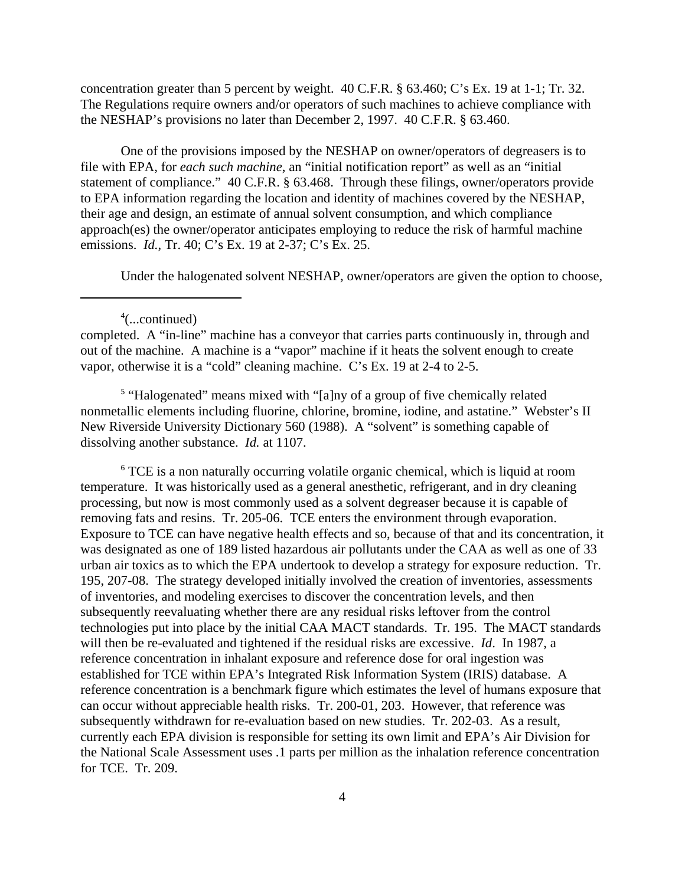concentration greater than 5 percent by weight. 40 C.F.R. § 63.460; C's Ex. 19 at 1-1; Tr. 32. The Regulations require owners and/or operators of such machines to achieve compliance with the NESHAP's provisions no later than December 2, 1997. 40 C.F.R. § 63.460.

One of the provisions imposed by the NESHAP on owner/operators of degreasers is to file with EPA, for *each such machine*, an "initial notification report" as well as an "initial statement of compliance." 40 C.F.R. § 63.468. Through these filings, owner/operators provide to EPA information regarding the location and identity of machines covered by the NESHAP, their age and design, an estimate of annual solvent consumption, and which compliance approach(es) the owner/operator anticipates employing to reduce the risk of harmful machine emissions. *Id.*, Tr. 40; C's Ex. 19 at 2-37; C's Ex. 25.

Under the halogenated solvent NESHAP, owner/operators are given the option to choose,

completed. A "in-line" machine has a conveyor that carries parts continuously in, through and out of the machine. A machine is a "vapor" machine if it heats the solvent enough to create vapor, otherwise it is a "cold" cleaning machine. C's Ex. 19 at 2-4 to 2-5.

<sup>5</sup> "Halogenated" means mixed with "[a]ny of a group of five chemically related nonmetallic elements including fluorine, chlorine, bromine, iodine, and astatine." Webster's II New Riverside University Dictionary 560 (1988). A "solvent" is something capable of dissolving another substance. *Id.* at 1107.

<sup>6</sup> TCE is a non naturally occurring volatile organic chemical, which is liquid at room temperature. It was historically used as a general anesthetic, refrigerant, and in dry cleaning processing, but now is most commonly used as a solvent degreaser because it is capable of removing fats and resins. Tr. 205-06. TCE enters the environment through evaporation. Exposure to TCE can have negative health effects and so, because of that and its concentration, it was designated as one of 189 listed hazardous air pollutants under the CAA as well as one of 33 urban air toxics as to which the EPA undertook to develop a strategy for exposure reduction. Tr. 195, 207-08. The strategy developed initially involved the creation of inventories, assessments of inventories, and modeling exercises to discover the concentration levels, and then subsequently reevaluating whether there are any residual risks leftover from the control technologies put into place by the initial CAA MACT standards. Tr. 195. The MACT standards will then be re-evaluated and tightened if the residual risks are excessive. *Id*. In 1987, a reference concentration in inhalant exposure and reference dose for oral ingestion was established for TCE within EPA's Integrated Risk Information System (IRIS) database. A reference concentration is a benchmark figure which estimates the level of humans exposure that can occur without appreciable health risks. Tr. 200-01, 203. However, that reference was subsequently withdrawn for re-evaluation based on new studies. Tr. 202-03. As a result, currently each EPA division is responsible for setting its own limit and EPA's Air Division for the National Scale Assessment uses .1 parts per million as the inhalation reference concentration for TCE. Tr. 209.

<sup>4</sup> (...continued)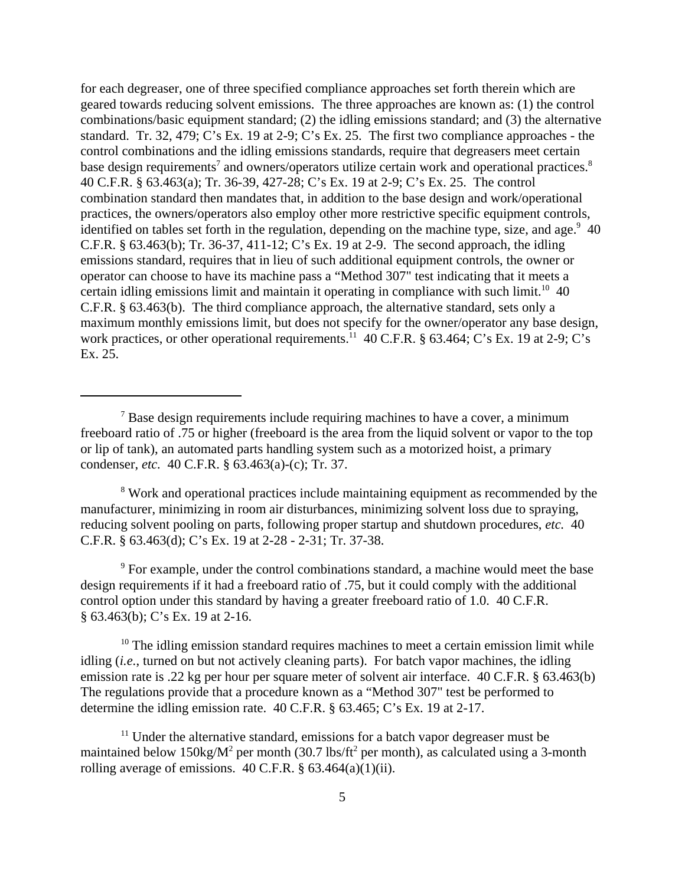for each degreaser, one of three specified compliance approaches set forth therein which are geared towards reducing solvent emissions. The three approaches are known as: (1) the control combinations/basic equipment standard; (2) the idling emissions standard; and (3) the alternative standard. Tr. 32, 479; C's Ex. 19 at 2-9; C's Ex. 25. The first two compliance approaches - the control combinations and the idling emissions standards, require that degreasers meet certain base design requirements<sup>7</sup> and owners/operators utilize certain work and operational practices.<sup>8</sup> 40 C.F.R. § 63.463(a); Tr. 36-39, 427-28; C's Ex. 19 at 2-9; C's Ex. 25. The control combination standard then mandates that, in addition to the base design and work/operational practices, the owners/operators also employ other more restrictive specific equipment controls, identified on tables set forth in the regulation, depending on the machine type, size, and age.  $9\,40$ C.F.R. § 63.463(b); Tr. 36-37, 411-12; C's Ex. 19 at 2-9. The second approach, the idling emissions standard, requires that in lieu of such additional equipment controls, the owner or operator can choose to have its machine pass a "Method 307" test indicating that it meets a certain idling emissions limit and maintain it operating in compliance with such limit.<sup>10</sup> 40 C.F.R. § 63.463(b). The third compliance approach, the alternative standard, sets only a maximum monthly emissions limit, but does not specify for the owner/operator any base design, work practices, or other operational requirements.<sup>11</sup> 40 C.F.R. § 63.464; C's Ex. 19 at 2-9; C's Ex. 25.

<sup>8</sup> Work and operational practices include maintaining equipment as recommended by the manufacturer, minimizing in room air disturbances, minimizing solvent loss due to spraying, reducing solvent pooling on parts, following proper startup and shutdown procedures, *etc.* 40 C.F.R. § 63.463(d); C's Ex. 19 at 2-28 - 2-31; Tr. 37-38.

<sup>9</sup> For example, under the control combinations standard, a machine would meet the base design requirements if it had a freeboard ratio of .75, but it could comply with the additional control option under this standard by having a greater freeboard ratio of 1.0. 40 C.F.R. § 63.463(b); C's Ex. 19 at 2-16.

 $10$  The idling emission standard requires machines to meet a certain emission limit while idling (*i.e.*, turned on but not actively cleaning parts). For batch vapor machines, the idling emission rate is .22 kg per hour per square meter of solvent air interface. 40 C.F.R. § 63.463(b) The regulations provide that a procedure known as a "Method 307" test be performed to determine the idling emission rate. 40 C.F.R. § 63.465; C's Ex. 19 at 2-17.

 $11$  Under the alternative standard, emissions for a batch vapor degreaser must be maintained below  $150\text{kg/M}^2$  per month (30.7 lbs/ft<sup>2</sup> per month), as calculated using a 3-month rolling average of emissions.  $40$  C.F.R. §  $63.464(a)(1)(ii)$ .

 $7$  Base design requirements include requiring machines to have a cover, a minimum freeboard ratio of .75 or higher (freeboard is the area from the liquid solvent or vapor to the top or lip of tank), an automated parts handling system such as a motorized hoist, a primary condenser, *etc.* 40 C.F.R. § 63.463(a)-(c); Tr. 37.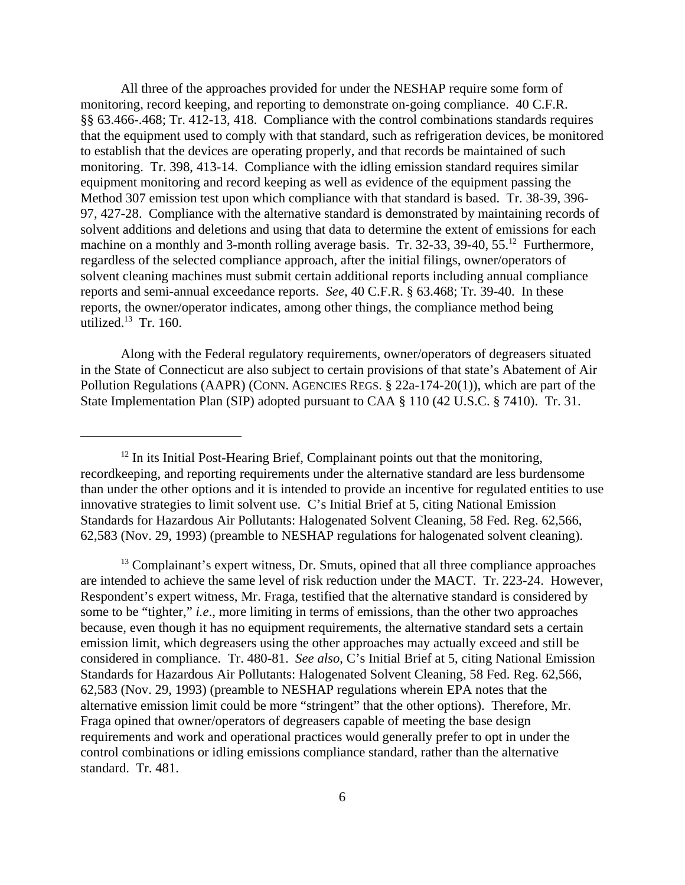All three of the approaches provided for under the NESHAP require some form of monitoring, record keeping, and reporting to demonstrate on-going compliance. 40 C.F.R. §§ 63.466-.468; Tr. 412-13, 418. Compliance with the control combinations standards requires that the equipment used to comply with that standard, such as refrigeration devices, be monitored to establish that the devices are operating properly, and that records be maintained of such monitoring. Tr. 398, 413-14. Compliance with the idling emission standard requires similar equipment monitoring and record keeping as well as evidence of the equipment passing the Method 307 emission test upon which compliance with that standard is based. Tr. 38-39, 396- 97, 427-28. Compliance with the alternative standard is demonstrated by maintaining records of solvent additions and deletions and using that data to determine the extent of emissions for each machine on a monthly and 3-month rolling average basis. Tr. 32-33, 39-40, 55.<sup>12</sup> Furthermore, regardless of the selected compliance approach, after the initial filings, owner/operators of solvent cleaning machines must submit certain additional reports including annual compliance reports and semi-annual exceedance reports. *See,* 40 C.F.R. § 63.468; Tr. 39-40. In these reports, the owner/operator indicates, among other things, the compliance method being utilized. $13$  Tr. 160.

Along with the Federal regulatory requirements, owner/operators of degreasers situated in the State of Connecticut are also subject to certain provisions of that state's Abatement of Air Pollution Regulations (AAPR) (CONN. AGENCIES REGS. § 22a-174-20(1)), which are part of the State Implementation Plan (SIP) adopted pursuant to CAA § 110 (42 U.S.C. § 7410). Tr. 31.

 $12$  In its Initial Post-Hearing Brief, Complainant points out that the monitoring, recordkeeping, and reporting requirements under the alternative standard are less burdensome than under the other options and it is intended to provide an incentive for regulated entities to use innovative strategies to limit solvent use. C's Initial Brief at 5, citing National Emission Standards for Hazardous Air Pollutants: Halogenated Solvent Cleaning, 58 Fed. Reg. 62,566, 62,583 (Nov. 29, 1993) (preamble to NESHAP regulations for halogenated solvent cleaning).

 $<sup>13</sup>$  Complainant's expert witness, Dr. Smuts, opined that all three compliance approaches</sup> are intended to achieve the same level of risk reduction under the MACT. Tr. 223-24. However, Respondent's expert witness, Mr. Fraga, testified that the alternative standard is considered by some to be "tighter," *i.e*., more limiting in terms of emissions, than the other two approaches because, even though it has no equipment requirements, the alternative standard sets a certain emission limit, which degreasers using the other approaches may actually exceed and still be considered in compliance. Tr. 480-81. *See also*, C's Initial Brief at 5, citing National Emission Standards for Hazardous Air Pollutants: Halogenated Solvent Cleaning, 58 Fed. Reg. 62,566, 62,583 (Nov. 29, 1993) (preamble to NESHAP regulations wherein EPA notes that the alternative emission limit could be more "stringent" that the other options). Therefore, Mr. Fraga opined that owner/operators of degreasers capable of meeting the base design requirements and work and operational practices would generally prefer to opt in under the control combinations or idling emissions compliance standard, rather than the alternative standard. Tr. 481.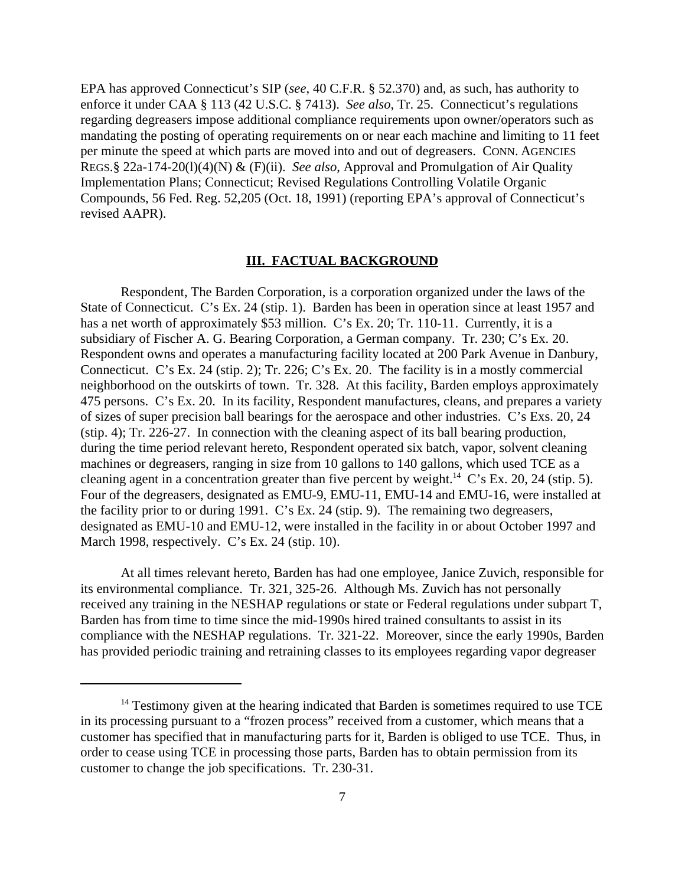EPA has approved Connecticut's SIP (*see*, 40 C.F.R. § 52.370) and, as such, has authority to enforce it under CAA § 113 (42 U.S.C. § 7413). *See also*, Tr. 25. Connecticut's regulations regarding degreasers impose additional compliance requirements upon owner/operators such as mandating the posting of operating requirements on or near each machine and limiting to 11 feet per minute the speed at which parts are moved into and out of degreasers. CONN. AGENCIES REGS.§ 22a-174-20(l)(4)(N) & (F)(ii). *See also*, Approval and Promulgation of Air Quality Implementation Plans; Connecticut; Revised Regulations Controlling Volatile Organic Compounds, 56 Fed. Reg. 52,205 (Oct. 18, 1991) (reporting EPA's approval of Connecticut's revised AAPR).

#### **III. FACTUAL BACKGROUND**

Respondent, The Barden Corporation, is a corporation organized under the laws of the State of Connecticut. C's Ex. 24 (stip. 1). Barden has been in operation since at least 1957 and has a net worth of approximately \$53 million. C's Ex. 20; Tr. 110-11. Currently, it is a subsidiary of Fischer A. G. Bearing Corporation, a German company. Tr. 230; C's Ex. 20. Respondent owns and operates a manufacturing facility located at 200 Park Avenue in Danbury, Connecticut. C's Ex. 24 (stip. 2); Tr. 226; C's Ex. 20. The facility is in a mostly commercial neighborhood on the outskirts of town. Tr. 328. At this facility, Barden employs approximately 475 persons. C's Ex. 20. In its facility, Respondent manufactures, cleans, and prepares a variety of sizes of super precision ball bearings for the aerospace and other industries. C's Exs. 20, 24 (stip. 4); Tr. 226-27. In connection with the cleaning aspect of its ball bearing production, during the time period relevant hereto, Respondent operated six batch, vapor, solvent cleaning machines or degreasers, ranging in size from 10 gallons to 140 gallons, which used TCE as a cleaning agent in a concentration greater than five percent by weight.<sup>14</sup> C's Ex. 20, 24 (stip. 5). Four of the degreasers, designated as EMU-9, EMU-11, EMU-14 and EMU-16, were installed at the facility prior to or during 1991. C's Ex. 24 (stip. 9). The remaining two degreasers, designated as EMU-10 and EMU-12, were installed in the facility in or about October 1997 and March 1998, respectively. C's Ex. 24 (stip. 10).

At all times relevant hereto, Barden has had one employee, Janice Zuvich, responsible for its environmental compliance. Tr. 321, 325-26. Although Ms. Zuvich has not personally received any training in the NESHAP regulations or state or Federal regulations under subpart T, Barden has from time to time since the mid-1990s hired trained consultants to assist in its compliance with the NESHAP regulations. Tr. 321-22. Moreover, since the early 1990s, Barden has provided periodic training and retraining classes to its employees regarding vapor degreaser

 $14$  Testimony given at the hearing indicated that Barden is sometimes required to use TCE in its processing pursuant to a "frozen process" received from a customer, which means that a customer has specified that in manufacturing parts for it, Barden is obliged to use TCE. Thus, in order to cease using TCE in processing those parts, Barden has to obtain permission from its customer to change the job specifications. Tr. 230-31.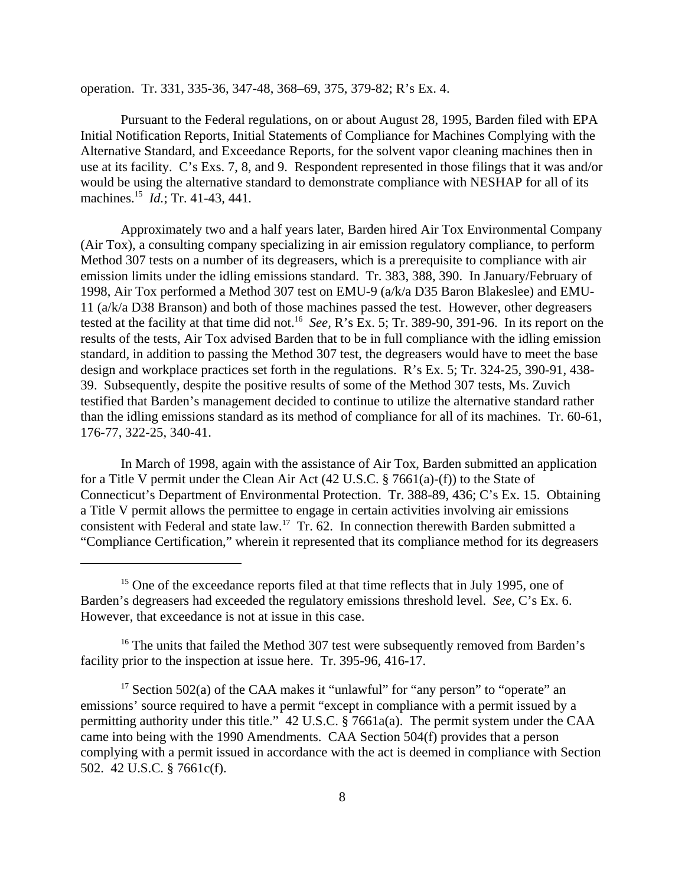operation. Tr. 331, 335-36, 347-48, 368–69, 375, 379-82; R's Ex. 4.

Pursuant to the Federal regulations, on or about August 28, 1995, Barden filed with EPA Initial Notification Reports, Initial Statements of Compliance for Machines Complying with the Alternative Standard, and Exceedance Reports, for the solvent vapor cleaning machines then in use at its facility. C's Exs. 7, 8, and 9. Respondent represented in those filings that it was and/or would be using the alternative standard to demonstrate compliance with NESHAP for all of its machines.15 *Id.*; Tr. 41-43*,* 441*.* 

Approximately two and a half years later, Barden hired Air Tox Environmental Company (Air Tox), a consulting company specializing in air emission regulatory compliance, to perform Method 307 tests on a number of its degreasers, which is a prerequisite to compliance with air emission limits under the idling emissions standard. Tr. 383, 388, 390. In January/February of 1998, Air Tox performed a Method 307 test on EMU-9 (a/k/a D35 Baron Blakeslee) and EMU-11 (a/k/a D38 Branson) and both of those machines passed the test. However, other degreasers tested at the facility at that time did not.16 *See,* R's Ex. 5; Tr. 389-90, 391-96. In its report on the results of the tests, Air Tox advised Barden that to be in full compliance with the idling emission standard, in addition to passing the Method 307 test, the degreasers would have to meet the base design and workplace practices set forth in the regulations. R's Ex. 5; Tr. 324-25, 390-91, 438- 39. Subsequently, despite the positive results of some of the Method 307 tests, Ms. Zuvich testified that Barden's management decided to continue to utilize the alternative standard rather than the idling emissions standard as its method of compliance for all of its machines. Tr. 60-61, 176-77, 322-25, 340-41.

In March of 1998, again with the assistance of Air Tox, Barden submitted an application for a Title V permit under the Clean Air Act (42 U.S.C. § 7661(a)-(f)) to the State of Connecticut's Department of Environmental Protection. Tr. 388-89, 436; C's Ex. 15. Obtaining a Title V permit allows the permittee to engage in certain activities involving air emissions consistent with Federal and state law.<sup>17</sup> Tr. 62. In connection therewith Barden submitted a "Compliance Certification," wherein it represented that its compliance method for its degreasers

<sup>16</sup> The units that failed the Method 307 test were subsequently removed from Barden's facility prior to the inspection at issue here. Tr. 395-96, 416-17.

<sup>&</sup>lt;sup>15</sup> One of the exceedance reports filed at that time reflects that in July 1995, one of Barden's degreasers had exceeded the regulatory emissions threshold level. *See,* C's Ex. 6. However, that exceedance is not at issue in this case.

<sup>&</sup>lt;sup>17</sup> Section 502(a) of the CAA makes it "unlawful" for "any person" to "operate" an emissions' source required to have a permit "except in compliance with a permit issued by a permitting authority under this title." 42 U.S.C. § 7661a(a). The permit system under the CAA came into being with the 1990 Amendments. CAA Section 504(f) provides that a person complying with a permit issued in accordance with the act is deemed in compliance with Section 502. 42 U.S.C. § 7661c(f).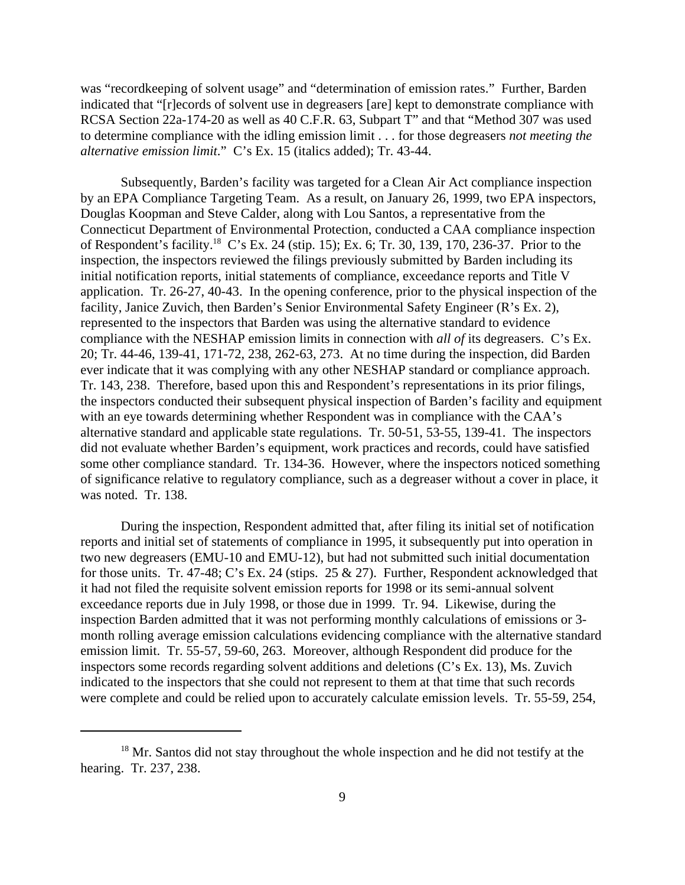was "recordkeeping of solvent usage" and "determination of emission rates." Further, Barden indicated that "[r]ecords of solvent use in degreasers [are] kept to demonstrate compliance with RCSA Section 22a-174-20 as well as 40 C.F.R. 63, Subpart T" and that "Method 307 was used to determine compliance with the idling emission limit . . . for those degreasers *not meeting the alternative emission limit*." C's Ex. 15 (italics added); Tr. 43-44.

Subsequently, Barden's facility was targeted for a Clean Air Act compliance inspection by an EPA Compliance Targeting Team. As a result, on January 26, 1999, two EPA inspectors, Douglas Koopman and Steve Calder, along with Lou Santos, a representative from the Connecticut Department of Environmental Protection, conducted a CAA compliance inspection of Respondent's facility.18 C's Ex. 24 (stip. 15); Ex. 6; Tr. 30, 139, 170, 236-37. Prior to the inspection, the inspectors reviewed the filings previously submitted by Barden including its initial notification reports, initial statements of compliance, exceedance reports and Title V application. Tr. 26-27, 40-43. In the opening conference, prior to the physical inspection of the facility, Janice Zuvich, then Barden's Senior Environmental Safety Engineer (R's Ex. 2), represented to the inspectors that Barden was using the alternative standard to evidence compliance with the NESHAP emission limits in connection with *all of* its degreasers. C's Ex. 20; Tr. 44-46, 139-41, 171-72, 238, 262-63, 273. At no time during the inspection, did Barden ever indicate that it was complying with any other NESHAP standard or compliance approach. Tr. 143, 238. Therefore, based upon this and Respondent's representations in its prior filings, the inspectors conducted their subsequent physical inspection of Barden's facility and equipment with an eye towards determining whether Respondent was in compliance with the CAA's alternative standard and applicable state regulations. Tr. 50-51, 53-55, 139-41. The inspectors did not evaluate whether Barden's equipment, work practices and records, could have satisfied some other compliance standard. Tr. 134-36. However, where the inspectors noticed something of significance relative to regulatory compliance, such as a degreaser without a cover in place, it was noted. Tr. 138.

During the inspection, Respondent admitted that, after filing its initial set of notification reports and initial set of statements of compliance in 1995, it subsequently put into operation in two new degreasers (EMU-10 and EMU-12), but had not submitted such initial documentation for those units. Tr. 47-48; C's Ex. 24 (stips. 25 & 27). Further, Respondent acknowledged that it had not filed the requisite solvent emission reports for 1998 or its semi-annual solvent exceedance reports due in July 1998, or those due in 1999. Tr. 94. Likewise, during the inspection Barden admitted that it was not performing monthly calculations of emissions or 3 month rolling average emission calculations evidencing compliance with the alternative standard emission limit. Tr. 55-57, 59-60, 263. Moreover, although Respondent did produce for the inspectors some records regarding solvent additions and deletions (C's Ex. 13), Ms. Zuvich indicated to the inspectors that she could not represent to them at that time that such records were complete and could be relied upon to accurately calculate emission levels. Tr. 55-59, 254,

<sup>&</sup>lt;sup>18</sup> Mr. Santos did not stay throughout the whole inspection and he did not testify at the hearing. Tr. 237, 238.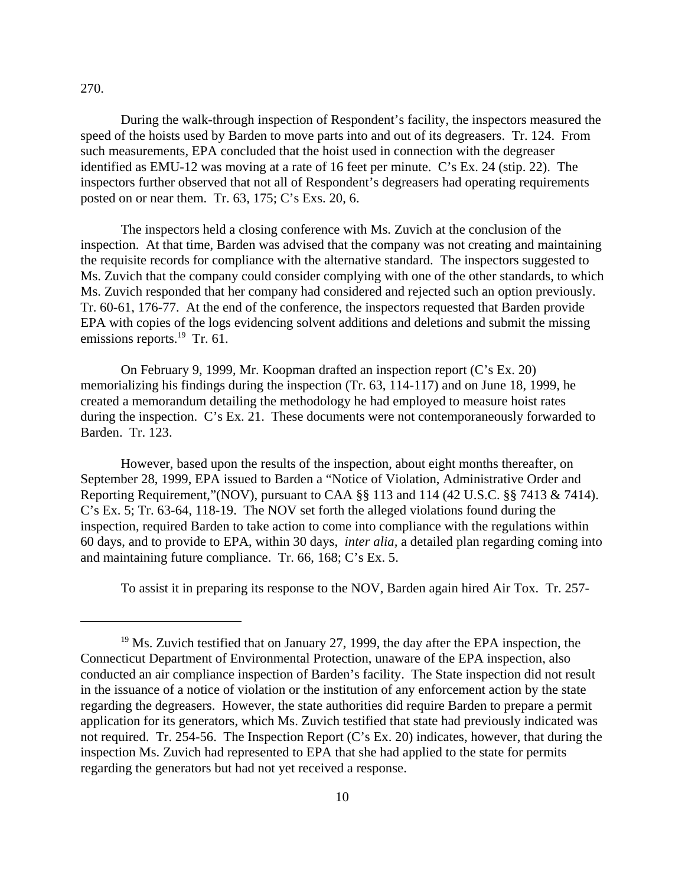### 270.

During the walk-through inspection of Respondent's facility, the inspectors measured the speed of the hoists used by Barden to move parts into and out of its degreasers. Tr. 124. From such measurements, EPA concluded that the hoist used in connection with the degreaser identified as EMU-12 was moving at a rate of 16 feet per minute. C's Ex. 24 (stip. 22). The inspectors further observed that not all of Respondent's degreasers had operating requirements posted on or near them. Tr. 63, 175; C's Exs. 20, 6.

The inspectors held a closing conference with Ms. Zuvich at the conclusion of the inspection. At that time, Barden was advised that the company was not creating and maintaining the requisite records for compliance with the alternative standard. The inspectors suggested to Ms. Zuvich that the company could consider complying with one of the other standards, to which Ms. Zuvich responded that her company had considered and rejected such an option previously. Tr. 60-61, 176-77. At the end of the conference, the inspectors requested that Barden provide EPA with copies of the logs evidencing solvent additions and deletions and submit the missing emissions reports.<sup>19</sup> Tr. 61.

On February 9, 1999, Mr. Koopman drafted an inspection report (C's Ex. 20) memorializing his findings during the inspection (Tr. 63, 114-117) and on June 18, 1999, he created a memorandum detailing the methodology he had employed to measure hoist rates during the inspection. C's Ex. 21. These documents were not contemporaneously forwarded to Barden. Tr. 123.

However, based upon the results of the inspection, about eight months thereafter, on September 28, 1999, EPA issued to Barden a "Notice of Violation, Administrative Order and Reporting Requirement,"(NOV), pursuant to CAA §§ 113 and 114 (42 U.S.C. §§ 7413 & 7414). C's Ex. 5; Tr. 63-64, 118-19. The NOV set forth the alleged violations found during the inspection, required Barden to take action to come into compliance with the regulations within 60 days, and to provide to EPA, within 30 days, *inter alia,* a detailed plan regarding coming into and maintaining future compliance. Tr. 66, 168; C's Ex. 5.

To assist it in preparing its response to the NOV, Barden again hired Air Tox. Tr. 257-

 $19$  Ms. Zuvich testified that on January 27, 1999, the day after the EPA inspection, the Connecticut Department of Environmental Protection, unaware of the EPA inspection, also conducted an air compliance inspection of Barden's facility. The State inspection did not result in the issuance of a notice of violation or the institution of any enforcement action by the state regarding the degreasers. However, the state authorities did require Barden to prepare a permit application for its generators, which Ms. Zuvich testified that state had previously indicated was not required. Tr. 254-56. The Inspection Report (C's Ex. 20) indicates, however, that during the inspection Ms. Zuvich had represented to EPA that she had applied to the state for permits regarding the generators but had not yet received a response.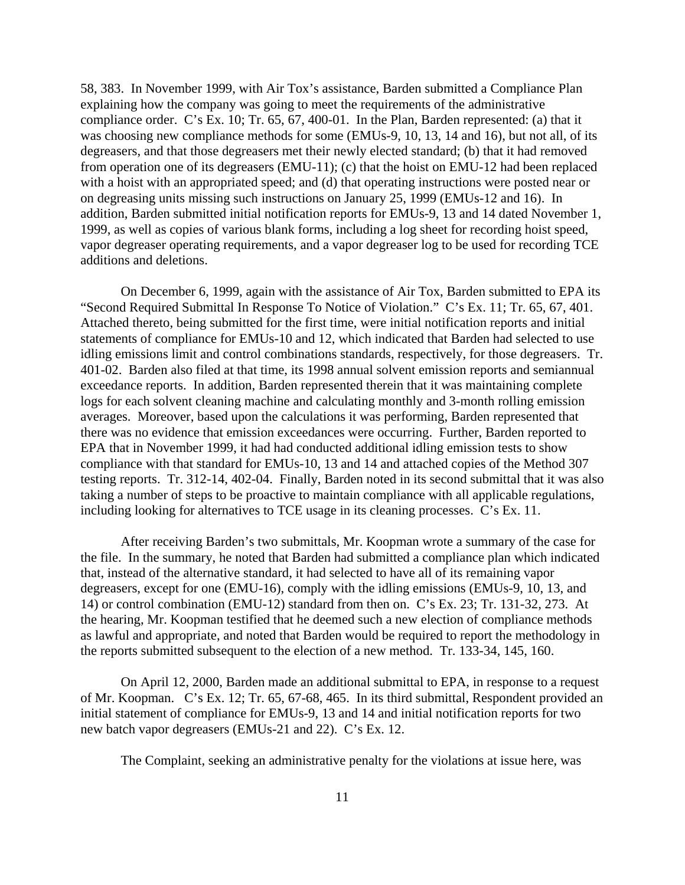58, 383. In November 1999, with Air Tox's assistance, Barden submitted a Compliance Plan explaining how the company was going to meet the requirements of the administrative compliance order. C's Ex. 10; Tr. 65, 67, 400-01. In the Plan, Barden represented: (a) that it was choosing new compliance methods for some (EMUs-9, 10, 13, 14 and 16), but not all, of its degreasers, and that those degreasers met their newly elected standard; (b) that it had removed from operation one of its degreasers (EMU-11); (c) that the hoist on EMU-12 had been replaced with a hoist with an appropriated speed; and (d) that operating instructions were posted near or on degreasing units missing such instructions on January 25, 1999 (EMUs-12 and 16). In addition, Barden submitted initial notification reports for EMUs-9, 13 and 14 dated November 1, 1999, as well as copies of various blank forms, including a log sheet for recording hoist speed, vapor degreaser operating requirements, and a vapor degreaser log to be used for recording TCE additions and deletions.

On December 6, 1999, again with the assistance of Air Tox, Barden submitted to EPA its "Second Required Submittal In Response To Notice of Violation." C's Ex. 11; Tr. 65, 67, 401. Attached thereto, being submitted for the first time, were initial notification reports and initial statements of compliance for EMUs-10 and 12, which indicated that Barden had selected to use idling emissions limit and control combinations standards, respectively, for those degreasers. Tr. 401-02. Barden also filed at that time, its 1998 annual solvent emission reports and semiannual exceedance reports. In addition, Barden represented therein that it was maintaining complete logs for each solvent cleaning machine and calculating monthly and 3-month rolling emission averages. Moreover, based upon the calculations it was performing, Barden represented that there was no evidence that emission exceedances were occurring. Further, Barden reported to EPA that in November 1999, it had had conducted additional idling emission tests to show compliance with that standard for EMUs-10, 13 and 14 and attached copies of the Method 307 testing reports. Tr. 312-14, 402-04. Finally, Barden noted in its second submittal that it was also taking a number of steps to be proactive to maintain compliance with all applicable regulations, including looking for alternatives to TCE usage in its cleaning processes. C's Ex. 11.

After receiving Barden's two submittals, Mr. Koopman wrote a summary of the case for the file. In the summary, he noted that Barden had submitted a compliance plan which indicated that, instead of the alternative standard, it had selected to have all of its remaining vapor degreasers, except for one (EMU-16), comply with the idling emissions (EMUs-9, 10, 13, and 14) or control combination (EMU-12) standard from then on. C's Ex. 23; Tr. 131-32, 273. At the hearing, Mr. Koopman testified that he deemed such a new election of compliance methods as lawful and appropriate, and noted that Barden would be required to report the methodology in the reports submitted subsequent to the election of a new method. Tr. 133-34, 145, 160.

On April 12, 2000, Barden made an additional submittal to EPA, in response to a request of Mr. Koopman. C's Ex. 12; Tr. 65, 67-68, 465. In its third submittal, Respondent provided an initial statement of compliance for EMUs-9, 13 and 14 and initial notification reports for two new batch vapor degreasers (EMUs-21 and 22). C's Ex. 12.

The Complaint, seeking an administrative penalty for the violations at issue here, was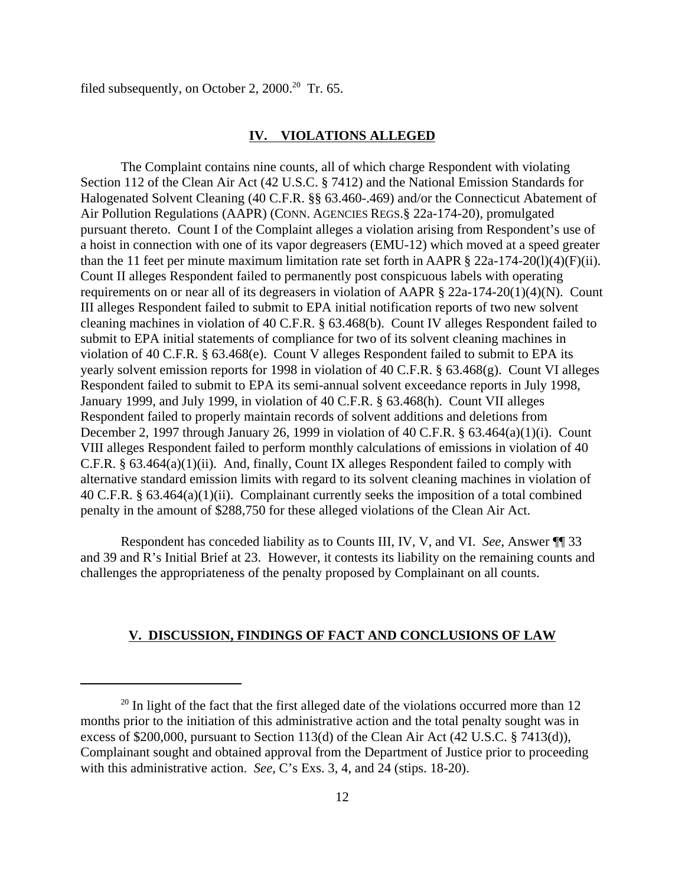filed subsequently, on October 2,  $2000$ <sup>20</sup> Tr. 65.

### **IV. VIOLATIONS ALLEGED**

The Complaint contains nine counts, all of which charge Respondent with violating Section 112 of the Clean Air Act (42 U.S.C. § 7412) and the National Emission Standards for Halogenated Solvent Cleaning (40 C.F.R. §§ 63.460-.469) and/or the Connecticut Abatement of Air Pollution Regulations (AAPR) (CONN. AGENCIES REGS.§ 22a-174-20), promulgated pursuant thereto. Count I of the Complaint alleges a violation arising from Respondent's use of a hoist in connection with one of its vapor degreasers (EMU-12) which moved at a speed greater than the 11 feet per minute maximum limitation rate set forth in AAPR § 22a-174-20(l)(4)(F)(ii). Count II alleges Respondent failed to permanently post conspicuous labels with operating requirements on or near all of its degreasers in violation of AAPR § 22a-174-20(1)(4)(N). Count III alleges Respondent failed to submit to EPA initial notification reports of two new solvent cleaning machines in violation of 40 C.F.R. § 63.468(b). Count IV alleges Respondent failed to submit to EPA initial statements of compliance for two of its solvent cleaning machines in violation of 40 C.F.R. § 63.468(e). Count V alleges Respondent failed to submit to EPA its yearly solvent emission reports for 1998 in violation of 40 C.F.R. § 63.468(g). Count VI alleges Respondent failed to submit to EPA its semi-annual solvent exceedance reports in July 1998, January 1999, and July 1999, in violation of 40 C.F.R. § 63.468(h). Count VII alleges Respondent failed to properly maintain records of solvent additions and deletions from December 2, 1997 through January 26, 1999 in violation of 40 C.F.R. § 63.464(a)(1)(i). Count VIII alleges Respondent failed to perform monthly calculations of emissions in violation of 40 C.F.R. § 63.464(a)(1)(ii). And, finally, Count IX alleges Respondent failed to comply with alternative standard emission limits with regard to its solvent cleaning machines in violation of 40 C.F.R. § 63.464(a)(1)(ii). Complainant currently seeks the imposition of a total combined penalty in the amount of \$288,750 for these alleged violations of the Clean Air Act.

Respondent has conceded liability as to Counts III, IV, V, and VI. *See*, Answer ¶¶ 33 and 39 and R's Initial Brief at 23. However, it contests its liability on the remaining counts and challenges the appropriateness of the penalty proposed by Complainant on all counts.

### **V. DISCUSSION, FINDINGS OF FACT AND CONCLUSIONS OF LAW**

 $20$  In light of the fact that the first alleged date of the violations occurred more than 12 months prior to the initiation of this administrative action and the total penalty sought was in excess of \$200,000, pursuant to Section 113(d) of the Clean Air Act (42 U.S.C. § 7413(d)), Complainant sought and obtained approval from the Department of Justice prior to proceeding with this administrative action. *See,* C's Exs. 3, 4, and 24 (stips. 18-20).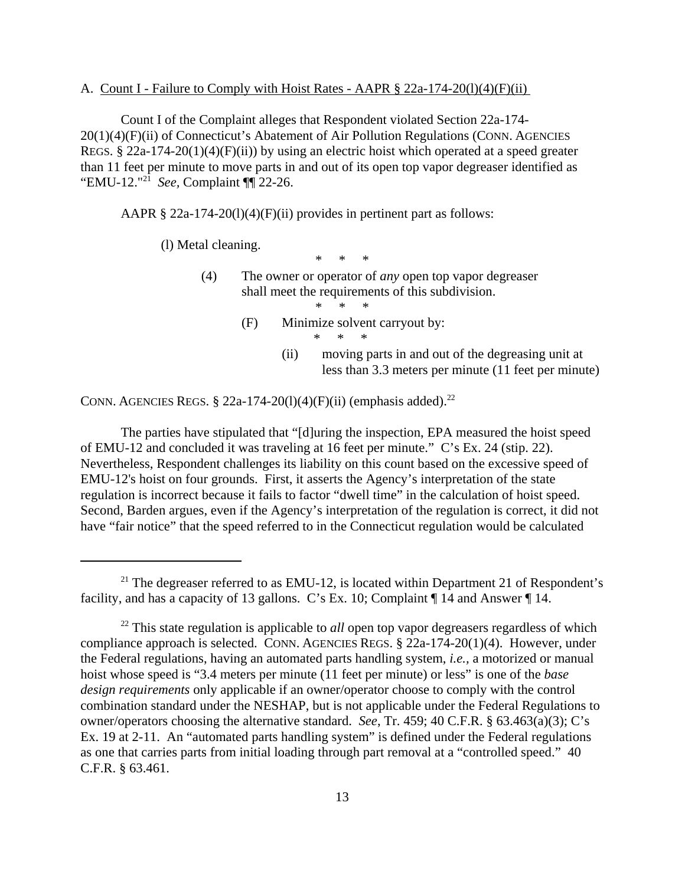#### A. Count I - Failure to Comply with Hoist Rates - AAPR  $\S$  22a-174-20(1)(4)(F)(ii)

Count I of the Complaint alleges that Respondent violated Section 22a-174 20(1)(4)(F)(ii) of Connecticut's Abatement of Air Pollution Regulations (CONN. AGENCIES REGS. § 22a-174-20(1)(4)(F)(ii)) by using an electric hoist which operated at a speed greater than 11 feet per minute to move parts in and out of its open top vapor degreaser identified as "EMU-12."21 *See,* Complaint ¶¶ 22-26.

AAPR  $\S 22a-174-20(1)(4)(F)(ii)$  provides in pertinent part as follows:

(l) Metal cleaning.

\* \* \*

(4) The owner or operator of *any* open top vapor degreaser shall meet the requirements of this subdivision. \* \* \*

- (F) Minimize solvent carryout by: \* \* \*
	- (ii) moving parts in and out of the degreasing unit at less than 3.3 meters per minute (11 feet per minute)

CONN. AGENCIES REGS.  $\S$  22a-174-20(1)(4)(F)(ii) (emphasis added).<sup>22</sup>

The parties have stipulated that "[d]uring the inspection, EPA measured the hoist speed of EMU-12 and concluded it was traveling at 16 feet per minute." C's Ex. 24 (stip. 22). Nevertheless, Respondent challenges its liability on this count based on the excessive speed of EMU-12's hoist on four grounds. First, it asserts the Agency's interpretation of the state regulation is incorrect because it fails to factor "dwell time" in the calculation of hoist speed. Second, Barden argues, even if the Agency's interpretation of the regulation is correct, it did not have "fair notice" that the speed referred to in the Connecticut regulation would be calculated

<sup>&</sup>lt;sup>21</sup> The degreaser referred to as EMU-12, is located within Department 21 of Respondent's facility, and has a capacity of 13 gallons. C's Ex. 10; Complaint ¶ 14 and Answer ¶ 14.

<sup>&</sup>lt;sup>22</sup> This state regulation is applicable to *all* open top vapor degreasers regardless of which compliance approach is selected. CONN. AGENCIES REGS. § 22a-174-20(1)(4). However, under the Federal regulations, having an automated parts handling system, *i.e.,* a motorized or manual hoist whose speed is "3.4 meters per minute (11 feet per minute) or less" is one of the *base design requirements* only applicable if an owner/operator choose to comply with the control combination standard under the NESHAP, but is not applicable under the Federal Regulations to owner/operators choosing the alternative standard. *See*, Tr. 459; 40 C.F.R. § 63.463(a)(3); C's Ex. 19 at 2-11. An "automated parts handling system" is defined under the Federal regulations as one that carries parts from initial loading through part removal at a "controlled speed." 40 C.F.R. § 63.461.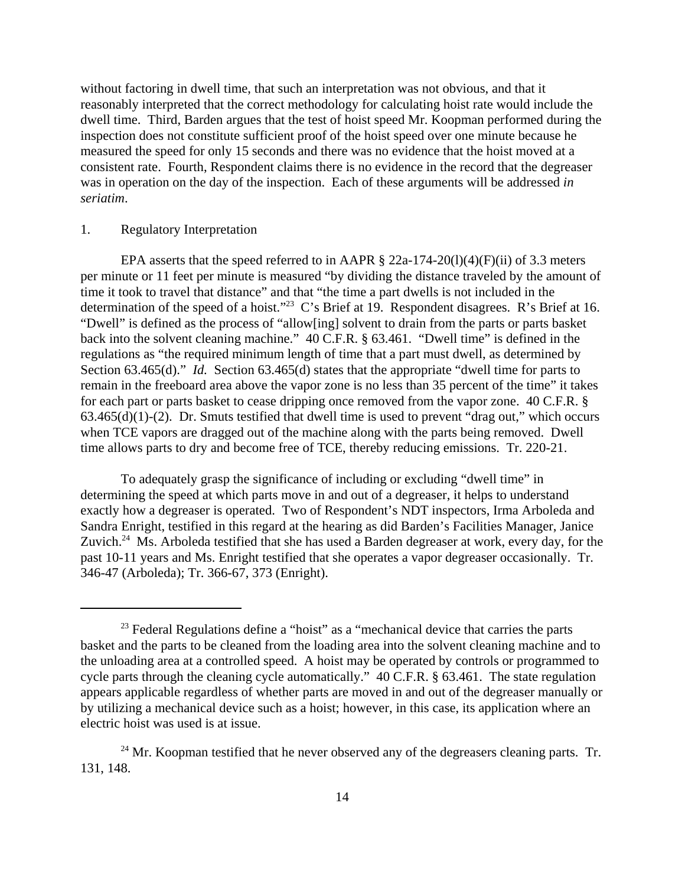without factoring in dwell time, that such an interpretation was not obvious, and that it reasonably interpreted that the correct methodology for calculating hoist rate would include the dwell time. Third, Barden argues that the test of hoist speed Mr. Koopman performed during the inspection does not constitute sufficient proof of the hoist speed over one minute because he measured the speed for only 15 seconds and there was no evidence that the hoist moved at a consistent rate. Fourth, Respondent claims there is no evidence in the record that the degreaser was in operation on the day of the inspection. Each of these arguments will be addressed *in seriatim*.

### 1. Regulatory Interpretation

EPA asserts that the speed referred to in AAPR  $\S$  22a-174-20(1)(4)(F)(ii) of 3.3 meters per minute or 11 feet per minute is measured "by dividing the distance traveled by the amount of time it took to travel that distance" and that "the time a part dwells is not included in the determination of the speed of a hoist."<sup>23</sup> C's Brief at 19. Respondent disagrees. R's Brief at 16. "Dwell" is defined as the process of "allow[ing] solvent to drain from the parts or parts basket back into the solvent cleaning machine." 40 C.F.R. § 63.461. "Dwell time" is defined in the regulations as "the required minimum length of time that a part must dwell, as determined by Section 63.465(d)." *Id.* Section 63.465(d) states that the appropriate "dwell time for parts to remain in the freeboard area above the vapor zone is no less than 35 percent of the time" it takes for each part or parts basket to cease dripping once removed from the vapor zone. 40 C.F.R. §  $63.465(d)(1)-(2)$ . Dr. Smuts testified that dwell time is used to prevent "drag out," which occurs when TCE vapors are dragged out of the machine along with the parts being removed. Dwell time allows parts to dry and become free of TCE, thereby reducing emissions. Tr. 220-21.

To adequately grasp the significance of including or excluding "dwell time" in determining the speed at which parts move in and out of a degreaser, it helps to understand exactly how a degreaser is operated. Two of Respondent's NDT inspectors, Irma Arboleda and Sandra Enright, testified in this regard at the hearing as did Barden's Facilities Manager, Janice Zuvich.<sup>24</sup> Ms. Arboleda testified that she has used a Barden degreaser at work, every day, for the past 10-11 years and Ms. Enright testified that she operates a vapor degreaser occasionally. Tr. 346-47 (Arboleda); Tr. 366-67, 373 (Enright).

 $23$  Federal Regulations define a "hoist" as a "mechanical device that carries the parts basket and the parts to be cleaned from the loading area into the solvent cleaning machine and to the unloading area at a controlled speed. A hoist may be operated by controls or programmed to cycle parts through the cleaning cycle automatically." 40 C.F.R. § 63.461. The state regulation appears applicable regardless of whether parts are moved in and out of the degreaser manually or by utilizing a mechanical device such as a hoist; however, in this case, its application where an electric hoist was used is at issue.

 $^{24}$  Mr. Koopman testified that he never observed any of the degreasers cleaning parts. Tr. 131, 148.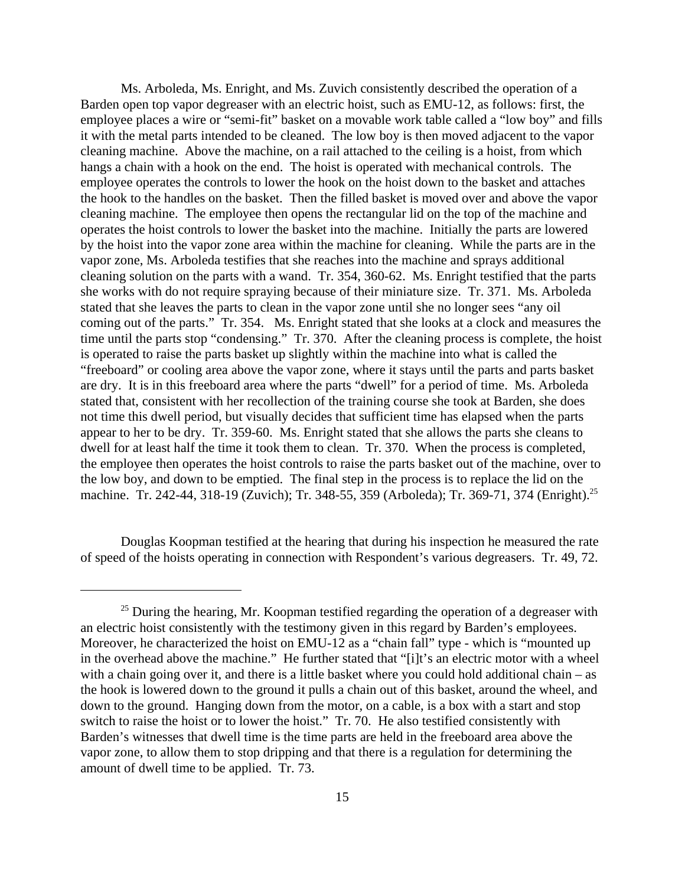Ms. Arboleda, Ms. Enright, and Ms. Zuvich consistently described the operation of a Barden open top vapor degreaser with an electric hoist, such as EMU-12, as follows: first, the employee places a wire or "semi-fit" basket on a movable work table called a "low boy" and fills it with the metal parts intended to be cleaned. The low boy is then moved adjacent to the vapor cleaning machine. Above the machine, on a rail attached to the ceiling is a hoist, from which hangs a chain with a hook on the end. The hoist is operated with mechanical controls. The employee operates the controls to lower the hook on the hoist down to the basket and attaches the hook to the handles on the basket. Then the filled basket is moved over and above the vapor cleaning machine. The employee then opens the rectangular lid on the top of the machine and operates the hoist controls to lower the basket into the machine. Initially the parts are lowered by the hoist into the vapor zone area within the machine for cleaning. While the parts are in the vapor zone, Ms. Arboleda testifies that she reaches into the machine and sprays additional cleaning solution on the parts with a wand. Tr. 354, 360-62. Ms. Enright testified that the parts she works with do not require spraying because of their miniature size. Tr. 371. Ms. Arboleda stated that she leaves the parts to clean in the vapor zone until she no longer sees "any oil coming out of the parts." Tr. 354. Ms. Enright stated that she looks at a clock and measures the time until the parts stop "condensing." Tr. 370. After the cleaning process is complete, the hoist is operated to raise the parts basket up slightly within the machine into what is called the "freeboard" or cooling area above the vapor zone, where it stays until the parts and parts basket are dry. It is in this freeboard area where the parts "dwell" for a period of time. Ms. Arboleda stated that, consistent with her recollection of the training course she took at Barden, she does not time this dwell period, but visually decides that sufficient time has elapsed when the parts appear to her to be dry. Tr. 359-60. Ms. Enright stated that she allows the parts she cleans to dwell for at least half the time it took them to clean. Tr. 370. When the process is completed, the employee then operates the hoist controls to raise the parts basket out of the machine, over to the low boy, and down to be emptied. The final step in the process is to replace the lid on the machine. Tr. 242-44, 318-19 (Zuvich); Tr. 348-55, 359 (Arboleda); Tr. 369-71, 374 (Enright).<sup>25</sup>

Douglas Koopman testified at the hearing that during his inspection he measured the rate of speed of the hoists operating in connection with Respondent's various degreasers. Tr. 49, 72.

 $25$  During the hearing, Mr. Koopman testified regarding the operation of a degreaser with an electric hoist consistently with the testimony given in this regard by Barden's employees. Moreover, he characterized the hoist on EMU-12 as a "chain fall" type - which is "mounted up in the overhead above the machine." He further stated that "[i]t's an electric motor with a wheel with a chain going over it, and there is a little basket where you could hold additional chain – as the hook is lowered down to the ground it pulls a chain out of this basket, around the wheel, and down to the ground. Hanging down from the motor, on a cable, is a box with a start and stop switch to raise the hoist or to lower the hoist." Tr. 70. He also testified consistently with Barden's witnesses that dwell time is the time parts are held in the freeboard area above the vapor zone, to allow them to stop dripping and that there is a regulation for determining the amount of dwell time to be applied. Tr. 73.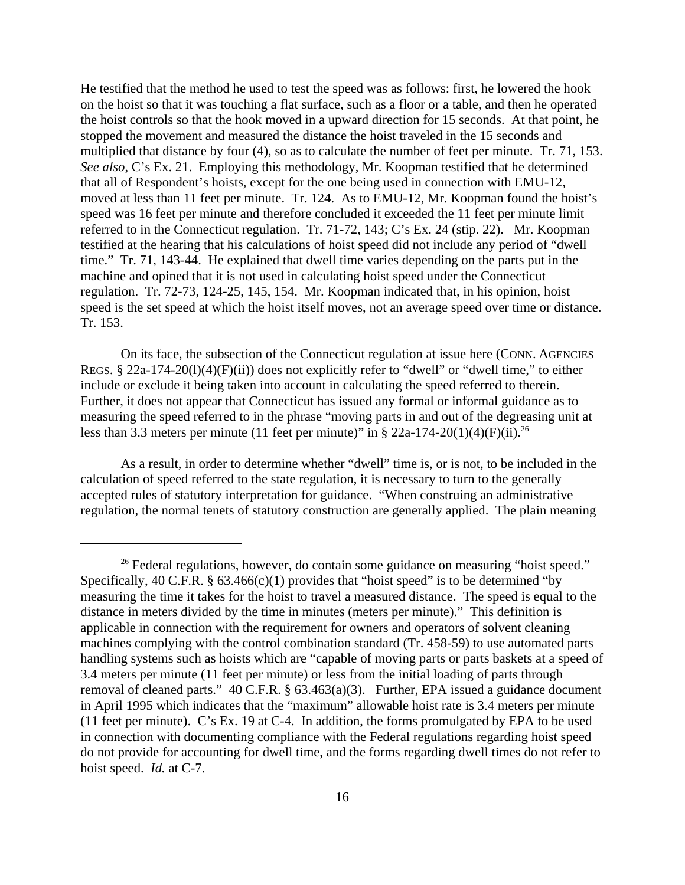He testified that the method he used to test the speed was as follows: first, he lowered the hook on the hoist so that it was touching a flat surface, such as a floor or a table, and then he operated the hoist controls so that the hook moved in a upward direction for 15 seconds. At that point, he stopped the movement and measured the distance the hoist traveled in the 15 seconds and multiplied that distance by four (4), so as to calculate the number of feet per minute. Tr. 71, 153. *See also*, C's Ex. 21. Employing this methodology, Mr. Koopman testified that he determined that all of Respondent's hoists, except for the one being used in connection with EMU-12, moved at less than 11 feet per minute. Tr. 124. As to EMU-12, Mr. Koopman found the hoist's speed was 16 feet per minute and therefore concluded it exceeded the 11 feet per minute limit referred to in the Connecticut regulation. Tr. 71-72, 143; C's Ex. 24 (stip. 22). Mr. Koopman testified at the hearing that his calculations of hoist speed did not include any period of "dwell time." Tr. 71, 143-44. He explained that dwell time varies depending on the parts put in the machine and opined that it is not used in calculating hoist speed under the Connecticut regulation. Tr. 72-73, 124-25, 145, 154. Mr. Koopman indicated that, in his opinion, hoist speed is the set speed at which the hoist itself moves, not an average speed over time or distance. Tr. 153.

On its face, the subsection of the Connecticut regulation at issue here (CONN. AGENCIES REGS. § 22a-174-20(l)(4)(F)(ii)) does not explicitly refer to "dwell" or "dwell time," to either include or exclude it being taken into account in calculating the speed referred to therein. Further, it does not appear that Connecticut has issued any formal or informal guidance as to measuring the speed referred to in the phrase "moving parts in and out of the degreasing unit at less than 3.3 meters per minute (11 feet per minute)" in § 22a-174-20(1)(4)(F)(ii).<sup>26</sup>

As a result, in order to determine whether "dwell" time is, or is not, to be included in the calculation of speed referred to the state regulation, it is necessary to turn to the generally accepted rules of statutory interpretation for guidance. "When construing an administrative regulation, the normal tenets of statutory construction are generally applied. The plain meaning

 $26$  Federal regulations, however, do contain some guidance on measuring "hoist speed." Specifically, 40 C.F.R.  $\S$  63.466(c)(1) provides that "hoist speed" is to be determined "by measuring the time it takes for the hoist to travel a measured distance. The speed is equal to the distance in meters divided by the time in minutes (meters per minute)." This definition is applicable in connection with the requirement for owners and operators of solvent cleaning machines complying with the control combination standard (Tr. 458-59) to use automated parts handling systems such as hoists which are "capable of moving parts or parts baskets at a speed of 3.4 meters per minute (11 feet per minute) or less from the initial loading of parts through removal of cleaned parts." 40 C.F.R. § 63.463(a)(3). Further, EPA issued a guidance document in April 1995 which indicates that the "maximum" allowable hoist rate is 3.4 meters per minute (11 feet per minute). C's Ex. 19 at C-4. In addition, the forms promulgated by EPA to be used in connection with documenting compliance with the Federal regulations regarding hoist speed do not provide for accounting for dwell time, and the forms regarding dwell times do not refer to hoist speed. *Id.* at C-7.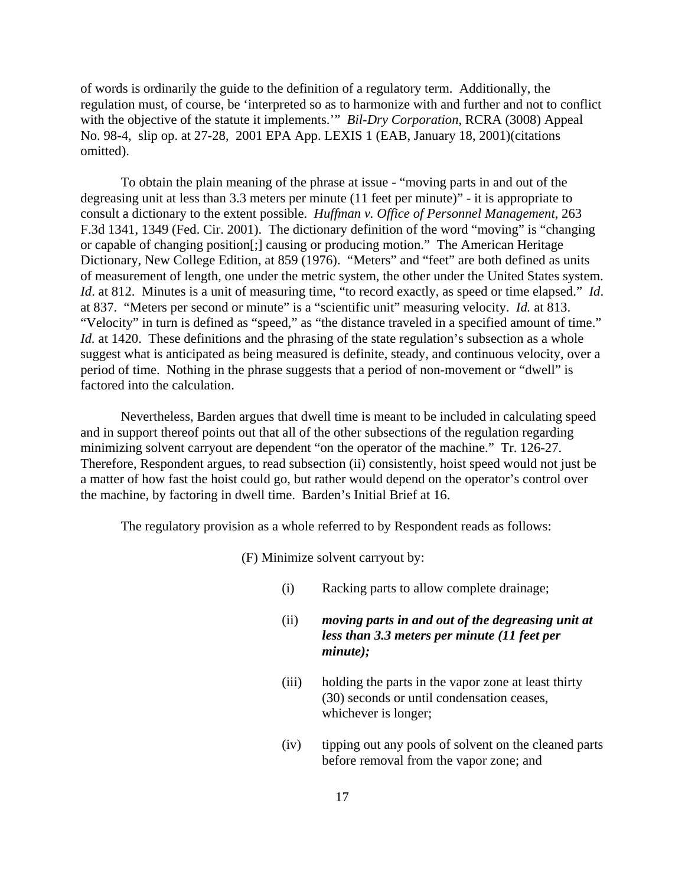of words is ordinarily the guide to the definition of a regulatory term. Additionally, the regulation must, of course, be 'interpreted so as to harmonize with and further and not to conflict with the objective of the statute it implements.'" *Bil-Dry Corporation*, RCRA (3008) Appeal No. 98-4, slip op. at 27-28, 2001 EPA App. LEXIS 1 (EAB, January 18, 2001)(citations omitted).

To obtain the plain meaning of the phrase at issue - "moving parts in and out of the degreasing unit at less than 3.3 meters per minute (11 feet per minute)" - it is appropriate to consult a dictionary to the extent possible. *Huffman v. Office of Personnel Management*, 263 F.3d 1341, 1349 (Fed. Cir. 2001). The dictionary definition of the word "moving" is "changing or capable of changing position[;] causing or producing motion." The American Heritage Dictionary, New College Edition, at 859 (1976). "Meters" and "feet" are both defined as units of measurement of length, one under the metric system, the other under the United States system. *Id*. at 812. Minutes is a unit of measuring time, "to record exactly, as speed or time elapsed." *Id*. at 837. "Meters per second or minute" is a "scientific unit" measuring velocity. *Id.* at 813. "Velocity" in turn is defined as "speed," as "the distance traveled in a specified amount of time." *Id.* at 1420. These definitions and the phrasing of the state regulation's subsection as a whole suggest what is anticipated as being measured is definite, steady, and continuous velocity, over a period of time. Nothing in the phrase suggests that a period of non-movement or "dwell" is factored into the calculation.

Nevertheless, Barden argues that dwell time is meant to be included in calculating speed and in support thereof points out that all of the other subsections of the regulation regarding minimizing solvent carryout are dependent "on the operator of the machine." Tr. 126-27. Therefore, Respondent argues, to read subsection (ii) consistently, hoist speed would not just be a matter of how fast the hoist could go, but rather would depend on the operator's control over the machine, by factoring in dwell time. Barden's Initial Brief at 16.

The regulatory provision as a whole referred to by Respondent reads as follows:

(F) Minimize solvent carryout by:

- (i) Racking parts to allow complete drainage;
- (ii) *moving parts in and out of the degreasing unit at less than 3.3 meters per minute (11 feet per minute);*
- $(iii)$ holding the parts in the vapor zone at least thirty (30) seconds or until condensation ceases, whichever is longer;
- $(iv)$ tipping out any pools of solvent on the cleaned parts before removal from the vapor zone; and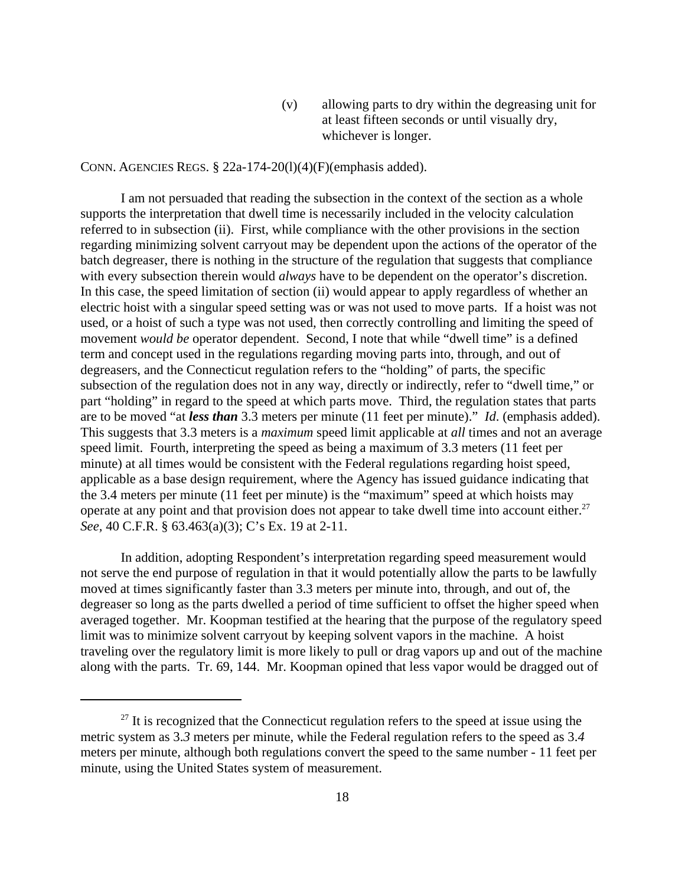(v) allowing parts to dry within the degreasing unit for at least fifteen seconds or until visually dry, whichever is longer.

CONN. AGENCIES REGS.  $\S$  22a-174-20(1)(4)(F)(emphasis added).

I am not persuaded that reading the subsection in the context of the section as a whole supports the interpretation that dwell time is necessarily included in the velocity calculation referred to in subsection (ii). First, while compliance with the other provisions in the section regarding minimizing solvent carryout may be dependent upon the actions of the operator of the batch degreaser, there is nothing in the structure of the regulation that suggests that compliance with every subsection therein would *always* have to be dependent on the operator's discretion. In this case, the speed limitation of section (ii) would appear to apply regardless of whether an electric hoist with a singular speed setting was or was not used to move parts. If a hoist was not used, or a hoist of such a type was not used, then correctly controlling and limiting the speed of movement *would be* operator dependent. Second, I note that while "dwell time" is a defined term and concept used in the regulations regarding moving parts into, through, and out of degreasers, and the Connecticut regulation refers to the "holding" of parts, the specific subsection of the regulation does not in any way, directly or indirectly, refer to "dwell time," or part "holding" in regard to the speed at which parts move. Third, the regulation states that parts are to be moved "at *less than* 3.3 meters per minute (11 feet per minute)." *Id*. (emphasis added). This suggests that 3.3 meters is a *maximum* speed limit applicable at *all* times and not an average speed limit. Fourth, interpreting the speed as being a maximum of 3.3 meters (11 feet per minute) at all times would be consistent with the Federal regulations regarding hoist speed, applicable as a base design requirement, where the Agency has issued guidance indicating that the 3.4 meters per minute (11 feet per minute) is the "maximum" speed at which hoists may operate at any point and that provision does not appear to take dwell time into account either.<sup>27</sup> *See,* 40 C.F.R. § 63.463(a)(3); C's Ex. 19 at 2-11.

In addition, adopting Respondent's interpretation regarding speed measurement would not serve the end purpose of regulation in that it would potentially allow the parts to be lawfully moved at times significantly faster than 3.3 meters per minute into, through, and out of, the degreaser so long as the parts dwelled a period of time sufficient to offset the higher speed when averaged together. Mr. Koopman testified at the hearing that the purpose of the regulatory speed limit was to minimize solvent carryout by keeping solvent vapors in the machine. A hoist traveling over the regulatory limit is more likely to pull or drag vapors up and out of the machine along with the parts. Tr. 69, 144. Mr. Koopman opined that less vapor would be dragged out of

 $27$  It is recognized that the Connecticut regulation refers to the speed at issue using the metric system as 3.*3* meters per minute, while the Federal regulation refers to the speed as 3.*4*  meters per minute, although both regulations convert the speed to the same number - 11 feet per minute, using the United States system of measurement.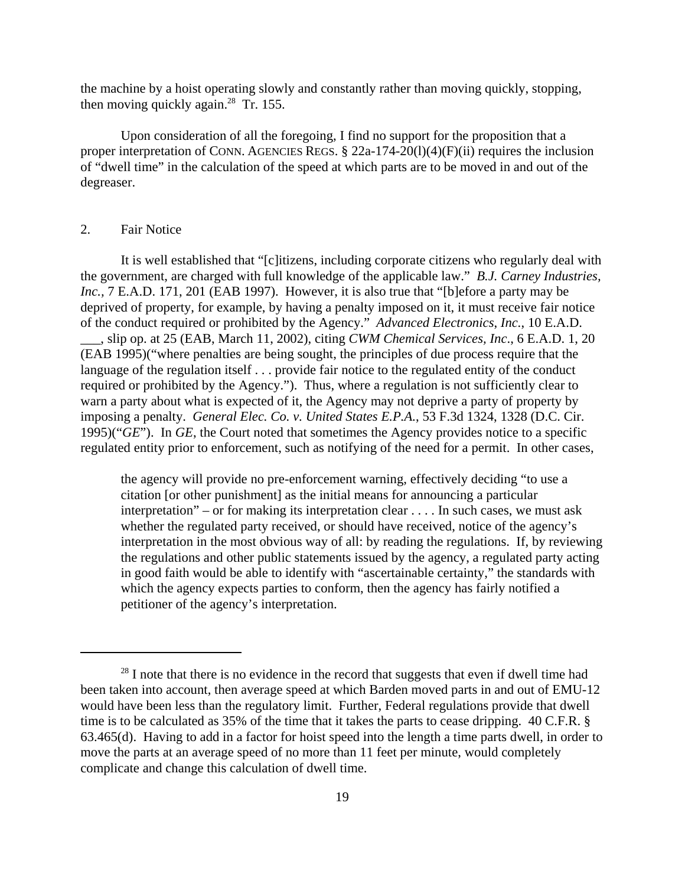the machine by a hoist operating slowly and constantly rather than moving quickly, stopping, then moving quickly again.<sup>28</sup> Tr. 155.

Upon consideration of all the foregoing, I find no support for the proposition that a proper interpretation of CONN. AGENCIES REGS.  $\S$  22a-174-20(1)(4)(F)(ii) requires the inclusion of "dwell time" in the calculation of the speed at which parts are to be moved in and out of the degreaser.

### 2. Fair Notice

It is well established that "[c]itizens, including corporate citizens who regularly deal with the government, are charged with full knowledge of the applicable law." *B.J. Carney Industries, Inc., 7 E.A.D.* 171, 201 (EAB 1997). However, it is also true that "[b]efore a party may be deprived of property, for example, by having a penalty imposed on it, it must receive fair notice of the conduct required or prohibited by the Agency." *Advanced Electronics*, *Inc.*, 10 E.A.D. \_\_\_, slip op. at 25 (EAB, March 11, 2002), citing *CWM Chemical Services, Inc*., 6 E.A.D. 1, 20 (EAB 1995)("where penalties are being sought, the principles of due process require that the language of the regulation itself . . . provide fair notice to the regulated entity of the conduct required or prohibited by the Agency."). Thus, where a regulation is not sufficiently clear to warn a party about what is expected of it, the Agency may not deprive a party of property by imposing a penalty. *General Elec. Co. v. United States E.P.A.*, 53 F.3d 1324, 1328 (D.C. Cir. 1995)("*GE*"). In *GE*, the Court noted that sometimes the Agency provides notice to a specific regulated entity prior to enforcement, such as notifying of the need for a permit. In other cases,

the agency will provide no pre-enforcement warning, effectively deciding "to use a citation [or other punishment] as the initial means for announcing a particular interpretation" – or for making its interpretation clear . . . . In such cases, we must ask whether the regulated party received, or should have received, notice of the agency's interpretation in the most obvious way of all: by reading the regulations. If, by reviewing the regulations and other public statements issued by the agency, a regulated party acting in good faith would be able to identify with "ascertainable certainty," the standards with which the agency expects parties to conform, then the agency has fairly notified a petitioner of the agency's interpretation.

 $28$  I note that there is no evidence in the record that suggests that even if dwell time had been taken into account, then average speed at which Barden moved parts in and out of EMU-12 would have been less than the regulatory limit. Further, Federal regulations provide that dwell time is to be calculated as 35% of the time that it takes the parts to cease dripping. 40 C.F.R. § 63.465(d). Having to add in a factor for hoist speed into the length a time parts dwell, in order to move the parts at an average speed of no more than 11 feet per minute, would completely complicate and change this calculation of dwell time.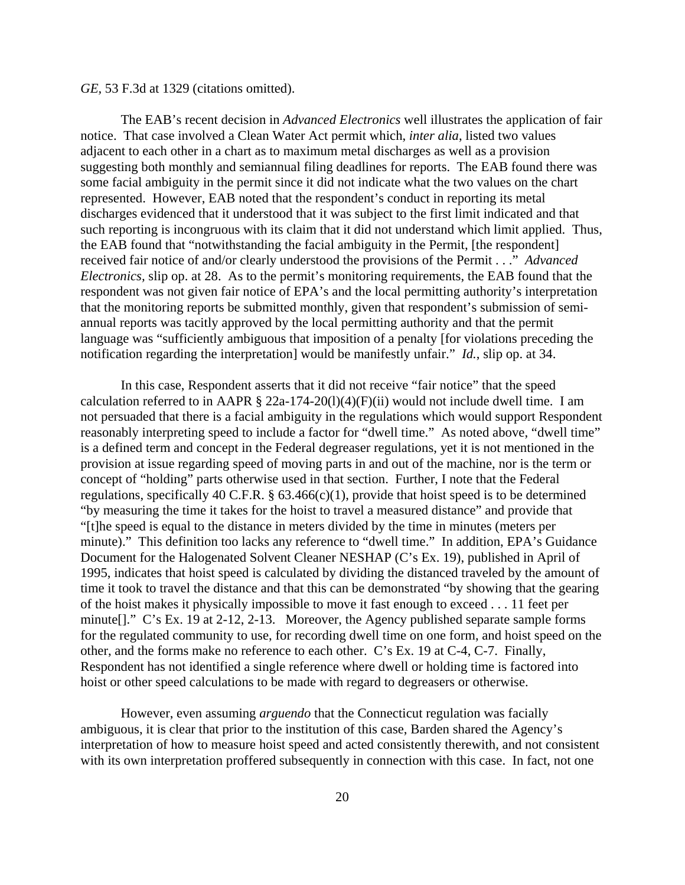*GE,* 53 F.3d at 1329 (citations omitted).

The EAB's recent decision in *Advanced Electronics* well illustrates the application of fair notice. That case involved a Clean Water Act permit which, *inter alia*, listed two values adjacent to each other in a chart as to maximum metal discharges as well as a provision suggesting both monthly and semiannual filing deadlines for reports. The EAB found there was some facial ambiguity in the permit since it did not indicate what the two values on the chart represented. However, EAB noted that the respondent's conduct in reporting its metal discharges evidenced that it understood that it was subject to the first limit indicated and that such reporting is incongruous with its claim that it did not understand which limit applied. Thus, the EAB found that "notwithstanding the facial ambiguity in the Permit, [the respondent] received fair notice of and/or clearly understood the provisions of the Permit . . ." *Advanced Electronics,* slip op. at 28. As to the permit's monitoring requirements, the EAB found that the respondent was not given fair notice of EPA's and the local permitting authority's interpretation that the monitoring reports be submitted monthly, given that respondent's submission of semiannual reports was tacitly approved by the local permitting authority and that the permit language was "sufficiently ambiguous that imposition of a penalty [for violations preceding the notification regarding the interpretation] would be manifestly unfair." *Id.*, slip op. at 34.

In this case, Respondent asserts that it did not receive "fair notice" that the speed calculation referred to in AAPR  $\S$  22a-174-20(1)(4)(F)(ii) would not include dwell time. I am not persuaded that there is a facial ambiguity in the regulations which would support Respondent reasonably interpreting speed to include a factor for "dwell time." As noted above, "dwell time" is a defined term and concept in the Federal degreaser regulations, yet it is not mentioned in the provision at issue regarding speed of moving parts in and out of the machine, nor is the term or concept of "holding" parts otherwise used in that section. Further, I note that the Federal regulations, specifically 40 C.F.R.  $\S$  63.466(c)(1), provide that hoist speed is to be determined "by measuring the time it takes for the hoist to travel a measured distance" and provide that "[t]he speed is equal to the distance in meters divided by the time in minutes (meters per minute)." This definition too lacks any reference to "dwell time." In addition, EPA's Guidance Document for the Halogenated Solvent Cleaner NESHAP (C's Ex. 19), published in April of 1995, indicates that hoist speed is calculated by dividing the distanced traveled by the amount of time it took to travel the distance and that this can be demonstrated "by showing that the gearing of the hoist makes it physically impossible to move it fast enough to exceed . . . 11 feet per minute[]." C's Ex. 19 at 2-12, 2-13. Moreover, the Agency published separate sample forms for the regulated community to use, for recording dwell time on one form, and hoist speed on the other, and the forms make no reference to each other. C's Ex. 19 at C-4, C-7. Finally, Respondent has not identified a single reference where dwell or holding time is factored into hoist or other speed calculations to be made with regard to degreasers or otherwise.

However, even assuming *arguendo* that the Connecticut regulation was facially ambiguous, it is clear that prior to the institution of this case, Barden shared the Agency's interpretation of how to measure hoist speed and acted consistently therewith, and not consistent with its own interpretation proffered subsequently in connection with this case. In fact, not one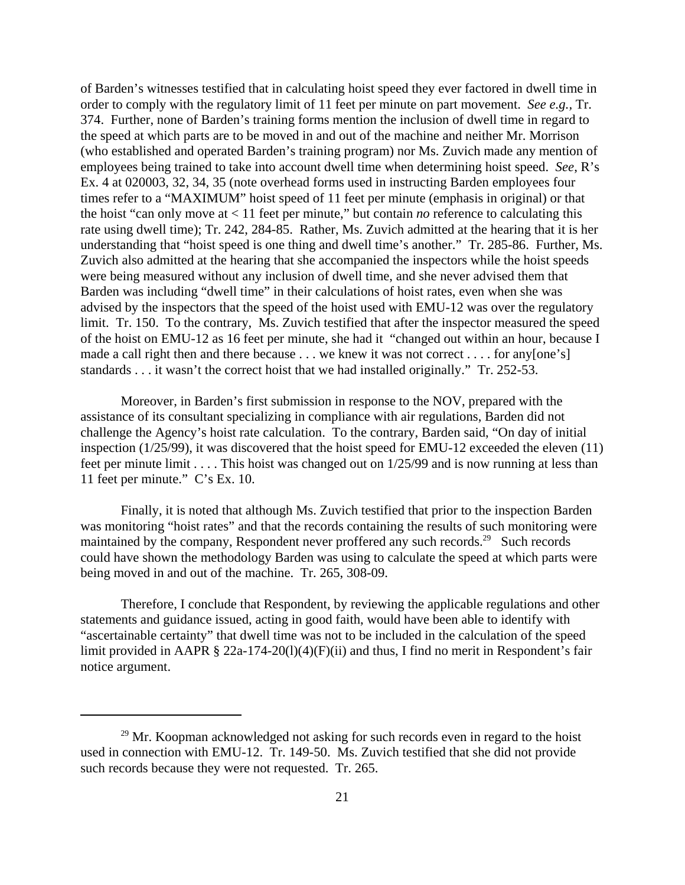of Barden's witnesses testified that in calculating hoist speed they ever factored in dwell time in order to comply with the regulatory limit of 11 feet per minute on part movement. *See e.g.,* Tr. 374. Further, none of Barden's training forms mention the inclusion of dwell time in regard to the speed at which parts are to be moved in and out of the machine and neither Mr. Morrison (who established and operated Barden's training program) nor Ms. Zuvich made any mention of employees being trained to take into account dwell time when determining hoist speed. *See*, R's Ex. 4 at 020003, 32, 34, 35 (note overhead forms used in instructing Barden employees four times refer to a "MAXIMUM" hoist speed of 11 feet per minute (emphasis in original) or that the hoist "can only move at < 11 feet per minute," but contain *no* reference to calculating this rate using dwell time); Tr. 242, 284-85. Rather, Ms. Zuvich admitted at the hearing that it is her understanding that "hoist speed is one thing and dwell time's another." Tr. 285-86. Further, Ms. Zuvich also admitted at the hearing that she accompanied the inspectors while the hoist speeds were being measured without any inclusion of dwell time, and she never advised them that Barden was including "dwell time" in their calculations of hoist rates, even when she was advised by the inspectors that the speed of the hoist used with EMU-12 was over the regulatory limit. Tr. 150. To the contrary, Ms. Zuvich testified that after the inspector measured the speed of the hoist on EMU-12 as 16 feet per minute, she had it "changed out within an hour, because I made a call right then and there because . . . we knew it was not correct . . . . for any [one's] standards . . . it wasn't the correct hoist that we had installed originally." Tr. 252-53.

Moreover, in Barden's first submission in response to the NOV, prepared with the assistance of its consultant specializing in compliance with air regulations, Barden did not challenge the Agency's hoist rate calculation. To the contrary, Barden said, "On day of initial inspection (1/25/99), it was discovered that the hoist speed for EMU-12 exceeded the eleven (11) feet per minute limit . . . . This hoist was changed out on 1/25/99 and is now running at less than 11 feet per minute." C's Ex. 10.

Finally, it is noted that although Ms. Zuvich testified that prior to the inspection Barden was monitoring "hoist rates" and that the records containing the results of such monitoring were maintained by the company, Respondent never proffered any such records.<sup>29</sup> Such records could have shown the methodology Barden was using to calculate the speed at which parts were being moved in and out of the machine. Tr. 265, 308-09.

Therefore, I conclude that Respondent, by reviewing the applicable regulations and other statements and guidance issued, acting in good faith, would have been able to identify with "ascertainable certainty" that dwell time was not to be included in the calculation of the speed limit provided in AAPR § 22a-174-20(1)(4)(F)(ii) and thus, I find no merit in Respondent's fair notice argument.

<sup>&</sup>lt;sup>29</sup> Mr. Koopman acknowledged not asking for such records even in regard to the hoist used in connection with EMU-12. Tr. 149-50. Ms. Zuvich testified that she did not provide such records because they were not requested. Tr. 265.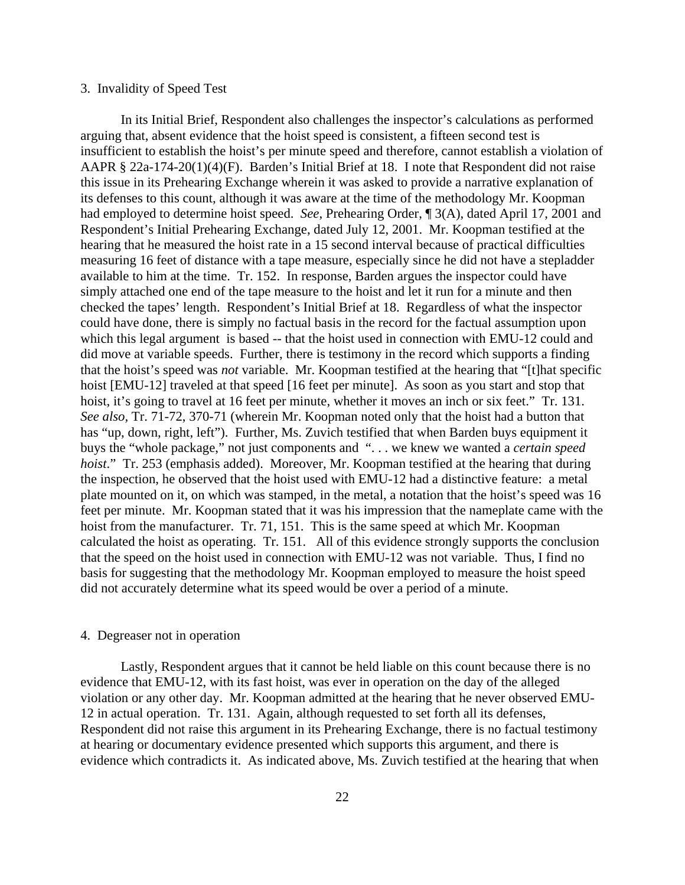### 3. Invalidity of Speed Test

In its Initial Brief, Respondent also challenges the inspector's calculations as performed arguing that, absent evidence that the hoist speed is consistent, a fifteen second test is insufficient to establish the hoist's per minute speed and therefore, cannot establish a violation of AAPR § 22a-174-20(1)(4)(F). Barden's Initial Brief at 18. I note that Respondent did not raise this issue in its Prehearing Exchange wherein it was asked to provide a narrative explanation of its defenses to this count, although it was aware at the time of the methodology Mr. Koopman had employed to determine hoist speed. *See*, Prehearing Order, ¶ 3(A), dated April 17, 2001 and Respondent's Initial Prehearing Exchange, dated July 12, 2001. Mr. Koopman testified at the hearing that he measured the hoist rate in a 15 second interval because of practical difficulties measuring 16 feet of distance with a tape measure, especially since he did not have a stepladder available to him at the time. Tr. 152. In response, Barden argues the inspector could have simply attached one end of the tape measure to the hoist and let it run for a minute and then checked the tapes' length. Respondent's Initial Brief at 18. Regardless of what the inspector could have done, there is simply no factual basis in the record for the factual assumption upon which this legal argument is based -- that the hoist used in connection with EMU-12 could and did move at variable speeds. Further, there is testimony in the record which supports a finding that the hoist's speed was *not* variable. Mr. Koopman testified at the hearing that "[t]hat specific hoist [EMU-12] traveled at that speed [16 feet per minute]. As soon as you start and stop that hoist, it's going to travel at 16 feet per minute, whether it moves an inch or six feet." Tr. 131. *See also,* Tr. 71-72, 370-71 (wherein Mr. Koopman noted only that the hoist had a button that has "up, down, right, left"). Further, Ms. Zuvich testified that when Barden buys equipment it buys the "whole package," not just components and ". . . we knew we wanted a *certain speed hoist.*" Tr. 253 (emphasis added). Moreover, Mr. Koopman testified at the hearing that during the inspection, he observed that the hoist used with EMU-12 had a distinctive feature: a metal plate mounted on it, on which was stamped, in the metal, a notation that the hoist's speed was 16 feet per minute. Mr. Koopman stated that it was his impression that the nameplate came with the hoist from the manufacturer. Tr. 71, 151. This is the same speed at which Mr. Koopman calculated the hoist as operating. Tr. 151. All of this evidence strongly supports the conclusion that the speed on the hoist used in connection with EMU-12 was not variable. Thus, I find no basis for suggesting that the methodology Mr. Koopman employed to measure the hoist speed did not accurately determine what its speed would be over a period of a minute.

#### 4. Degreaser not in operation

Lastly, Respondent argues that it cannot be held liable on this count because there is no evidence that EMU-12, with its fast hoist, was ever in operation on the day of the alleged violation or any other day. Mr. Koopman admitted at the hearing that he never observed EMU-12 in actual operation. Tr. 131. Again, although requested to set forth all its defenses, Respondent did not raise this argument in its Prehearing Exchange, there is no factual testimony at hearing or documentary evidence presented which supports this argument, and there is evidence which contradicts it. As indicated above, Ms. Zuvich testified at the hearing that when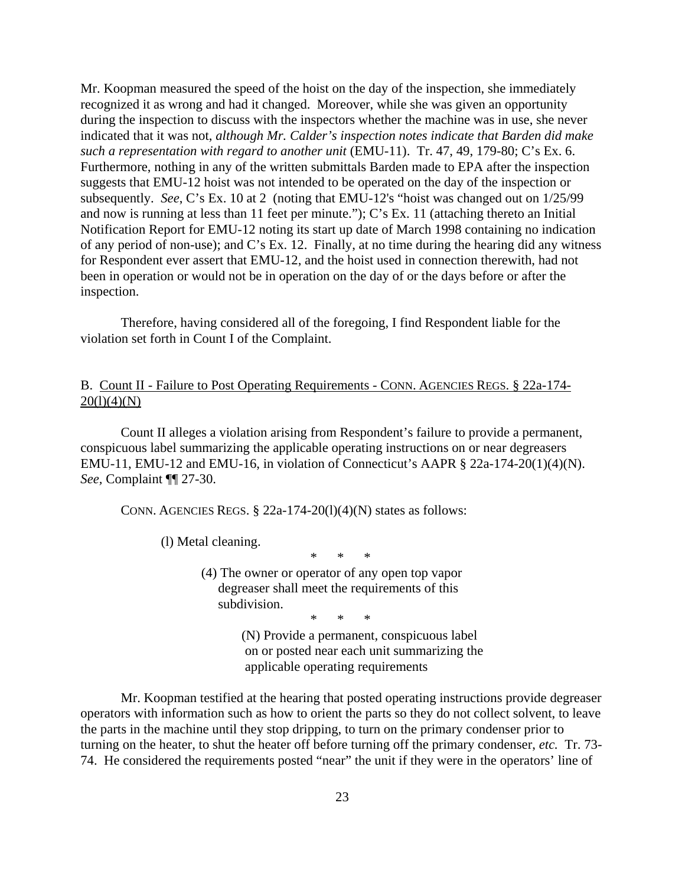Mr. Koopman measured the speed of the hoist on the day of the inspection, she immediately recognized it as wrong and had it changed. Moreover, while she was given an opportunity during the inspection to discuss with the inspectors whether the machine was in use, she never indicated that it was not, *although Mr. Calder's inspection notes indicate that Barden did make such a representation with regard to another unit* (EMU-11). Tr. 47, 49, 179-80; C's Ex. 6. Furthermore, nothing in any of the written submittals Barden made to EPA after the inspection suggests that EMU-12 hoist was not intended to be operated on the day of the inspection or subsequently. *See*, C's Ex. 10 at 2 (noting that EMU-12's "hoist was changed out on 1/25/99 and now is running at less than 11 feet per minute."); C's Ex. 11 (attaching thereto an Initial Notification Report for EMU-12 noting its start up date of March 1998 containing no indication of any period of non-use); and C's Ex. 12. Finally, at no time during the hearing did any witness for Respondent ever assert that EMU-12, and the hoist used in connection therewith, had not been in operation or would not be in operation on the day of or the days before or after the inspection.

Therefore, having considered all of the foregoing, I find Respondent liable for the violation set forth in Count I of the Complaint.

# B. Count II - Failure to Post Operating Requirements - CONN. AGENCIES REGS. § 22a-174-  $20(1)(4)(N)$

Count II alleges a violation arising from Respondent's failure to provide a permanent, conspicuous label summarizing the applicable operating instructions on or near degreasers EMU-11, EMU-12 and EMU-16, in violation of Connecticut's AAPR § 22a-174-20(1)(4)(N). *See,* Complaint ¶¶ 27-30.

CONN. AGENCIES REGS.  $\S$  22a-174-20(1)(4)(N) states as follows:

(l) Metal cleaning.

\* \* \*

(4) The owner or operator of any open top vapor degreaser shall meet the requirements of this subdivision.

\* \* \*

(N) Provide a permanent, conspicuous label on or posted near each unit summarizing the applicable operating requirements

Mr. Koopman testified at the hearing that posted operating instructions provide degreaser operators with information such as how to orient the parts so they do not collect solvent, to leave the parts in the machine until they stop dripping, to turn on the primary condenser prior to turning on the heater, to shut the heater off before turning off the primary condenser, *etc.* Tr. 73- 74. He considered the requirements posted "near" the unit if they were in the operators' line of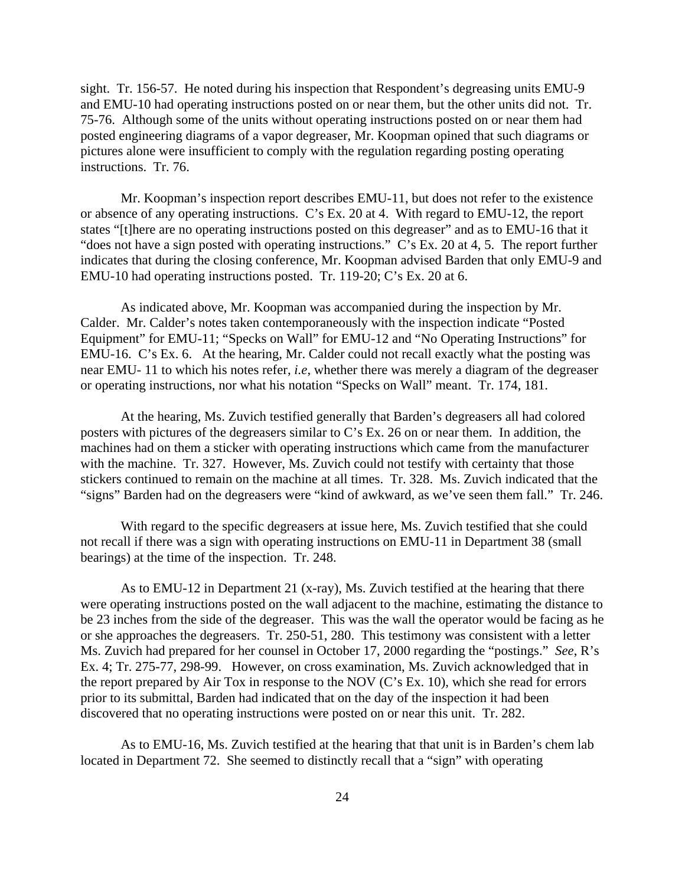sight. Tr. 156-57. He noted during his inspection that Respondent's degreasing units EMU-9 and EMU-10 had operating instructions posted on or near them, but the other units did not. Tr. 75-76. Although some of the units without operating instructions posted on or near them had posted engineering diagrams of a vapor degreaser, Mr. Koopman opined that such diagrams or pictures alone were insufficient to comply with the regulation regarding posting operating instructions. Tr. 76.

Mr. Koopman's inspection report describes EMU-11, but does not refer to the existence or absence of any operating instructions. C's Ex. 20 at 4. With regard to EMU-12, the report states "[t]here are no operating instructions posted on this degreaser" and as to EMU-16 that it "does not have a sign posted with operating instructions." C's Ex. 20 at 4, 5. The report further indicates that during the closing conference, Mr. Koopman advised Barden that only EMU-9 and EMU-10 had operating instructions posted. Tr. 119-20; C's Ex. 20 at 6.

As indicated above, Mr. Koopman was accompanied during the inspection by Mr. Calder. Mr. Calder's notes taken contemporaneously with the inspection indicate "Posted Equipment" for EMU-11; "Specks on Wall" for EMU-12 and "No Operating Instructions" for EMU-16. C's Ex. 6. At the hearing, Mr. Calder could not recall exactly what the posting was near EMU- 11 to which his notes refer, *i.e*, whether there was merely a diagram of the degreaser or operating instructions, nor what his notation "Specks on Wall" meant. Tr. 174, 181.

At the hearing, Ms. Zuvich testified generally that Barden's degreasers all had colored posters with pictures of the degreasers similar to C's Ex. 26 on or near them. In addition, the machines had on them a sticker with operating instructions which came from the manufacturer with the machine. Tr. 327. However, Ms. Zuvich could not testify with certainty that those stickers continued to remain on the machine at all times. Tr. 328. Ms. Zuvich indicated that the "signs" Barden had on the degreasers were "kind of awkward, as we've seen them fall." Tr. 246.

With regard to the specific degreasers at issue here, Ms. Zuvich testified that she could not recall if there was a sign with operating instructions on EMU-11 in Department 38 (small bearings) at the time of the inspection. Tr. 248.

As to EMU-12 in Department 21 (x-ray), Ms. Zuvich testified at the hearing that there were operating instructions posted on the wall adjacent to the machine, estimating the distance to be 23 inches from the side of the degreaser. This was the wall the operator would be facing as he or she approaches the degreasers. Tr. 250-51, 280. This testimony was consistent with a letter Ms. Zuvich had prepared for her counsel in October 17, 2000 regarding the "postings." *See*, R's Ex. 4; Tr. 275-77, 298-99. However, on cross examination, Ms. Zuvich acknowledged that in the report prepared by Air Tox in response to the NOV (C's Ex. 10), which she read for errors prior to its submittal, Barden had indicated that on the day of the inspection it had been discovered that no operating instructions were posted on or near this unit. Tr. 282.

As to EMU-16, Ms. Zuvich testified at the hearing that that unit is in Barden's chem lab located in Department 72. She seemed to distinctly recall that a "sign" with operating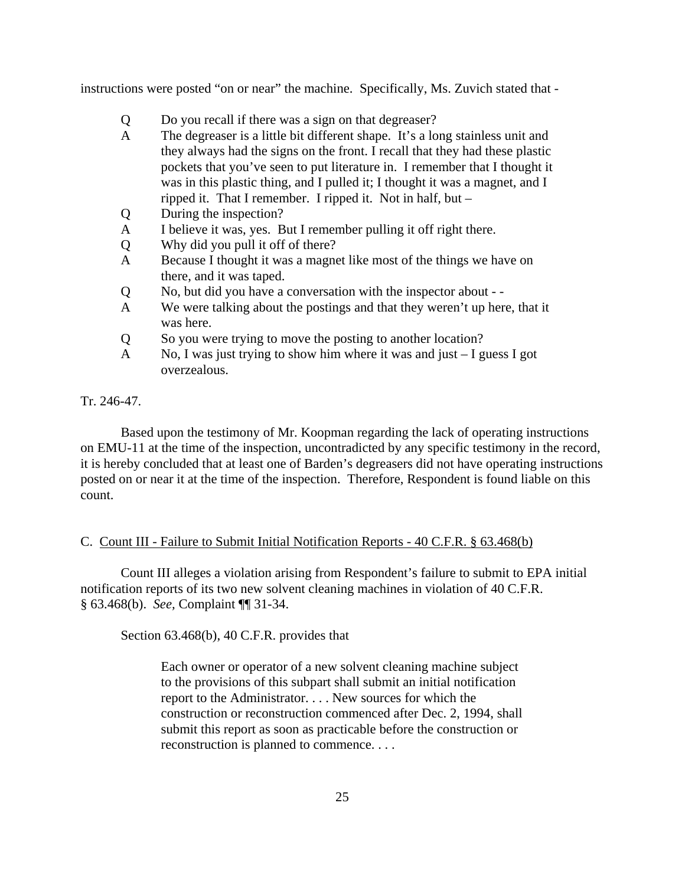instructions were posted "on or near" the machine. Specifically, Ms. Zuvich stated that -

- Q Do you recall if there was a sign on that degreaser?
- A The degreaser is a little bit different shape. It's a long stainless unit and they always had the signs on the front. I recall that they had these plastic pockets that you've seen to put literature in. I remember that I thought it was in this plastic thing, and I pulled it; I thought it was a magnet, and I ripped it. That I remember. I ripped it. Not in half, but –
- Q During the inspection?
- A I believe it was, yes. But I remember pulling it off right there.
- Q Why did you pull it off of there?
- A Because I thought it was a magnet like most of the things we have on there, and it was taped.
- Q No, but did you have a conversation with the inspector about -
- A We were talking about the postings and that they weren't up here, that it was here.
- Q So you were trying to move the posting to another location?
- A No, I was just trying to show him where it was and just I guess I got overzealous.

### Tr. 246-47.

Based upon the testimony of Mr. Koopman regarding the lack of operating instructions on EMU-11 at the time of the inspection, uncontradicted by any specific testimony in the record, it is hereby concluded that at least one of Barden's degreasers did not have operating instructions posted on or near it at the time of the inspection. Therefore, Respondent is found liable on this count.

### C. Count III - Failure to Submit Initial Notification Reports - 40 C.F.R. § 63.468(b)

Count III alleges a violation arising from Respondent's failure to submit to EPA initial notification reports of its two new solvent cleaning machines in violation of 40 C.F.R. § 63.468(b). *See,* Complaint ¶¶ 31-34.

Section 63.468(b), 40 C.F.R. provides that

Each owner or operator of a new solvent cleaning machine subject to the provisions of this subpart shall submit an initial notification report to the Administrator. . . . New sources for which the construction or reconstruction commenced after Dec. 2, 1994, shall submit this report as soon as practicable before the construction or reconstruction is planned to commence. . . .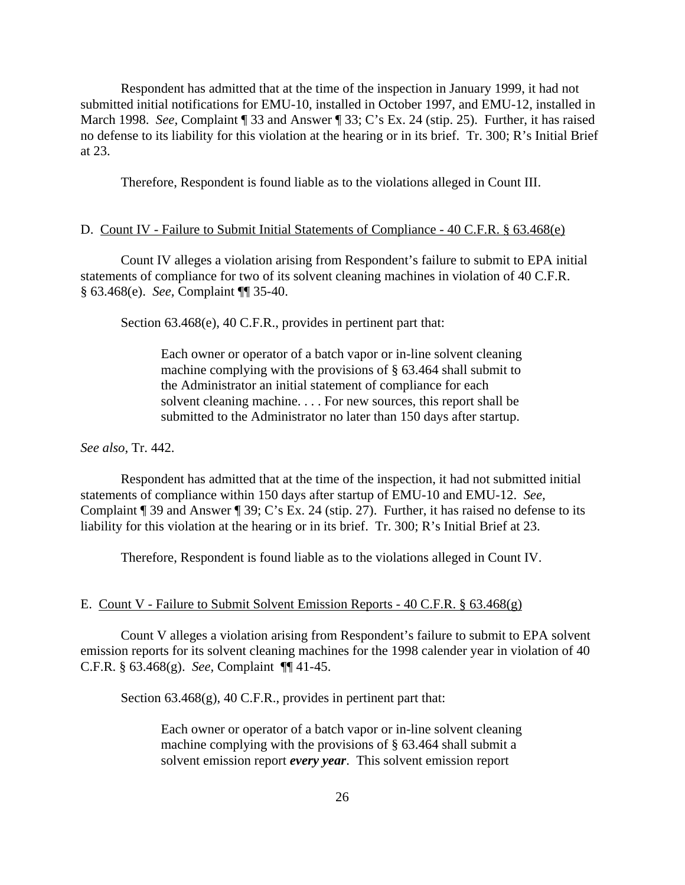Respondent has admitted that at the time of the inspection in January 1999, it had not submitted initial notifications for EMU-10, installed in October 1997, and EMU-12, installed in March 1998. *See,* Complaint ¶ 33 and Answer ¶ 33; C's Ex. 24 (stip. 25). Further, it has raised no defense to its liability for this violation at the hearing or in its brief. Tr. 300; R's Initial Brief at 23.

Therefore, Respondent is found liable as to the violations alleged in Count III.

#### D. Count IV - Failure to Submit Initial Statements of Compliance - 40 C.F.R. § 63.468(e)

Count IV alleges a violation arising from Respondent's failure to submit to EPA initial statements of compliance for two of its solvent cleaning machines in violation of 40 C.F.R. § 63.468(e). *See,* Complaint ¶¶ 35-40.

Section 63.468(e), 40 C.F.R., provides in pertinent part that:

Each owner or operator of a batch vapor or in-line solvent cleaning machine complying with the provisions of § 63.464 shall submit to the Administrator an initial statement of compliance for each solvent cleaning machine. . . . For new sources, this report shall be submitted to the Administrator no later than 150 days after startup.

*See also*, Tr. 442.

Respondent has admitted that at the time of the inspection, it had not submitted initial statements of compliance within 150 days after startup of EMU-10 and EMU-12. *See,*  Complaint ¶ 39 and Answer ¶ 39; C's Ex. 24 (stip. 27). Further, it has raised no defense to its liability for this violation at the hearing or in its brief. Tr. 300; R's Initial Brief at 23.

Therefore, Respondent is found liable as to the violations alleged in Count IV.

#### E. Count V - Failure to Submit Solvent Emission Reports - 40 C.F.R. § 63.468(g)

Count V alleges a violation arising from Respondent's failure to submit to EPA solvent emission reports for its solvent cleaning machines for the 1998 calender year in violation of 40 C.F.R. § 63.468(g). *See,* Complaint ¶¶ 41-45.

Section 63.468(g), 40 C.F.R., provides in pertinent part that:

Each owner or operator of a batch vapor or in-line solvent cleaning machine complying with the provisions of § 63.464 shall submit a solvent emission report *every year*. This solvent emission report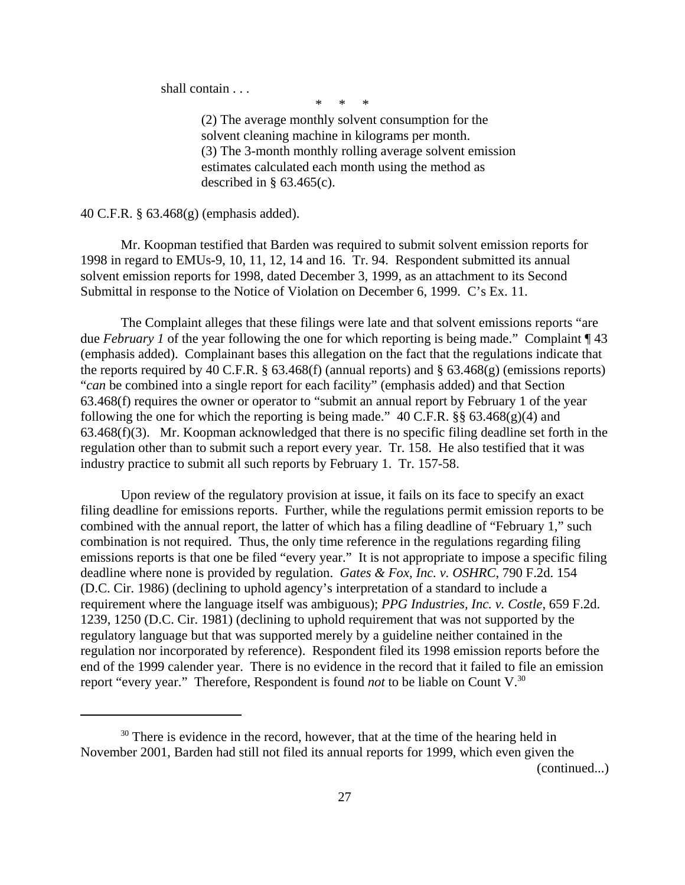shall contain . . .

\* \* \*

(2) The average monthly solvent consumption for the solvent cleaning machine in kilograms per month. (3) The 3-month monthly rolling average solvent emission estimates calculated each month using the method as described in  $\S$  63.465(c).

40 C.F.R. § 63.468(g) (emphasis added).

Mr. Koopman testified that Barden was required to submit solvent emission reports for 1998 in regard to EMUs-9, 10, 11, 12, 14 and 16. Tr. 94. Respondent submitted its annual solvent emission reports for 1998, dated December 3, 1999, as an attachment to its Second Submittal in response to the Notice of Violation on December 6, 1999. C's Ex. 11.

The Complaint alleges that these filings were late and that solvent emissions reports "are due *February 1* of the year following the one for which reporting is being made." Complaint ¶ 43 (emphasis added). Complainant bases this allegation on the fact that the regulations indicate that the reports required by 40 C.F.R.  $\S$  63.468(f) (annual reports) and  $\S$  63.468(g) (emissions reports) "*can* be combined into a single report for each facility" (emphasis added) and that Section 63.468(f) requires the owner or operator to "submit an annual report by February 1 of the year following the one for which the reporting is being made."  $40$  C.F.R. §§  $63.468(g)(4)$  and 63.468(f)(3). Mr. Koopman acknowledged that there is no specific filing deadline set forth in the regulation other than to submit such a report every year. Tr. 158. He also testified that it was industry practice to submit all such reports by February 1. Tr. 157-58.

Upon review of the regulatory provision at issue, it fails on its face to specify an exact filing deadline for emissions reports. Further, while the regulations permit emission reports to be combined with the annual report, the latter of which has a filing deadline of "February 1," such combination is not required. Thus, the only time reference in the regulations regarding filing emissions reports is that one be filed "every year." It is not appropriate to impose a specific filing deadline where none is provided by regulation. *Gates & Fox, Inc. v. OSHRC*, 790 F.2d. 154 (D.C. Cir. 1986) (declining to uphold agency's interpretation of a standard to include a requirement where the language itself was ambiguous); *PPG Industries, Inc. v. Costle*, 659 F.2d. 1239, 1250 (D.C. Cir. 1981) (declining to uphold requirement that was not supported by the regulatory language but that was supported merely by a guideline neither contained in the regulation nor incorporated by reference). Respondent filed its 1998 emission reports before the end of the 1999 calender year. There is no evidence in the record that it failed to file an emission report "every year." Therefore, Respondent is found *not* to be liable on Count V.<sup>30</sup>

<sup>&</sup>lt;sup>30</sup> There is evidence in the record, however, that at the time of the hearing held in November 2001, Barden had still not filed its annual reports for 1999, which even given the (continued...)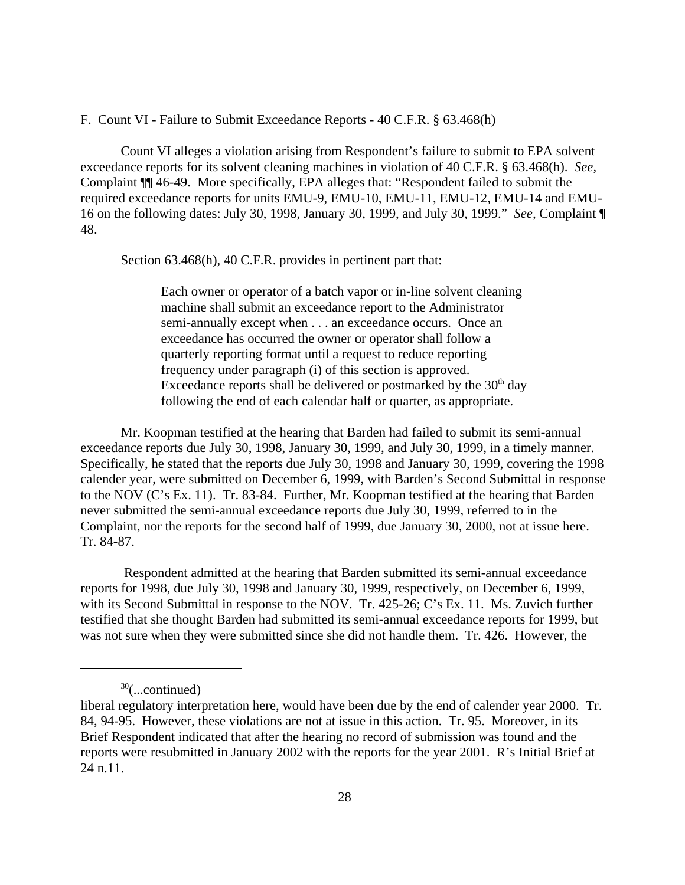### F. Count VI - Failure to Submit Exceedance Reports - 40 C.F.R. § 63.468(h)

Count VI alleges a violation arising from Respondent's failure to submit to EPA solvent exceedance reports for its solvent cleaning machines in violation of 40 C.F.R. § 63.468(h). *See,*  Complaint ¶¶ 46-49. More specifically, EPA alleges that: "Respondent failed to submit the required exceedance reports for units EMU-9, EMU-10, EMU-11, EMU-12, EMU-14 and EMU-16 on the following dates: July 30, 1998, January 30, 1999, and July 30, 1999." *See,* Complaint ¶ 48.

Section 63.468(h), 40 C.F.R. provides in pertinent part that:

Each owner or operator of a batch vapor or in-line solvent cleaning machine shall submit an exceedance report to the Administrator semi-annually except when . . . an exceedance occurs. Once an exceedance has occurred the owner or operator shall follow a quarterly reporting format until a request to reduce reporting frequency under paragraph (i) of this section is approved. Exceedance reports shall be delivered or postmarked by the  $30<sup>th</sup>$  day following the end of each calendar half or quarter, as appropriate.

Mr. Koopman testified at the hearing that Barden had failed to submit its semi-annual exceedance reports due July 30, 1998, January 30, 1999, and July 30, 1999, in a timely manner. Specifically, he stated that the reports due July 30, 1998 and January 30, 1999, covering the 1998 calender year, were submitted on December 6, 1999, with Barden's Second Submittal in response to the NOV (C's Ex. 11). Tr. 83-84. Further, Mr. Koopman testified at the hearing that Barden never submitted the semi-annual exceedance reports due July 30, 1999, referred to in the Complaint, nor the reports for the second half of 1999, due January 30, 2000, not at issue here. Tr. 84-87.

Respondent admitted at the hearing that Barden submitted its semi-annual exceedance reports for 1998, due July 30, 1998 and January 30, 1999, respectively, on December 6, 1999, with its Second Submittal in response to the NOV. Tr. 425-26; C's Ex. 11. Ms. Zuvich further testified that she thought Barden had submitted its semi-annual exceedance reports for 1999, but was not sure when they were submitted since she did not handle them. Tr. 426. However, the

 $30$ (...continued)

liberal regulatory interpretation here, would have been due by the end of calender year 2000. Tr. 84, 94-95. However, these violations are not at issue in this action. Tr. 95. Moreover, in its Brief Respondent indicated that after the hearing no record of submission was found and the reports were resubmitted in January 2002 with the reports for the year 2001. R's Initial Brief at 24 n.11.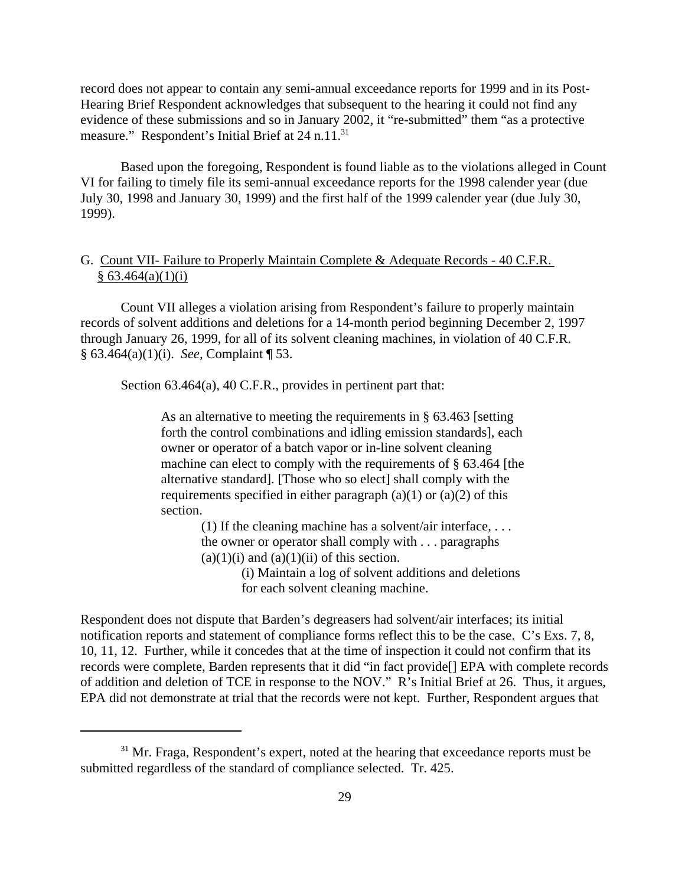record does not appear to contain any semi-annual exceedance reports for 1999 and in its Post-Hearing Brief Respondent acknowledges that subsequent to the hearing it could not find any evidence of these submissions and so in January 2002, it "re-submitted" them "as a protective measure." Respondent's Initial Brief at 24 n.11.<sup>31</sup>

Based upon the foregoing, Respondent is found liable as to the violations alleged in Count VI for failing to timely file its semi-annual exceedance reports for the 1998 calender year (due July 30, 1998 and January 30, 1999) and the first half of the 1999 calender year (due July 30, 1999).

# G. Count VII- Failure to Properly Maintain Complete & Adequate Records - 40 C.F.R.  $§ 63.464(a)(1)(i)$

Count VII alleges a violation arising from Respondent's failure to properly maintain records of solvent additions and deletions for a 14-month period beginning December 2, 1997 through January 26, 1999, for all of its solvent cleaning machines, in violation of 40 C.F.R. § 63.464(a)(1)(i). *See,* Complaint ¶ 53.

Section 63.464(a), 40 C.F.R., provides in pertinent part that:

As an alternative to meeting the requirements in § 63.463 [setting forth the control combinations and idling emission standards], each owner or operator of a batch vapor or in-line solvent cleaning machine can elect to comply with the requirements of § 63.464 [the alternative standard]. [Those who so elect] shall comply with the requirements specified in either paragraph  $(a)(1)$  or  $(a)(2)$  of this section.

(1) If the cleaning machine has a solvent/air interface,  $\dots$ the owner or operator shall comply with . . . paragraphs  $(a)(1)(i)$  and  $(a)(1)(ii)$  of this section.

> (i) Maintain a log of solvent additions and deletions for each solvent cleaning machine.

Respondent does not dispute that Barden's degreasers had solvent/air interfaces; its initial notification reports and statement of compliance forms reflect this to be the case. C's Exs. 7, 8, 10, 11, 12. Further, while it concedes that at the time of inspection it could not confirm that its records were complete, Barden represents that it did "in fact provide[] EPA with complete records of addition and deletion of TCE in response to the NOV." R's Initial Brief at 26. Thus, it argues, EPA did not demonstrate at trial that the records were not kept. Further, Respondent argues that

 $31$  Mr. Fraga, Respondent's expert, noted at the hearing that exceedance reports must be submitted regardless of the standard of compliance selected. Tr. 425.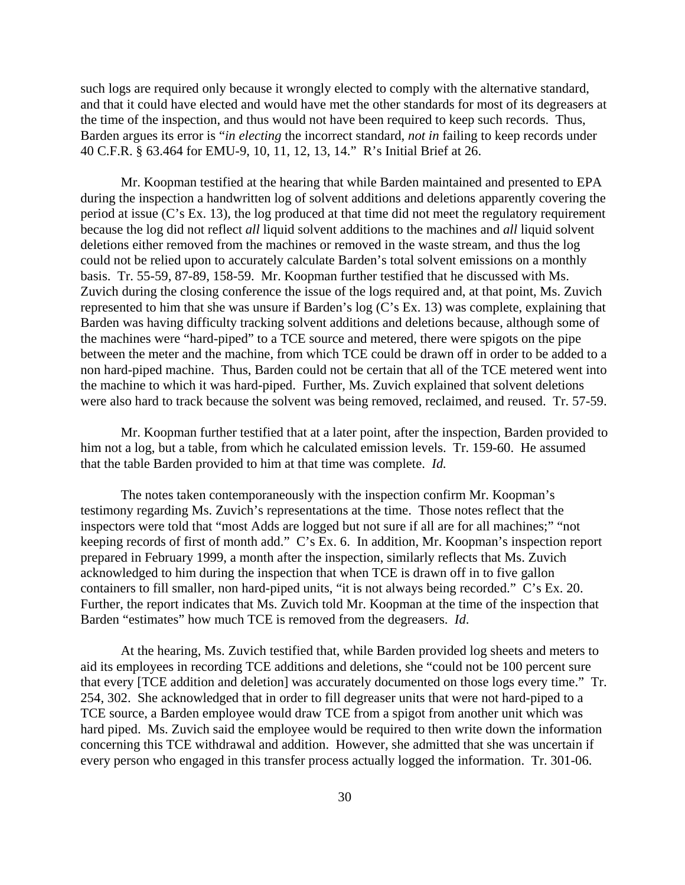such logs are required only because it wrongly elected to comply with the alternative standard, and that it could have elected and would have met the other standards for most of its degreasers at the time of the inspection, and thus would not have been required to keep such records. Thus, Barden argues its error is "*in electing* the incorrect standard, *not in* failing to keep records under 40 C.F.R. § 63.464 for EMU-9, 10, 11, 12, 13, 14." R's Initial Brief at 26.

Mr. Koopman testified at the hearing that while Barden maintained and presented to EPA during the inspection a handwritten log of solvent additions and deletions apparently covering the period at issue (C's Ex. 13), the log produced at that time did not meet the regulatory requirement because the log did not reflect *all* liquid solvent additions to the machines and *all* liquid solvent deletions either removed from the machines or removed in the waste stream, and thus the log could not be relied upon to accurately calculate Barden's total solvent emissions on a monthly basis. Tr. 55-59, 87-89, 158-59. Mr. Koopman further testified that he discussed with Ms. Zuvich during the closing conference the issue of the logs required and, at that point, Ms. Zuvich represented to him that she was unsure if Barden's log (C's Ex. 13) was complete, explaining that Barden was having difficulty tracking solvent additions and deletions because, although some of the machines were "hard-piped" to a TCE source and metered, there were spigots on the pipe between the meter and the machine, from which TCE could be drawn off in order to be added to a non hard-piped machine. Thus, Barden could not be certain that all of the TCE metered went into the machine to which it was hard-piped. Further, Ms. Zuvich explained that solvent deletions were also hard to track because the solvent was being removed, reclaimed, and reused. Tr. 57-59.

Mr. Koopman further testified that at a later point, after the inspection, Barden provided to him not a log, but a table, from which he calculated emission levels. Tr. 159-60. He assumed that the table Barden provided to him at that time was complete. *Id.* 

The notes taken contemporaneously with the inspection confirm Mr. Koopman's testimony regarding Ms. Zuvich's representations at the time. Those notes reflect that the inspectors were told that "most Adds are logged but not sure if all are for all machines;" "not keeping records of first of month add." C's Ex. 6. In addition, Mr. Koopman's inspection report prepared in February 1999, a month after the inspection, similarly reflects that Ms. Zuvich acknowledged to him during the inspection that when TCE is drawn off in to five gallon containers to fill smaller, non hard-piped units, "it is not always being recorded." C's Ex. 20. Further, the report indicates that Ms. Zuvich told Mr. Koopman at the time of the inspection that Barden "estimates" how much TCE is removed from the degreasers. *Id*.

At the hearing, Ms. Zuvich testified that, while Barden provided log sheets and meters to aid its employees in recording TCE additions and deletions, she "could not be 100 percent sure that every [TCE addition and deletion] was accurately documented on those logs every time." Tr. 254, 302. She acknowledged that in order to fill degreaser units that were not hard-piped to a TCE source, a Barden employee would draw TCE from a spigot from another unit which was hard piped. Ms. Zuvich said the employee would be required to then write down the information concerning this TCE withdrawal and addition. However, she admitted that she was uncertain if every person who engaged in this transfer process actually logged the information. Tr. 301-06.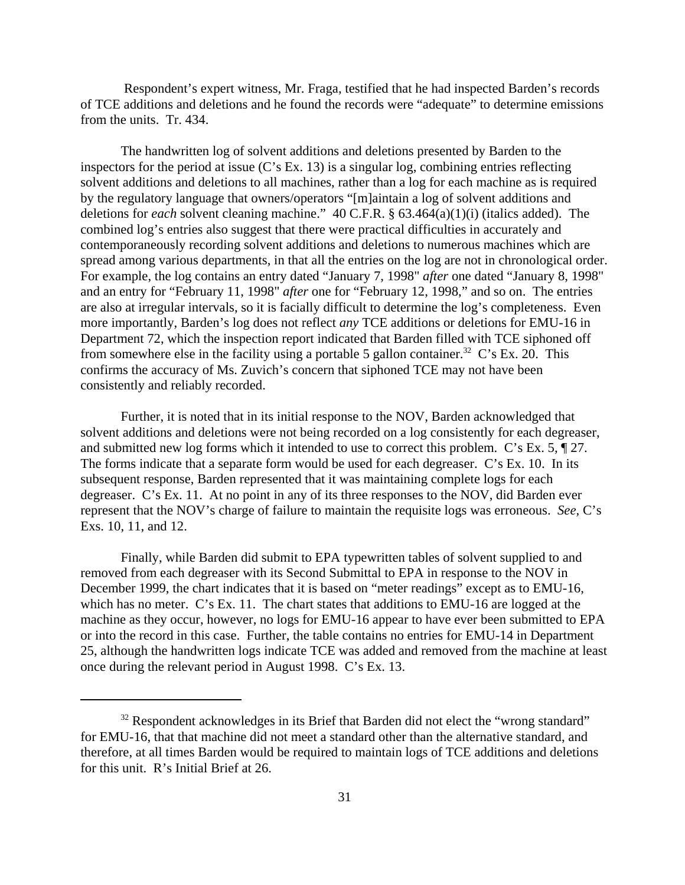Respondent's expert witness, Mr. Fraga, testified that he had inspected Barden's records of TCE additions and deletions and he found the records were "adequate" to determine emissions from the units. Tr. 434.

The handwritten log of solvent additions and deletions presented by Barden to the inspectors for the period at issue (C's Ex. 13) is a singular log, combining entries reflecting solvent additions and deletions to all machines, rather than a log for each machine as is required by the regulatory language that owners/operators "[m]aintain a log of solvent additions and deletions for *each* solvent cleaning machine." 40 C.F.R. § 63.464(a)(1)(i) (italics added). The combined log's entries also suggest that there were practical difficulties in accurately and contemporaneously recording solvent additions and deletions to numerous machines which are spread among various departments, in that all the entries on the log are not in chronological order. For example, the log contains an entry dated "January 7, 1998" *after* one dated "January 8, 1998" and an entry for "February 11, 1998" *after* one for "February 12, 1998," and so on. The entries are also at irregular intervals, so it is facially difficult to determine the log's completeness. Even more importantly, Barden's log does not reflect *any* TCE additions or deletions for EMU-16 in Department 72, which the inspection report indicated that Barden filled with TCE siphoned off from somewhere else in the facility using a portable 5 gallon container.<sup>32</sup> C's Ex. 20. This confirms the accuracy of Ms. Zuvich's concern that siphoned TCE may not have been consistently and reliably recorded.

Further, it is noted that in its initial response to the NOV, Barden acknowledged that solvent additions and deletions were not being recorded on a log consistently for each degreaser, and submitted new log forms which it intended to use to correct this problem. C's Ex. 5, ¶ 27. The forms indicate that a separate form would be used for each degreaser. C's Ex. 10. In its subsequent response, Barden represented that it was maintaining complete logs for each degreaser. C's Ex. 11. At no point in any of its three responses to the NOV, did Barden ever represent that the NOV's charge of failure to maintain the requisite logs was erroneous. *See,* C's Exs. 10, 11, and 12.

Finally, while Barden did submit to EPA typewritten tables of solvent supplied to and removed from each degreaser with its Second Submittal to EPA in response to the NOV in December 1999, the chart indicates that it is based on "meter readings" except as to EMU-16, which has no meter. C's Ex. 11. The chart states that additions to EMU-16 are logged at the machine as they occur, however, no logs for EMU-16 appear to have ever been submitted to EPA or into the record in this case. Further, the table contains no entries for EMU-14 in Department 25, although the handwritten logs indicate TCE was added and removed from the machine at least once during the relevant period in August 1998. C's Ex. 13.

 $32$  Respondent acknowledges in its Brief that Barden did not elect the "wrong standard" for EMU-16, that that machine did not meet a standard other than the alternative standard, and therefore, at all times Barden would be required to maintain logs of TCE additions and deletions for this unit. R's Initial Brief at 26.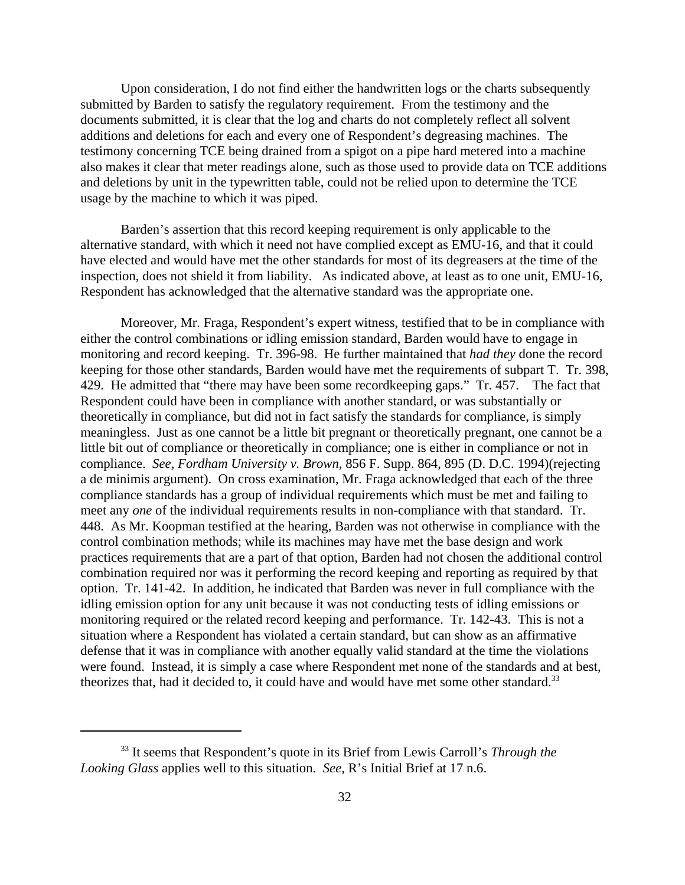Upon consideration, I do not find either the handwritten logs or the charts subsequently submitted by Barden to satisfy the regulatory requirement. From the testimony and the documents submitted, it is clear that the log and charts do not completely reflect all solvent additions and deletions for each and every one of Respondent's degreasing machines. The testimony concerning TCE being drained from a spigot on a pipe hard metered into a machine also makes it clear that meter readings alone, such as those used to provide data on TCE additions and deletions by unit in the typewritten table, could not be relied upon to determine the TCE usage by the machine to which it was piped.

Barden's assertion that this record keeping requirement is only applicable to the alternative standard, with which it need not have complied except as EMU-16, and that it could have elected and would have met the other standards for most of its degreasers at the time of the inspection, does not shield it from liability. As indicated above, at least as to one unit, EMU-16, Respondent has acknowledged that the alternative standard was the appropriate one.

Moreover, Mr. Fraga, Respondent's expert witness, testified that to be in compliance with either the control combinations or idling emission standard, Barden would have to engage in monitoring and record keeping. Tr. 396-98. He further maintained that *had they* done the record keeping for those other standards, Barden would have met the requirements of subpart T. Tr. 398, 429. He admitted that "there may have been some recordkeeping gaps." Tr. 457. The fact that Respondent could have been in compliance with another standard, or was substantially or theoretically in compliance, but did not in fact satisfy the standards for compliance, is simply meaningless. Just as one cannot be a little bit pregnant or theoretically pregnant, one cannot be a little bit out of compliance or theoretically in compliance; one is either in compliance or not in compliance. *See, Fordham University v. Brown*, 856 F. Supp. 864, 895 (D. D.C. 1994)(rejecting a de minimis argument). On cross examination, Mr. Fraga acknowledged that each of the three compliance standards has a group of individual requirements which must be met and failing to meet any *one* of the individual requirements results in non-compliance with that standard. Tr. 448. As Mr. Koopman testified at the hearing, Barden was not otherwise in compliance with the control combination methods; while its machines may have met the base design and work practices requirements that are a part of that option, Barden had not chosen the additional control combination required nor was it performing the record keeping and reporting as required by that option. Tr. 141-42. In addition, he indicated that Barden was never in full compliance with the idling emission option for any unit because it was not conducting tests of idling emissions or monitoring required or the related record keeping and performance. Tr. 142-43. This is not a situation where a Respondent has violated a certain standard, but can show as an affirmative defense that it was in compliance with another equally valid standard at the time the violations were found. Instead, it is simply a case where Respondent met none of the standards and at best, theorizes that, had it decided to, it could have and would have met some other standard.<sup>33</sup>

<sup>33</sup> It seems that Respondent's quote in its Brief from Lewis Carroll's *Through the Looking Glass* applies well to this situation. *See,* R's Initial Brief at 17 n.6.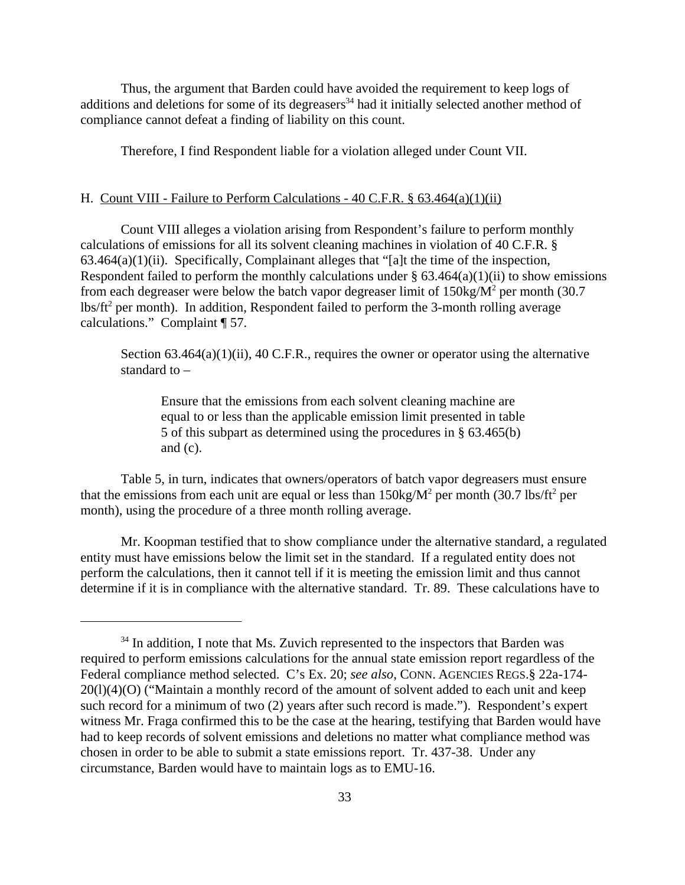Thus, the argument that Barden could have avoided the requirement to keep logs of additions and deletions for some of its degreasers<sup>34</sup> had it initially selected another method of compliance cannot defeat a finding of liability on this count.

Therefore, I find Respondent liable for a violation alleged under Count VII.

### H. Count VIII - Failure to Perform Calculations - 40 C.F.R. § 63.464(a)(1)(ii)

Count VIII alleges a violation arising from Respondent's failure to perform monthly calculations of emissions for all its solvent cleaning machines in violation of 40 C.F.R. §  $63.464(a)(1)(ii)$ . Specifically, Complainant alleges that "[a]t the time of the inspection, Respondent failed to perform the monthly calculations under  $\S$  63.464(a)(1)(ii) to show emissions from each degreaser were below the batch vapor degreaser limit of  $150\text{kg/M}^2$  per month (30.7) lbs/ft<sup>2</sup> per month). In addition, Respondent failed to perform the 3-month rolling average calculations." Complaint ¶ 57.

Section  $63.464(a)(1)(ii)$ ,  $40$  C.F.R., requires the owner or operator using the alternative standard to –

Ensure that the emissions from each solvent cleaning machine are equal to or less than the applicable emission limit presented in table 5 of this subpart as determined using the procedures in § 63.465(b) and  $(c)$ .

Table 5, in turn, indicates that owners/operators of batch vapor degreasers must ensure that the emissions from each unit are equal or less than  $150\text{kg/M}^2$  per month  $(30.7 \text{ lbs/ft}^2 \text{ per}$ month), using the procedure of a three month rolling average.

Mr. Koopman testified that to show compliance under the alternative standard, a regulated entity must have emissions below the limit set in the standard. If a regulated entity does not perform the calculations, then it cannot tell if it is meeting the emission limit and thus cannot determine if it is in compliance with the alternative standard. Tr. 89. These calculations have to

<sup>&</sup>lt;sup>34</sup> In addition, I note that Ms. Zuvich represented to the inspectors that Barden was required to perform emissions calculations for the annual state emission report regardless of the Federal compliance method selected. C's Ex. 20; *see also*, CONN. AGENCIES REGS.§ 22a-174- 20(l)(4)(O) ("Maintain a monthly record of the amount of solvent added to each unit and keep such record for a minimum of two (2) years after such record is made."). Respondent's expert witness Mr. Fraga confirmed this to be the case at the hearing, testifying that Barden would have had to keep records of solvent emissions and deletions no matter what compliance method was chosen in order to be able to submit a state emissions report. Tr. 437-38. Under any circumstance, Barden would have to maintain logs as to EMU-16.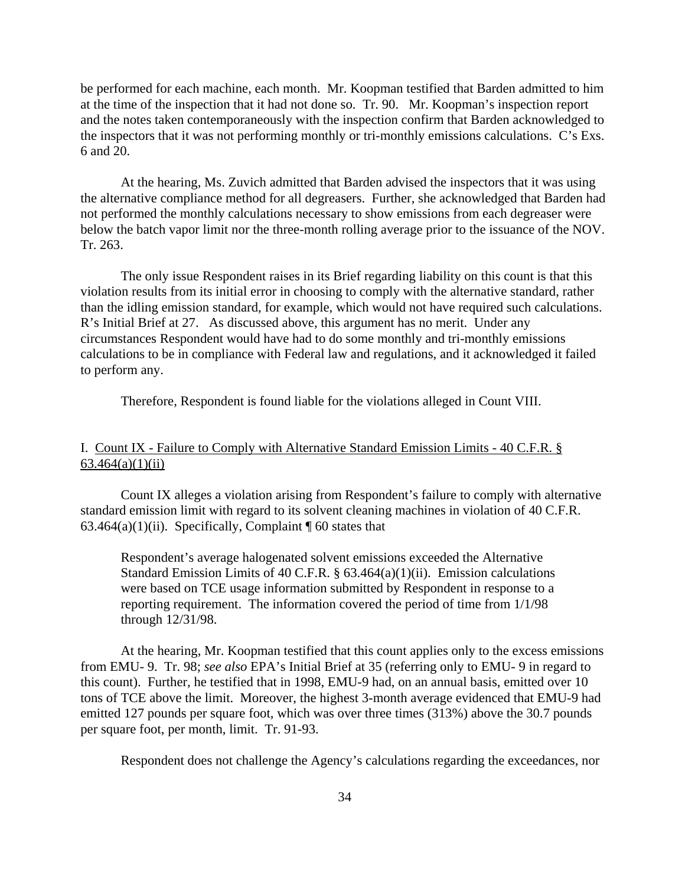be performed for each machine, each month. Mr. Koopman testified that Barden admitted to him at the time of the inspection that it had not done so. Tr. 90. Mr. Koopman's inspection report and the notes taken contemporaneously with the inspection confirm that Barden acknowledged to the inspectors that it was not performing monthly or tri-monthly emissions calculations. C's Exs. 6 and 20.

At the hearing, Ms. Zuvich admitted that Barden advised the inspectors that it was using the alternative compliance method for all degreasers. Further, she acknowledged that Barden had not performed the monthly calculations necessary to show emissions from each degreaser were below the batch vapor limit nor the three-month rolling average prior to the issuance of the NOV. Tr. 263.

The only issue Respondent raises in its Brief regarding liability on this count is that this violation results from its initial error in choosing to comply with the alternative standard, rather than the idling emission standard, for example, which would not have required such calculations. R's Initial Brief at 27. As discussed above, this argument has no merit. Under any circumstances Respondent would have had to do some monthly and tri-monthly emissions calculations to be in compliance with Federal law and regulations, and it acknowledged it failed to perform any.

Therefore, Respondent is found liable for the violations alleged in Count VIII.

# I. Count IX - Failure to Comply with Alternative Standard Emission Limits - 40 C.F.R. §  $63.464(a)(1)(ii)$

Count IX alleges a violation arising from Respondent's failure to comply with alternative standard emission limit with regard to its solvent cleaning machines in violation of 40 C.F.R. 63.464(a)(1)(ii). Specifically, Complaint  $\P$  60 states that

Respondent's average halogenated solvent emissions exceeded the Alternative Standard Emission Limits of 40 C.F.R. § 63.464(a)(1)(ii). Emission calculations were based on TCE usage information submitted by Respondent in response to a reporting requirement. The information covered the period of time from 1/1/98 through 12/31/98.

At the hearing, Mr. Koopman testified that this count applies only to the excess emissions from EMU- 9. Tr. 98; *see also* EPA's Initial Brief at 35 (referring only to EMU- 9 in regard to this count). Further, he testified that in 1998, EMU-9 had, on an annual basis, emitted over 10 tons of TCE above the limit. Moreover, the highest 3-month average evidenced that EMU-9 had emitted 127 pounds per square foot, which was over three times (313%) above the 30.7 pounds per square foot, per month, limit. Tr. 91-93.

Respondent does not challenge the Agency's calculations regarding the exceedances, nor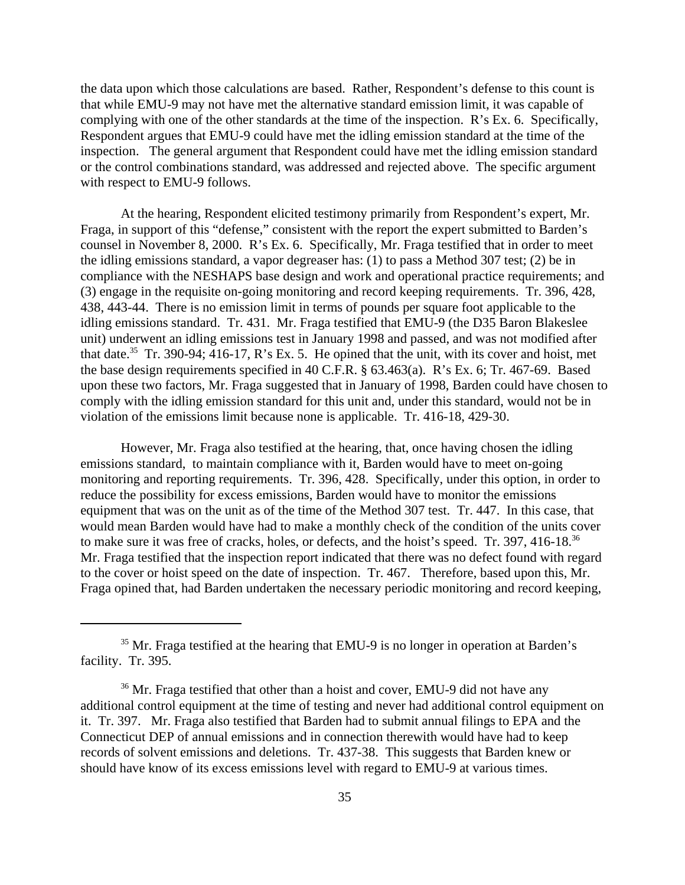the data upon which those calculations are based. Rather, Respondent's defense to this count is that while EMU-9 may not have met the alternative standard emission limit, it was capable of complying with one of the other standards at the time of the inspection. R's Ex. 6. Specifically, Respondent argues that EMU-9 could have met the idling emission standard at the time of the inspection. The general argument that Respondent could have met the idling emission standard or the control combinations standard, was addressed and rejected above. The specific argument with respect to EMU-9 follows.

At the hearing, Respondent elicited testimony primarily from Respondent's expert, Mr. Fraga, in support of this "defense," consistent with the report the expert submitted to Barden's counsel in November 8, 2000. R's Ex. 6. Specifically, Mr. Fraga testified that in order to meet the idling emissions standard, a vapor degreaser has: (1) to pass a Method 307 test; (2) be in compliance with the NESHAPS base design and work and operational practice requirements; and (3) engage in the requisite on-going monitoring and record keeping requirements. Tr. 396, 428, 438, 443-44. There is no emission limit in terms of pounds per square foot applicable to the idling emissions standard. Tr. 431. Mr. Fraga testified that EMU-9 (the D35 Baron Blakeslee unit) underwent an idling emissions test in January 1998 and passed, and was not modified after that date.<sup>35</sup> Tr. 390-94;  $\overline{416}$ -17, R's Ex. 5. He opined that the unit, with its cover and hoist, met the base design requirements specified in 40 C.F.R. § 63.463(a). R's Ex. 6; Tr. 467-69. Based upon these two factors, Mr. Fraga suggested that in January of 1998, Barden could have chosen to comply with the idling emission standard for this unit and, under this standard, would not be in violation of the emissions limit because none is applicable. Tr. 416-18, 429-30.

However, Mr. Fraga also testified at the hearing, that, once having chosen the idling emissions standard, to maintain compliance with it, Barden would have to meet on-going monitoring and reporting requirements. Tr. 396, 428. Specifically, under this option, in order to reduce the possibility for excess emissions, Barden would have to monitor the emissions equipment that was on the unit as of the time of the Method 307 test. Tr. 447. In this case, that would mean Barden would have had to make a monthly check of the condition of the units cover to make sure it was free of cracks, holes, or defects, and the hoist's speed. Tr. 397, 416-18.<sup>36</sup> Mr. Fraga testified that the inspection report indicated that there was no defect found with regard to the cover or hoist speed on the date of inspection. Tr. 467. Therefore, based upon this, Mr. Fraga opined that, had Barden undertaken the necessary periodic monitoring and record keeping,

<sup>&</sup>lt;sup>35</sup> Mr. Fraga testified at the hearing that EMU-9 is no longer in operation at Barden's facility. Tr. 395.

<sup>&</sup>lt;sup>36</sup> Mr. Fraga testified that other than a hoist and cover, EMU-9 did not have any additional control equipment at the time of testing and never had additional control equipment on it. Tr. 397. Mr. Fraga also testified that Barden had to submit annual filings to EPA and the Connecticut DEP of annual emissions and in connection therewith would have had to keep records of solvent emissions and deletions. Tr. 437-38. This suggests that Barden knew or should have know of its excess emissions level with regard to EMU-9 at various times.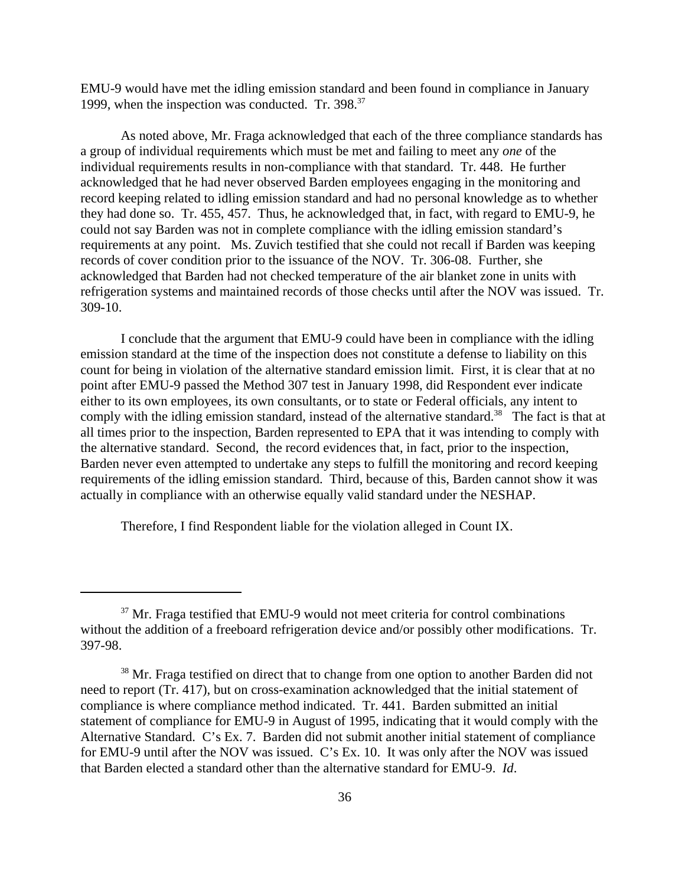EMU-9 would have met the idling emission standard and been found in compliance in January 1999, when the inspection was conducted. Tr. 398.<sup>37</sup>

As noted above, Mr. Fraga acknowledged that each of the three compliance standards has a group of individual requirements which must be met and failing to meet any *one* of the individual requirements results in non-compliance with that standard. Tr. 448. He further acknowledged that he had never observed Barden employees engaging in the monitoring and record keeping related to idling emission standard and had no personal knowledge as to whether they had done so. Tr. 455, 457. Thus, he acknowledged that, in fact, with regard to EMU-9, he could not say Barden was not in complete compliance with the idling emission standard's requirements at any point. Ms. Zuvich testified that she could not recall if Barden was keeping records of cover condition prior to the issuance of the NOV. Tr. 306-08. Further, she acknowledged that Barden had not checked temperature of the air blanket zone in units with refrigeration systems and maintained records of those checks until after the NOV was issued. Tr. 309-10.

I conclude that the argument that EMU-9 could have been in compliance with the idling emission standard at the time of the inspection does not constitute a defense to liability on this count for being in violation of the alternative standard emission limit. First, it is clear that at no point after EMU-9 passed the Method 307 test in January 1998, did Respondent ever indicate either to its own employees, its own consultants, or to state or Federal officials, any intent to comply with the idling emission standard, instead of the alternative standard.<sup>38</sup> The fact is that at all times prior to the inspection, Barden represented to EPA that it was intending to comply with the alternative standard. Second, the record evidences that, in fact, prior to the inspection, Barden never even attempted to undertake any steps to fulfill the monitoring and record keeping requirements of the idling emission standard. Third, because of this, Barden cannot show it was actually in compliance with an otherwise equally valid standard under the NESHAP.

Therefore, I find Respondent liable for the violation alleged in Count IX.

 $37$  Mr. Fraga testified that EMU-9 would not meet criteria for control combinations without the addition of a freeboard refrigeration device and/or possibly other modifications. Tr. 397-98.

 $38$  Mr. Fraga testified on direct that to change from one option to another Barden did not need to report (Tr. 417), but on cross-examination acknowledged that the initial statement of compliance is where compliance method indicated. Tr. 441. Barden submitted an initial statement of compliance for EMU-9 in August of 1995, indicating that it would comply with the Alternative Standard. C's Ex. 7. Barden did not submit another initial statement of compliance for EMU-9 until after the NOV was issued. C's Ex. 10. It was only after the NOV was issued that Barden elected a standard other than the alternative standard for EMU-9. *Id*.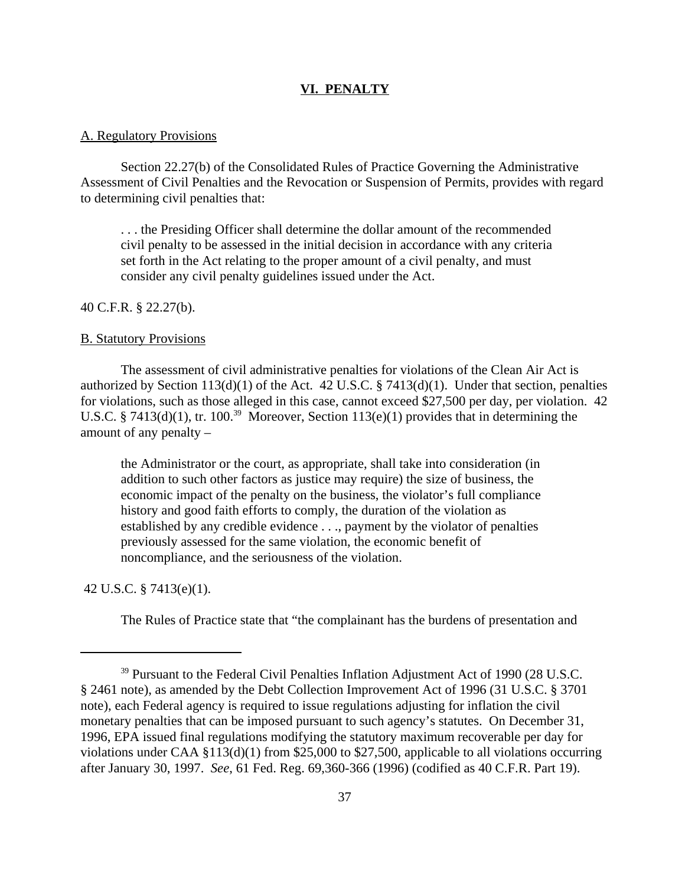### **VI. PENALTY**

#### A. Regulatory Provisions

Section 22.27(b) of the Consolidated Rules of Practice Governing the Administrative Assessment of Civil Penalties and the Revocation or Suspension of Permits, provides with regard to determining civil penalties that:

. . . the Presiding Officer shall determine the dollar amount of the recommended civil penalty to be assessed in the initial decision in accordance with any criteria set forth in the Act relating to the proper amount of a civil penalty, and must consider any civil penalty guidelines issued under the Act.

### 40 C.F.R. § 22.27(b).

#### B. Statutory Provisions

The assessment of civil administrative penalties for violations of the Clean Air Act is authorized by Section 113(d)(1) of the Act. 42 U.S.C.  $\S$  7413(d)(1). Under that section, penalties for violations, such as those alleged in this case, cannot exceed \$27,500 per day, per violation. 42 U.S.C. § 7413(d)(1), tr. 100.<sup>39</sup> Moreover, Section 113(e)(1) provides that in determining the amount of any penalty –

the Administrator or the court, as appropriate, shall take into consideration (in addition to such other factors as justice may require) the size of business, the economic impact of the penalty on the business, the violator's full compliance history and good faith efforts to comply, the duration of the violation as established by any credible evidence . . ., payment by the violator of penalties previously assessed for the same violation, the economic benefit of noncompliance, and the seriousness of the violation.

42 U.S.C. § 7413(e)(1).

The Rules of Practice state that "the complainant has the burdens of presentation and

<sup>&</sup>lt;sup>39</sup> Pursuant to the Federal Civil Penalties Inflation Adjustment Act of 1990 (28 U.S.C. § 2461 note), as amended by the Debt Collection Improvement Act of 1996 (31 U.S.C. § 3701 note), each Federal agency is required to issue regulations adjusting for inflation the civil monetary penalties that can be imposed pursuant to such agency's statutes. On December 31, 1996, EPA issued final regulations modifying the statutory maximum recoverable per day for violations under CAA §113(d)(1) from \$25,000 to \$27,500, applicable to all violations occurring after January 30, 1997. *See*, 61 Fed. Reg. 69,360-366 (1996) (codified as 40 C.F.R. Part 19).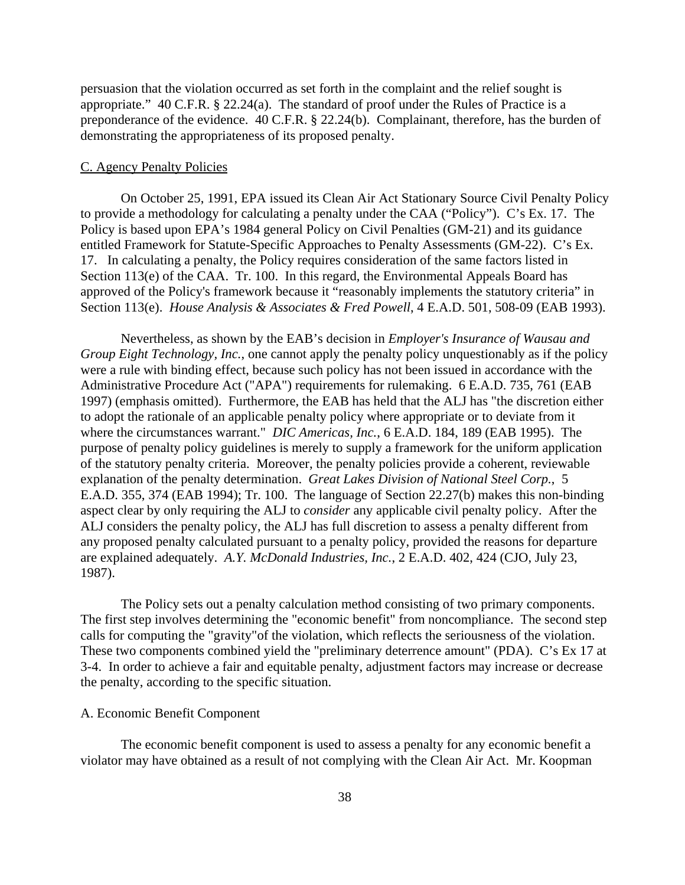persuasion that the violation occurred as set forth in the complaint and the relief sought is appropriate." 40 C.F.R. § 22.24(a). The standard of proof under the Rules of Practice is a preponderance of the evidence. 40 C.F.R. § 22.24(b). Complainant, therefore, has the burden of demonstrating the appropriateness of its proposed penalty.

#### C. Agency Penalty Policies

On October 25, 1991, EPA issued its Clean Air Act Stationary Source Civil Penalty Policy to provide a methodology for calculating a penalty under the CAA ("Policy"). C's Ex. 17. The Policy is based upon EPA's 1984 general Policy on Civil Penalties (GM-21) and its guidance entitled Framework for Statute-Specific Approaches to Penalty Assessments (GM-22). C's Ex. 17. In calculating a penalty, the Policy requires consideration of the same factors listed in Section 113(e) of the CAA. Tr. 100. In this regard, the Environmental Appeals Board has approved of the Policy's framework because it "reasonably implements the statutory criteria" in Section 113(e). *House Analysis & Associates & Fred Powell*, 4 E.A.D. 501, 508-09 (EAB 1993).

Nevertheless, as shown by the EAB's decision in *Employer's Insurance of Wausau and Group Eight Technology, Inc.*, one cannot apply the penalty policy unquestionably as if the policy were a rule with binding effect, because such policy has not been issued in accordance with the Administrative Procedure Act ("APA") requirements for rulemaking. 6 E.A.D. 735, 761 (EAB 1997) (emphasis omitted). Furthermore, the EAB has held that the ALJ has "the discretion either to adopt the rationale of an applicable penalty policy where appropriate or to deviate from it where the circumstances warrant." *DIC Americas, Inc.*, 6 E.A.D. 184, 189 (EAB 1995). The purpose of penalty policy guidelines is merely to supply a framework for the uniform application of the statutory penalty criteria. Moreover, the penalty policies provide a coherent, reviewable explanation of the penalty determination. *Great Lakes Division of National Steel Corp.*, 5 E.A.D. 355, 374 (EAB 1994); Tr. 100. The language of Section 22.27(b) makes this non-binding aspect clear by only requiring the ALJ to *consider* any applicable civil penalty policy. After the ALJ considers the penalty policy, the ALJ has full discretion to assess a penalty different from any proposed penalty calculated pursuant to a penalty policy, provided the reasons for departure are explained adequately. *A.Y. McDonald Industries, Inc.*, 2 E.A.D. 402, 424 (CJO, July 23, 1987).

The Policy sets out a penalty calculation method consisting of two primary components. The first step involves determining the "economic benefit" from noncompliance. The second step calls for computing the "gravity"of the violation, which reflects the seriousness of the violation. These two components combined yield the "preliminary deterrence amount" (PDA). C's Ex 17 at 3-4. In order to achieve a fair and equitable penalty, adjustment factors may increase or decrease the penalty, according to the specific situation.

#### A. Economic Benefit Component

The economic benefit component is used to assess a penalty for any economic benefit a violator may have obtained as a result of not complying with the Clean Air Act. Mr. Koopman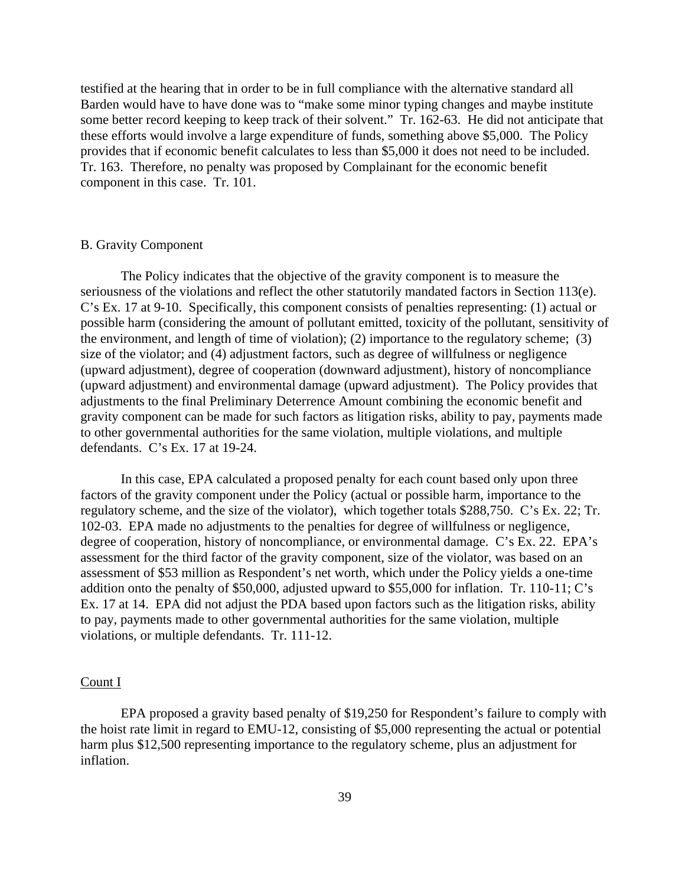testified at the hearing that in order to be in full compliance with the alternative standard all Barden would have to have done was to "make some minor typing changes and maybe institute some better record keeping to keep track of their solvent." Tr. 162-63. He did not anticipate that these efforts would involve a large expenditure of funds, something above \$5,000. The Policy provides that if economic benefit calculates to less than \$5,000 it does not need to be included. Tr. 163. Therefore, no penalty was proposed by Complainant for the economic benefit component in this case. Tr. 101.

#### B. Gravity Component

The Policy indicates that the objective of the gravity component is to measure the seriousness of the violations and reflect the other statutorily mandated factors in Section 113(e). C's Ex. 17 at 9-10. Specifically, this component consists of penalties representing: (1) actual or possible harm (considering the amount of pollutant emitted, toxicity of the pollutant, sensitivity of the environment, and length of time of violation); (2) importance to the regulatory scheme; (3) size of the violator; and (4) adjustment factors, such as degree of willfulness or negligence (upward adjustment), degree of cooperation (downward adjustment), history of noncompliance (upward adjustment) and environmental damage (upward adjustment). The Policy provides that adjustments to the final Preliminary Deterrence Amount combining the economic benefit and gravity component can be made for such factors as litigation risks, ability to pay, payments made to other governmental authorities for the same violation, multiple violations, and multiple defendants. C's Ex. 17 at 19-24.

In this case, EPA calculated a proposed penalty for each count based only upon three factors of the gravity component under the Policy (actual or possible harm, importance to the regulatory scheme, and the size of the violator), which together totals \$288,750. C's Ex. 22; Tr. 102-03. EPA made no adjustments to the penalties for degree of willfulness or negligence, degree of cooperation, history of noncompliance, or environmental damage. C's Ex. 22. EPA's assessment for the third factor of the gravity component, size of the violator, was based on an assessment of \$53 million as Respondent's net worth, which under the Policy yields a one-time addition onto the penalty of \$50,000, adjusted upward to \$55,000 for inflation. Tr. 110-11; C's Ex. 17 at 14. EPA did not adjust the PDA based upon factors such as the litigation risks, ability to pay, payments made to other governmental authorities for the same violation, multiple violations, or multiple defendants. Tr. 111-12.

### Count I

EPA proposed a gravity based penalty of \$19,250 for Respondent's failure to comply with the hoist rate limit in regard to EMU-12, consisting of \$5,000 representing the actual or potential harm plus \$12,500 representing importance to the regulatory scheme, plus an adjustment for inflation.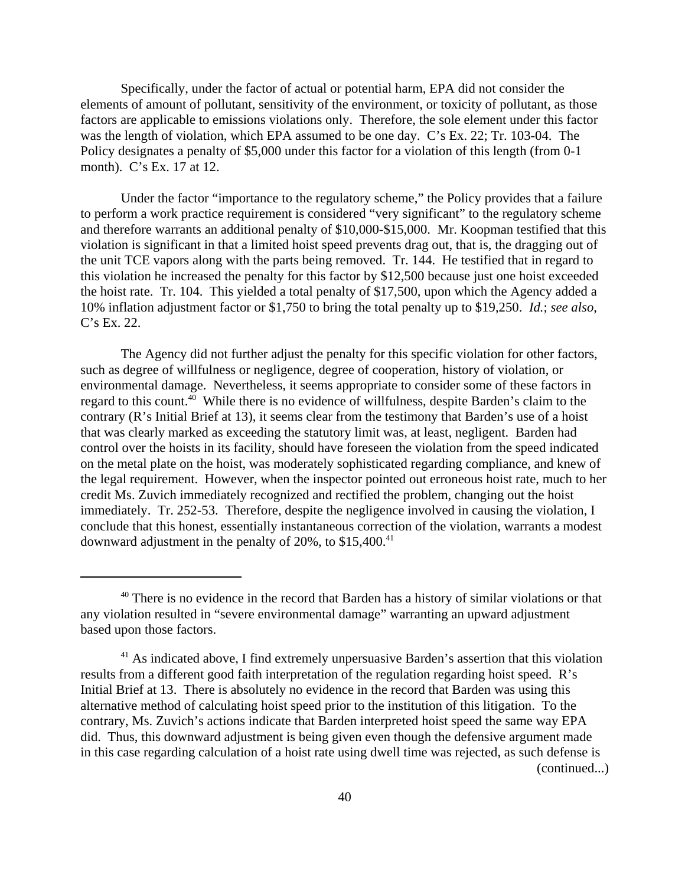Specifically, under the factor of actual or potential harm, EPA did not consider the elements of amount of pollutant, sensitivity of the environment, or toxicity of pollutant, as those factors are applicable to emissions violations only. Therefore, the sole element under this factor was the length of violation, which EPA assumed to be one day. C's Ex. 22; Tr. 103-04. The Policy designates a penalty of \$5,000 under this factor for a violation of this length (from 0-1 month). C's Ex. 17 at 12.

Under the factor "importance to the regulatory scheme," the Policy provides that a failure to perform a work practice requirement is considered "very significant" to the regulatory scheme and therefore warrants an additional penalty of \$10,000-\$15,000. Mr. Koopman testified that this violation is significant in that a limited hoist speed prevents drag out, that is, the dragging out of the unit TCE vapors along with the parts being removed. Tr. 144. He testified that in regard to this violation he increased the penalty for this factor by \$12,500 because just one hoist exceeded the hoist rate. Tr. 104. This yielded a total penalty of \$17,500, upon which the Agency added a 10% inflation adjustment factor or \$1,750 to bring the total penalty up to \$19,250. *Id.*; *see also*, C's Ex. 22.

The Agency did not further adjust the penalty for this specific violation for other factors, such as degree of willfulness or negligence, degree of cooperation, history of violation, or environmental damage. Nevertheless, it seems appropriate to consider some of these factors in regard to this count.<sup>40</sup> While there is no evidence of willfulness, despite Barden's claim to the contrary (R's Initial Brief at 13), it seems clear from the testimony that Barden's use of a hoist that was clearly marked as exceeding the statutory limit was, at least, negligent. Barden had control over the hoists in its facility, should have foreseen the violation from the speed indicated on the metal plate on the hoist, was moderately sophisticated regarding compliance, and knew of the legal requirement. However, when the inspector pointed out erroneous hoist rate, much to her credit Ms. Zuvich immediately recognized and rectified the problem, changing out the hoist immediately. Tr. 252-53. Therefore, despite the negligence involved in causing the violation, I conclude that this honest, essentially instantaneous correction of the violation, warrants a modest downward adjustment in the penalty of  $20\%$ , to  $$15,400.<sup>41</sup>$ 

 $40$  There is no evidence in the record that Barden has a history of similar violations or that any violation resulted in "severe environmental damage" warranting an upward adjustment based upon those factors.

 $41$  As indicated above, I find extremely unpersuasive Barden's assertion that this violation results from a different good faith interpretation of the regulation regarding hoist speed. R's Initial Brief at 13. There is absolutely no evidence in the record that Barden was using this alternative method of calculating hoist speed prior to the institution of this litigation. To the contrary, Ms. Zuvich's actions indicate that Barden interpreted hoist speed the same way EPA did. Thus, this downward adjustment is being given even though the defensive argument made in this case regarding calculation of a hoist rate using dwell time was rejected, as such defense is (continued...)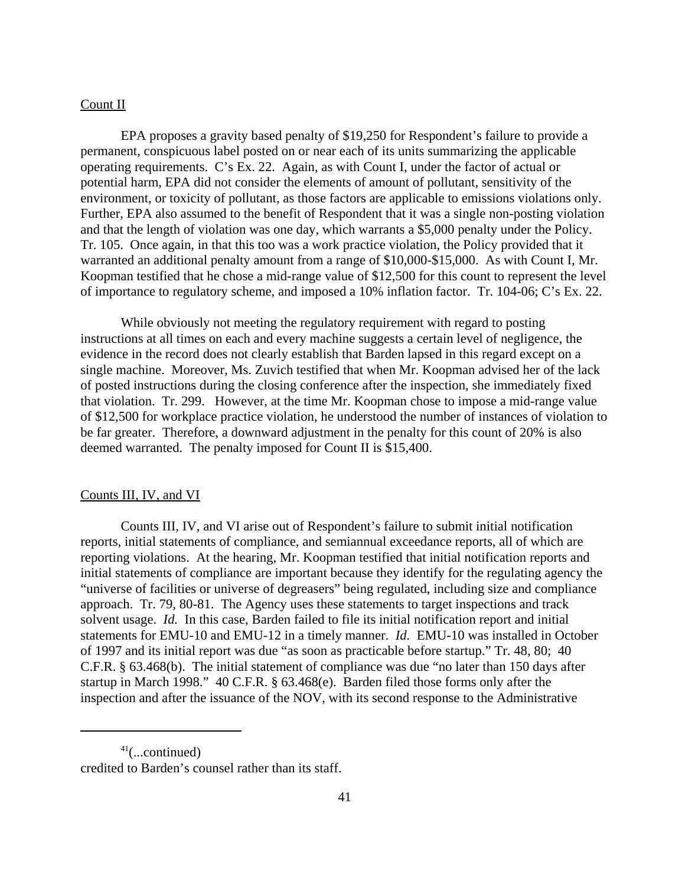# Count II

EPA proposes a gravity based penalty of \$19,250 for Respondent's failure to provide a permanent, conspicuous label posted on or near each of its units summarizing the applicable operating requirements. C's Ex. 22. Again, as with Count I, under the factor of actual or potential harm, EPA did not consider the elements of amount of pollutant, sensitivity of the environment, or toxicity of pollutant, as those factors are applicable to emissions violations only. Further, EPA also assumed to the benefit of Respondent that it was a single non-posting violation and that the length of violation was one day, which warrants a \$5,000 penalty under the Policy. Tr. 105. Once again, in that this too was a work practice violation, the Policy provided that it warranted an additional penalty amount from a range of \$10,000-\$15,000. As with Count I, Mr. Koopman testified that he chose a mid-range value of \$12,500 for this count to represent the level of importance to regulatory scheme, and imposed a 10% inflation factor. Tr. 104-06; C's Ex. 22.

While obviously not meeting the regulatory requirement with regard to posting instructions at all times on each and every machine suggests a certain level of negligence, the evidence in the record does not clearly establish that Barden lapsed in this regard except on a single machine. Moreover, Ms. Zuvich testified that when Mr. Koopman advised her of the lack of posted instructions during the closing conference after the inspection, she immediately fixed that violation. Tr. 299. However, at the time Mr. Koopman chose to impose a mid-range value of \$12,500 for workplace practice violation, he understood the number of instances of violation to be far greater. Therefore, a downward adjustment in the penalty for this count of 20% is also deemed warranted. The penalty imposed for Count II is \$15,400.

#### Counts III, IV, and VI

Counts III, IV, and VI arise out of Respondent's failure to submit initial notification reports, initial statements of compliance, and semiannual exceedance reports, all of which are reporting violations. At the hearing, Mr. Koopman testified that initial notification reports and initial statements of compliance are important because they identify for the regulating agency the "universe of facilities or universe of degreasers" being regulated, including size and compliance approach. Tr. 79, 80-81. The Agency uses these statements to target inspections and track solvent usage. *Id.* In this case, Barden failed to file its initial notification report and initial statements for EMU-10 and EMU-12 in a timely manner. *Id.* EMU-10 was installed in October of 1997 and its initial report was due "as soon as practicable before startup." Tr. 48, 80; 40 C.F.R. § 63.468(b). The initial statement of compliance was due "no later than 150 days after startup in March 1998." 40 C.F.R. § 63.468(e). Barden filed those forms only after the inspection and after the issuance of the NOV, with its second response to the Administrative

 $41$ (...continued) credited to Barden's counsel rather than its staff.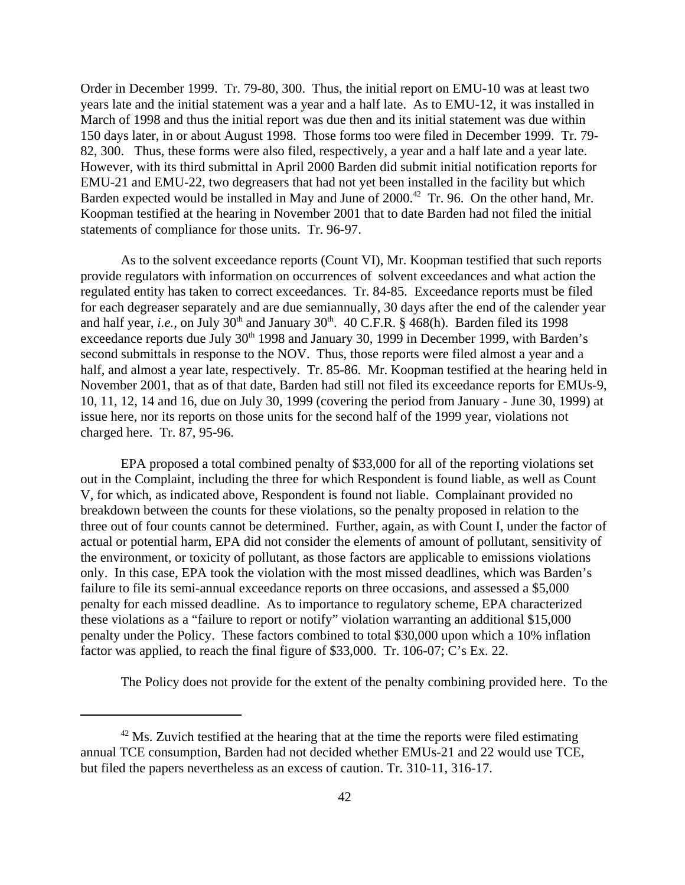Order in December 1999. Tr. 79-80, 300. Thus, the initial report on EMU-10 was at least two years late and the initial statement was a year and a half late. As to EMU-12, it was installed in March of 1998 and thus the initial report was due then and its initial statement was due within 150 days later, in or about August 1998. Those forms too were filed in December 1999. Tr. 79- 82, 300. Thus, these forms were also filed, respectively, a year and a half late and a year late. However, with its third submittal in April 2000 Barden did submit initial notification reports for EMU-21 and EMU-22, two degreasers that had not yet been installed in the facility but which Barden expected would be installed in May and June of 2000.<sup>42</sup> Tr. 96. On the other hand, Mr. Koopman testified at the hearing in November 2001 that to date Barden had not filed the initial statements of compliance for those units. Tr. 96-97.

As to the solvent exceedance reports (Count VI), Mr. Koopman testified that such reports provide regulators with information on occurrences of solvent exceedances and what action the regulated entity has taken to correct exceedances. Tr. 84-85. Exceedance reports must be filed for each degreaser separately and are due semiannually, 30 days after the end of the calender year and half year, *i.e.*, on July  $30<sup>th</sup>$  and January  $30<sup>th</sup>$ .  $40$  C.F.R. § 468(h). Barden filed its 1998 exceedance reports due July  $30<sup>th</sup>$  1998 and January 30, 1999 in December 1999, with Barden's second submittals in response to the NOV. Thus, those reports were filed almost a year and a half, and almost a year late, respectively. Tr. 85-86. Mr. Koopman testified at the hearing held in November 2001, that as of that date, Barden had still not filed its exceedance reports for EMUs-9, 10, 11, 12, 14 and 16, due on July 30, 1999 (covering the period from January - June 30, 1999) at issue here, nor its reports on those units for the second half of the 1999 year, violations not charged here. Tr. 87, 95-96.

EPA proposed a total combined penalty of \$33,000 for all of the reporting violations set out in the Complaint, including the three for which Respondent is found liable, as well as Count V, for which, as indicated above, Respondent is found not liable. Complainant provided no breakdown between the counts for these violations, so the penalty proposed in relation to the three out of four counts cannot be determined. Further, again, as with Count I, under the factor of actual or potential harm, EPA did not consider the elements of amount of pollutant, sensitivity of the environment, or toxicity of pollutant, as those factors are applicable to emissions violations only. In this case, EPA took the violation with the most missed deadlines, which was Barden's failure to file its semi-annual exceedance reports on three occasions, and assessed a \$5,000 penalty for each missed deadline. As to importance to regulatory scheme, EPA characterized these violations as a "failure to report or notify" violation warranting an additional \$15,000 penalty under the Policy. These factors combined to total \$30,000 upon which a 10% inflation factor was applied, to reach the final figure of \$33,000. Tr. 106-07; C's Ex. 22.

The Policy does not provide for the extent of the penalty combining provided here. To the

 $42$  Ms. Zuvich testified at the hearing that at the time the reports were filed estimating annual TCE consumption, Barden had not decided whether EMUs-21 and 22 would use TCE, but filed the papers nevertheless as an excess of caution. Tr. 310-11, 316-17.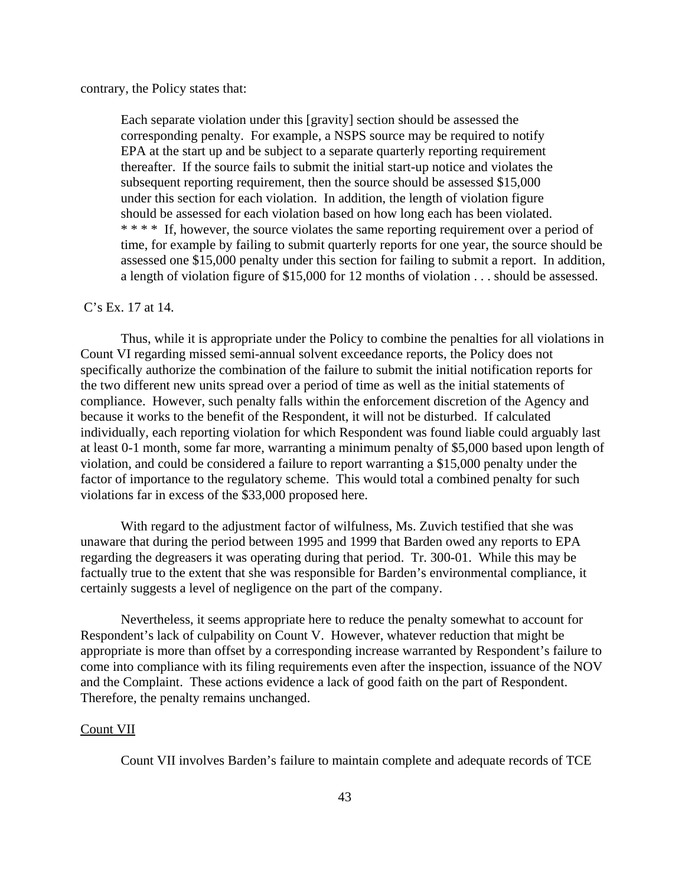contrary, the Policy states that:

Each separate violation under this [gravity] section should be assessed the corresponding penalty. For example, a NSPS source may be required to notify EPA at the start up and be subject to a separate quarterly reporting requirement thereafter. If the source fails to submit the initial start-up notice and violates the subsequent reporting requirement, then the source should be assessed \$15,000 under this section for each violation. In addition, the length of violation figure should be assessed for each violation based on how long each has been violated. \* \* \* \* If, however, the source violates the same reporting requirement over a period of time, for example by failing to submit quarterly reports for one year, the source should be assessed one \$15,000 penalty under this section for failing to submit a report. In addition, a length of violation figure of \$15,000 for 12 months of violation . . . should be assessed.

#### C's Ex. 17 at 14.

Thus, while it is appropriate under the Policy to combine the penalties for all violations in Count VI regarding missed semi-annual solvent exceedance reports, the Policy does not specifically authorize the combination of the failure to submit the initial notification reports for the two different new units spread over a period of time as well as the initial statements of compliance. However, such penalty falls within the enforcement discretion of the Agency and because it works to the benefit of the Respondent, it will not be disturbed. If calculated individually, each reporting violation for which Respondent was found liable could arguably last at least 0-1 month, some far more, warranting a minimum penalty of \$5,000 based upon length of violation, and could be considered a failure to report warranting a \$15,000 penalty under the factor of importance to the regulatory scheme. This would total a combined penalty for such violations far in excess of the \$33,000 proposed here.

With regard to the adjustment factor of wilfulness, Ms. Zuvich testified that she was unaware that during the period between 1995 and 1999 that Barden owed any reports to EPA regarding the degreasers it was operating during that period. Tr. 300-01. While this may be factually true to the extent that she was responsible for Barden's environmental compliance, it certainly suggests a level of negligence on the part of the company.

Nevertheless, it seems appropriate here to reduce the penalty somewhat to account for Respondent's lack of culpability on Count V. However, whatever reduction that might be appropriate is more than offset by a corresponding increase warranted by Respondent's failure to come into compliance with its filing requirements even after the inspection, issuance of the NOV and the Complaint. These actions evidence a lack of good faith on the part of Respondent. Therefore, the penalty remains unchanged.

#### Count VII

Count VII involves Barden's failure to maintain complete and adequate records of TCE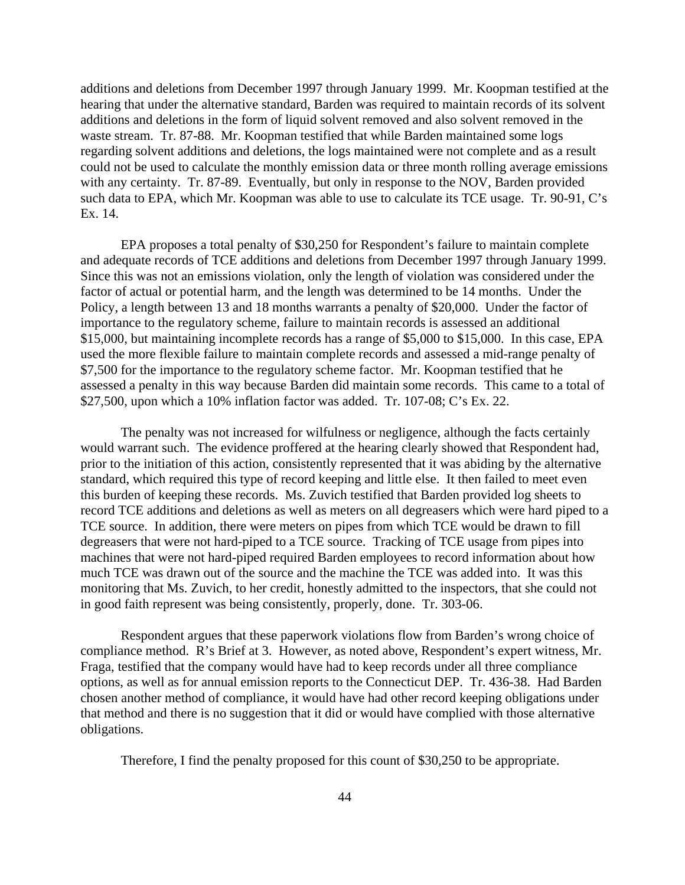additions and deletions from December 1997 through January 1999. Mr. Koopman testified at the hearing that under the alternative standard, Barden was required to maintain records of its solvent additions and deletions in the form of liquid solvent removed and also solvent removed in the waste stream. Tr. 87-88. Mr. Koopman testified that while Barden maintained some logs regarding solvent additions and deletions, the logs maintained were not complete and as a result could not be used to calculate the monthly emission data or three month rolling average emissions with any certainty. Tr. 87-89. Eventually, but only in response to the NOV, Barden provided such data to EPA, which Mr. Koopman was able to use to calculate its TCE usage. Tr. 90-91, C's Ex. 14.

EPA proposes a total penalty of \$30,250 for Respondent's failure to maintain complete and adequate records of TCE additions and deletions from December 1997 through January 1999. Since this was not an emissions violation, only the length of violation was considered under the factor of actual or potential harm, and the length was determined to be 14 months. Under the Policy, a length between 13 and 18 months warrants a penalty of \$20,000. Under the factor of importance to the regulatory scheme, failure to maintain records is assessed an additional \$15,000, but maintaining incomplete records has a range of \$5,000 to \$15,000. In this case, EPA used the more flexible failure to maintain complete records and assessed a mid-range penalty of \$7,500 for the importance to the regulatory scheme factor. Mr. Koopman testified that he assessed a penalty in this way because Barden did maintain some records. This came to a total of \$27,500, upon which a 10% inflation factor was added. Tr. 107-08; C's Ex. 22.

The penalty was not increased for wilfulness or negligence, although the facts certainly would warrant such. The evidence proffered at the hearing clearly showed that Respondent had, prior to the initiation of this action, consistently represented that it was abiding by the alternative standard, which required this type of record keeping and little else. It then failed to meet even this burden of keeping these records. Ms. Zuvich testified that Barden provided log sheets to record TCE additions and deletions as well as meters on all degreasers which were hard piped to a TCE source. In addition, there were meters on pipes from which TCE would be drawn to fill degreasers that were not hard-piped to a TCE source. Tracking of TCE usage from pipes into machines that were not hard-piped required Barden employees to record information about how much TCE was drawn out of the source and the machine the TCE was added into. It was this monitoring that Ms. Zuvich, to her credit, honestly admitted to the inspectors, that she could not in good faith represent was being consistently, properly, done. Tr. 303-06.

Respondent argues that these paperwork violations flow from Barden's wrong choice of compliance method. R's Brief at 3. However, as noted above, Respondent's expert witness, Mr. Fraga, testified that the company would have had to keep records under all three compliance options, as well as for annual emission reports to the Connecticut DEP. Tr. 436-38. Had Barden chosen another method of compliance, it would have had other record keeping obligations under that method and there is no suggestion that it did or would have complied with those alternative obligations.

Therefore, I find the penalty proposed for this count of \$30,250 to be appropriate.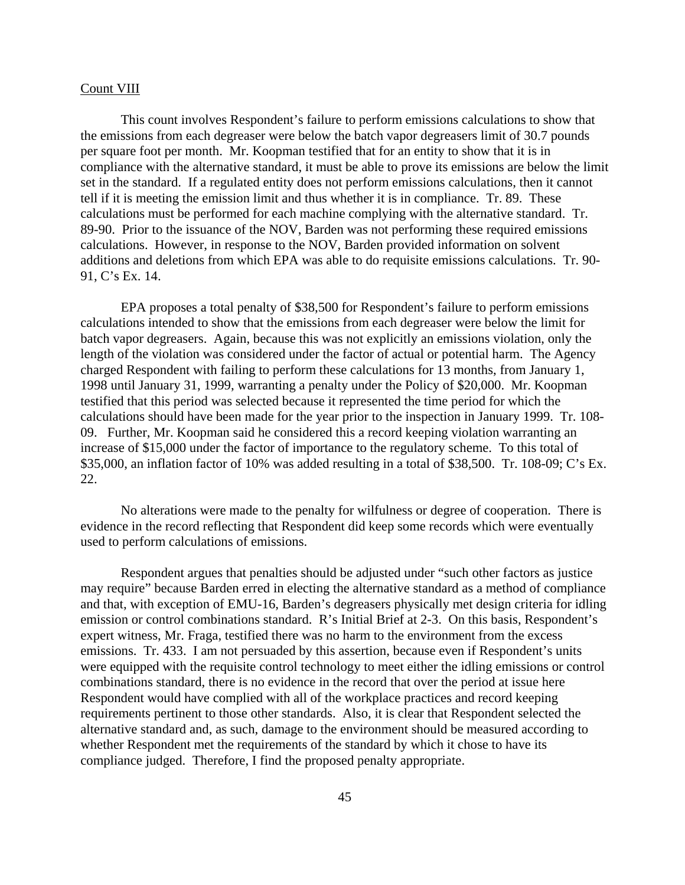#### Count VIII

This count involves Respondent's failure to perform emissions calculations to show that the emissions from each degreaser were below the batch vapor degreasers limit of 30.7 pounds per square foot per month. Mr. Koopman testified that for an entity to show that it is in compliance with the alternative standard, it must be able to prove its emissions are below the limit set in the standard. If a regulated entity does not perform emissions calculations, then it cannot tell if it is meeting the emission limit and thus whether it is in compliance. Tr. 89. These calculations must be performed for each machine complying with the alternative standard. Tr. 89-90. Prior to the issuance of the NOV, Barden was not performing these required emissions calculations. However, in response to the NOV, Barden provided information on solvent additions and deletions from which EPA was able to do requisite emissions calculations. Tr. 90- 91, C's Ex. 14.

EPA proposes a total penalty of \$38,500 for Respondent's failure to perform emissions calculations intended to show that the emissions from each degreaser were below the limit for batch vapor degreasers. Again, because this was not explicitly an emissions violation, only the length of the violation was considered under the factor of actual or potential harm. The Agency charged Respondent with failing to perform these calculations for 13 months, from January 1, 1998 until January 31, 1999, warranting a penalty under the Policy of \$20,000. Mr. Koopman testified that this period was selected because it represented the time period for which the calculations should have been made for the year prior to the inspection in January 1999. Tr. 108- 09. Further, Mr. Koopman said he considered this a record keeping violation warranting an increase of \$15,000 under the factor of importance to the regulatory scheme. To this total of \$35,000, an inflation factor of 10% was added resulting in a total of \$38,500. Tr. 108-09; C's Ex. 22.

No alterations were made to the penalty for wilfulness or degree of cooperation. There is evidence in the record reflecting that Respondent did keep some records which were eventually used to perform calculations of emissions.

Respondent argues that penalties should be adjusted under "such other factors as justice may require" because Barden erred in electing the alternative standard as a method of compliance and that, with exception of EMU-16, Barden's degreasers physically met design criteria for idling emission or control combinations standard. R's Initial Brief at 2-3. On this basis, Respondent's expert witness, Mr. Fraga, testified there was no harm to the environment from the excess emissions. Tr. 433. I am not persuaded by this assertion, because even if Respondent's units were equipped with the requisite control technology to meet either the idling emissions or control combinations standard, there is no evidence in the record that over the period at issue here Respondent would have complied with all of the workplace practices and record keeping requirements pertinent to those other standards. Also, it is clear that Respondent selected the alternative standard and, as such, damage to the environment should be measured according to whether Respondent met the requirements of the standard by which it chose to have its compliance judged. Therefore, I find the proposed penalty appropriate.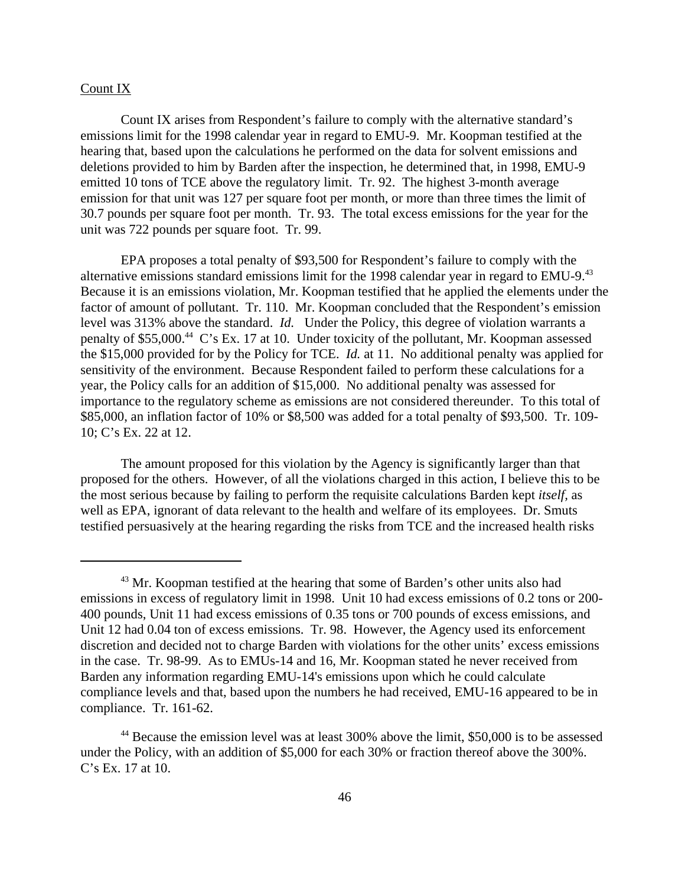### Count IX

Count IX arises from Respondent's failure to comply with the alternative standard's emissions limit for the 1998 calendar year in regard to EMU-9. Mr. Koopman testified at the hearing that, based upon the calculations he performed on the data for solvent emissions and deletions provided to him by Barden after the inspection, he determined that, in 1998, EMU-9 emitted 10 tons of TCE above the regulatory limit. Tr. 92. The highest 3-month average emission for that unit was 127 per square foot per month, or more than three times the limit of 30.7 pounds per square foot per month. Tr. 93. The total excess emissions for the year for the unit was 722 pounds per square foot. Tr. 99.

EPA proposes a total penalty of \$93,500 for Respondent's failure to comply with the alternative emissions standard emissions limit for the 1998 calendar year in regard to EMU-9.<sup>43</sup> Because it is an emissions violation, Mr. Koopman testified that he applied the elements under the factor of amount of pollutant. Tr. 110. Mr. Koopman concluded that the Respondent's emission level was 313% above the standard. *Id.* Under the Policy, this degree of violation warrants a penalty of \$55,000.44 C's Ex. 17 at 10. Under toxicity of the pollutant, Mr. Koopman assessed the \$15,000 provided for by the Policy for TCE. *Id.* at 11. No additional penalty was applied for sensitivity of the environment. Because Respondent failed to perform these calculations for a year, the Policy calls for an addition of \$15,000. No additional penalty was assessed for importance to the regulatory scheme as emissions are not considered thereunder. To this total of \$85,000, an inflation factor of 10% or \$8,500 was added for a total penalty of \$93,500. Tr. 109- 10; C's Ex. 22 at 12.

The amount proposed for this violation by the Agency is significantly larger than that proposed for the others. However, of all the violations charged in this action, I believe this to be the most serious because by failing to perform the requisite calculations Barden kept *itself,* as well as EPA, ignorant of data relevant to the health and welfare of its employees. Dr. Smuts testified persuasively at the hearing regarding the risks from TCE and the increased health risks

 $43$  Mr. Koopman testified at the hearing that some of Barden's other units also had emissions in excess of regulatory limit in 1998. Unit 10 had excess emissions of 0.2 tons or 200- 400 pounds, Unit 11 had excess emissions of 0.35 tons or 700 pounds of excess emissions, and Unit 12 had 0.04 ton of excess emissions. Tr. 98. However, the Agency used its enforcement discretion and decided not to charge Barden with violations for the other units' excess emissions in the case. Tr. 98-99. As to EMUs-14 and 16, Mr. Koopman stated he never received from Barden any information regarding EMU-14's emissions upon which he could calculate compliance levels and that, based upon the numbers he had received, EMU-16 appeared to be in compliance. Tr. 161-62.

<sup>&</sup>lt;sup>44</sup> Because the emission level was at least 300% above the limit, \$50,000 is to be assessed under the Policy, with an addition of \$5,000 for each 30% or fraction thereof above the 300%. C's Ex. 17 at 10.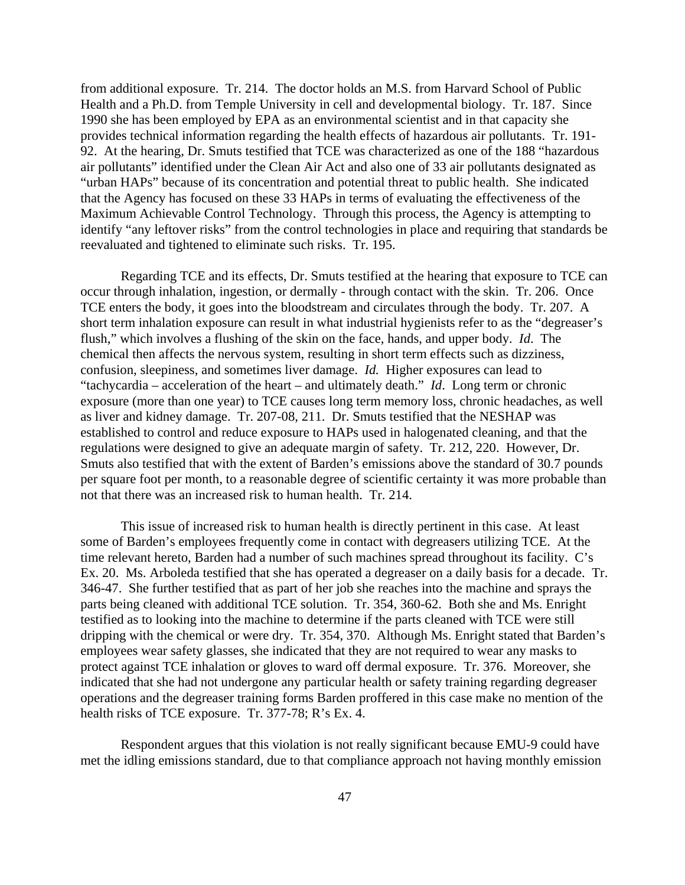from additional exposure. Tr. 214. The doctor holds an M.S. from Harvard School of Public Health and a Ph.D. from Temple University in cell and developmental biology. Tr. 187. Since 1990 she has been employed by EPA as an environmental scientist and in that capacity she provides technical information regarding the health effects of hazardous air pollutants. Tr. 191- 92. At the hearing, Dr. Smuts testified that TCE was characterized as one of the 188 "hazardous air pollutants" identified under the Clean Air Act and also one of 33 air pollutants designated as "urban HAPs" because of its concentration and potential threat to public health. She indicated that the Agency has focused on these 33 HAPs in terms of evaluating the effectiveness of the Maximum Achievable Control Technology. Through this process, the Agency is attempting to identify "any leftover risks" from the control technologies in place and requiring that standards be reevaluated and tightened to eliminate such risks. Tr. 195.

Regarding TCE and its effects, Dr. Smuts testified at the hearing that exposure to TCE can occur through inhalation, ingestion, or dermally - through contact with the skin. Tr. 206. Once TCE enters the body, it goes into the bloodstream and circulates through the body. Tr. 207. A short term inhalation exposure can result in what industrial hygienists refer to as the "degreaser's flush," which involves a flushing of the skin on the face, hands, and upper body. *Id*. The chemical then affects the nervous system, resulting in short term effects such as dizziness, confusion, sleepiness, and sometimes liver damage. *Id.* Higher exposures can lead to "tachycardia – acceleration of the heart – and ultimately death." *Id*. Long term or chronic exposure (more than one year) to TCE causes long term memory loss, chronic headaches, as well as liver and kidney damage. Tr. 207-08, 211. Dr. Smuts testified that the NESHAP was established to control and reduce exposure to HAPs used in halogenated cleaning, and that the regulations were designed to give an adequate margin of safety. Tr. 212, 220. However, Dr. Smuts also testified that with the extent of Barden's emissions above the standard of 30.7 pounds per square foot per month, to a reasonable degree of scientific certainty it was more probable than not that there was an increased risk to human health. Tr. 214.

This issue of increased risk to human health is directly pertinent in this case. At least some of Barden's employees frequently come in contact with degreasers utilizing TCE. At the time relevant hereto, Barden had a number of such machines spread throughout its facility. C's Ex. 20. Ms. Arboleda testified that she has operated a degreaser on a daily basis for a decade. Tr. 346-47. She further testified that as part of her job she reaches into the machine and sprays the parts being cleaned with additional TCE solution. Tr. 354, 360-62. Both she and Ms. Enright testified as to looking into the machine to determine if the parts cleaned with TCE were still dripping with the chemical or were dry. Tr. 354, 370. Although Ms. Enright stated that Barden's employees wear safety glasses, she indicated that they are not required to wear any masks to protect against TCE inhalation or gloves to ward off dermal exposure. Tr. 376. Moreover, she indicated that she had not undergone any particular health or safety training regarding degreaser operations and the degreaser training forms Barden proffered in this case make no mention of the health risks of TCE exposure. Tr. 377-78; R's Ex. 4.

Respondent argues that this violation is not really significant because EMU-9 could have met the idling emissions standard, due to that compliance approach not having monthly emission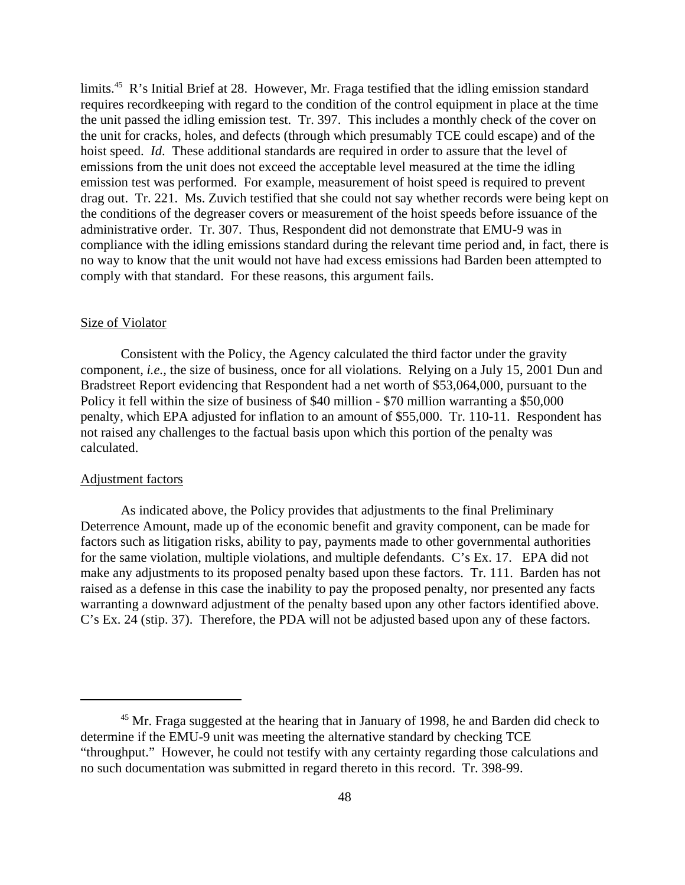limits.<sup>45</sup> R's Initial Brief at 28. However, Mr. Fraga testified that the idling emission standard requires recordkeeping with regard to the condition of the control equipment in place at the time the unit passed the idling emission test. Tr. 397. This includes a monthly check of the cover on the unit for cracks, holes, and defects (through which presumably TCE could escape) and of the hoist speed. *Id*. These additional standards are required in order to assure that the level of emissions from the unit does not exceed the acceptable level measured at the time the idling emission test was performed. For example, measurement of hoist speed is required to prevent drag out. Tr. 221. Ms. Zuvich testified that she could not say whether records were being kept on the conditions of the degreaser covers or measurement of the hoist speeds before issuance of the administrative order. Tr. 307. Thus, Respondent did not demonstrate that EMU-9 was in compliance with the idling emissions standard during the relevant time period and, in fact, there is no way to know that the unit would not have had excess emissions had Barden been attempted to comply with that standard. For these reasons, this argument fails.

#### Size of Violator

Consistent with the Policy, the Agency calculated the third factor under the gravity component*, i.e.,* the size of business, once for all violations. Relying on a July 15, 2001 Dun and Bradstreet Report evidencing that Respondent had a net worth of \$53,064,000, pursuant to the Policy it fell within the size of business of \$40 million - \$70 million warranting a \$50,000 penalty, which EPA adjusted for inflation to an amount of \$55,000. Tr. 110-11. Respondent has not raised any challenges to the factual basis upon which this portion of the penalty was calculated.

#### Adjustment factors

As indicated above, the Policy provides that adjustments to the final Preliminary Deterrence Amount, made up of the economic benefit and gravity component, can be made for factors such as litigation risks, ability to pay, payments made to other governmental authorities for the same violation, multiple violations, and multiple defendants. C's Ex. 17. EPA did not make any adjustments to its proposed penalty based upon these factors. Tr. 111. Barden has not raised as a defense in this case the inability to pay the proposed penalty, nor presented any facts warranting a downward adjustment of the penalty based upon any other factors identified above. C's Ex. 24 (stip. 37). Therefore, the PDA will not be adjusted based upon any of these factors.

<sup>&</sup>lt;sup>45</sup> Mr. Fraga suggested at the hearing that in January of 1998, he and Barden did check to determine if the EMU-9 unit was meeting the alternative standard by checking TCE "throughput." However, he could not testify with any certainty regarding those calculations and no such documentation was submitted in regard thereto in this record. Tr. 398-99.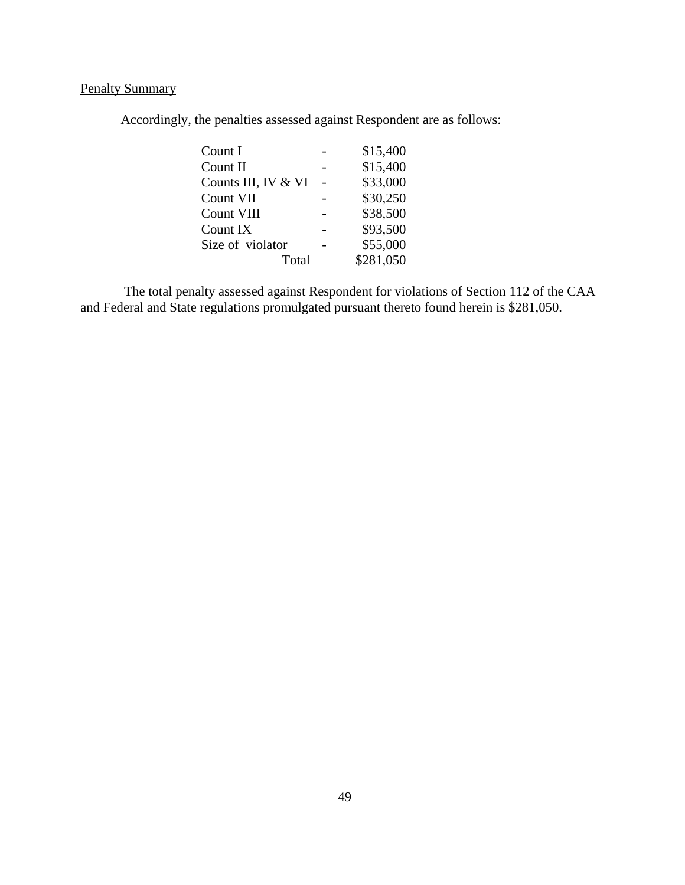# Penalty Summary

Accordingly, the penalties assessed against Respondent are as follows:

| Count I             | \$15,400  |
|---------------------|-----------|
| Count II            | \$15,400  |
| Counts III, IV & VI | \$33,000  |
| Count VII           | \$30,250  |
| Count VIII          | \$38,500  |
| Count IX            | \$93,500  |
| Size of violator    | \$55,000  |
| Total               | \$281,050 |
|                     |           |

The total penalty assessed against Respondent for violations of Section 112 of the CAA and Federal and State regulations promulgated pursuant thereto found herein is \$281,050.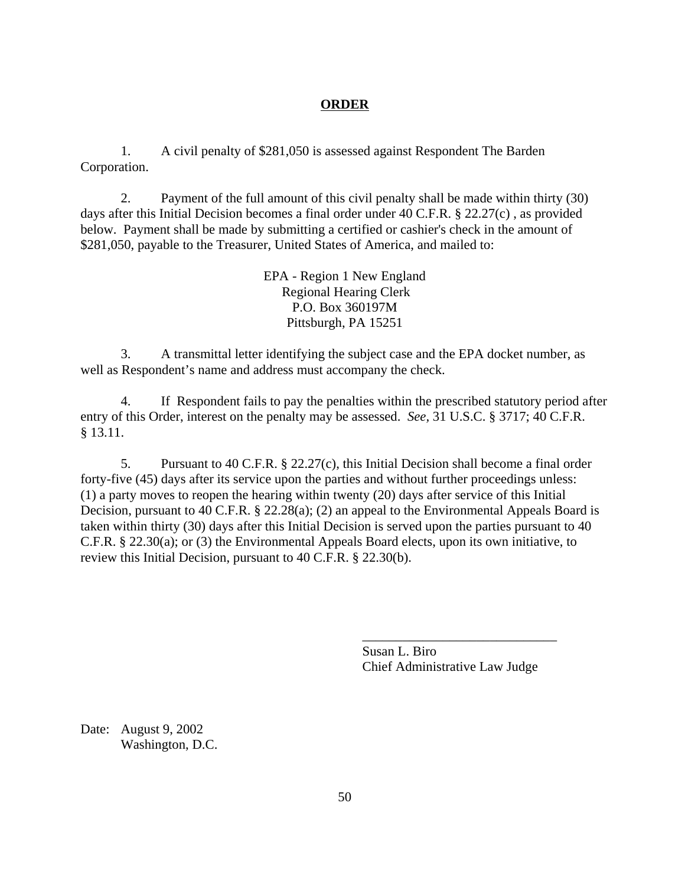# **ORDER**

1. A civil penalty of \$281,050 is assessed against Respondent The Barden Corporation.

2. Payment of the full amount of this civil penalty shall be made within thirty (30) days after this Initial Decision becomes a final order under 40 C.F.R. § 22.27(c) , as provided below. Payment shall be made by submitting a certified or cashier's check in the amount of \$281,050, payable to the Treasurer, United States of America, and mailed to:

> EPA - Region 1 New England Regional Hearing Clerk P.O. Box 360197M Pittsburgh, PA 15251

3. A transmittal letter identifying the subject case and the EPA docket number, as well as Respondent's name and address must accompany the check.

4. If Respondent fails to pay the penalties within the prescribed statutory period after entry of this Order, interest on the penalty may be assessed. *See,* 31 U.S.C. § 3717; 40 C.F.R. § 13.11.

5. Pursuant to 40 C.F.R. § 22.27(c), this Initial Decision shall become a final order forty-five (45) days after its service upon the parties and without further proceedings unless: (1) a party moves to reopen the hearing within twenty (20) days after service of this Initial Decision, pursuant to 40 C.F.R. § 22.28(a); (2) an appeal to the Environmental Appeals Board is taken within thirty (30) days after this Initial Decision is served upon the parties pursuant to 40 C.F.R. § 22.30(a); or (3) the Environmental Appeals Board elects, upon its own initiative, to review this Initial Decision, pursuant to 40 C.F.R. § 22.30(b).

> Susan L. Biro Chief Administrative Law Judge

\_\_\_\_\_\_\_\_\_\_\_\_\_\_\_\_\_\_\_\_\_\_\_\_\_\_\_\_\_

Date: August 9, 2002 Washington, D.C.